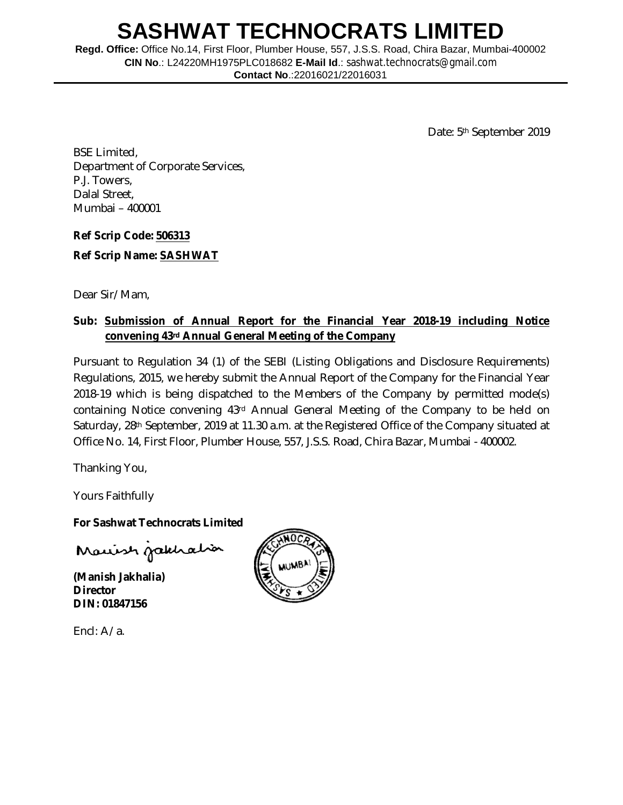## **SASHWAT TECHNOCRATS LIMITED**

**Regd. Office:** Office No.14, First Floor, Plumber House, 557, J.S.S. Road, Chira Bazar, Mumbai-400002 **CIN No**.: L24220MH1975PLC018682 **E-Mail Id**.: [sashwat.technocrats@gmail.com](mailto:sashwat.technocrats@gmail.com) **Contact No**.:22016021/22016031

Date: 5th September 2019

BSE Limited, Department of Corporate Services, P.J. Towers, Dalal Street, Mumbai – 400001

## **Ref Scrip Code: 506313**

**Ref Scrip Name: SASHWAT**

Dear Sir/Mam,

#### **Sub: Submission of Annual Report for the Financial Year 2018-19 including Notice convening 43rd Annual General Meeting of the Company**

Pursuant to Regulation 34 (1) of the SEBI (Listing Obligations and Disclosure Requirements) Regulations, 2015, we hereby submit the Annual Report of the Company for the Financial Year 2018-19 which is being dispatched to the Members of the Company by permitted mode(s) containing Notice convening 43rd Annual General Meeting of the Company to be held on Saturday, 28th September, 2019 at 11.30 a.m. at the Registered Office of the Company situated at Office No. 14, First Floor, Plumber House, 557, J.S.S. Road, Chira Bazar, Mumbai - 400002.

Thanking You,

Yours Faithfully

**For Sashwat Technocrats Limited**

Mauish gabhabia

**(Manish Jakhalia) Director DIN: 01847156**

Encl: A/a.

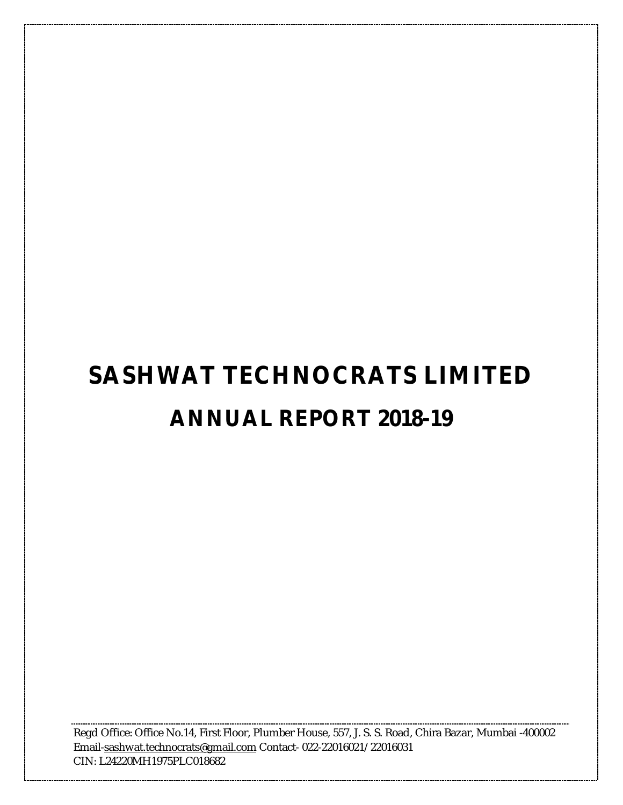Regd Office: Office No.14, First Floor, Plumber House, 557, J. S. S. Road, Chira Bazar, Mumbai -400002 [Email-sashwat.technocrats@gmail.com](mailto:Email-sashwat.technocrats@gmail.com) Contact- 022-22016021/ 22016031 CIN: L24220MH1975PLC018682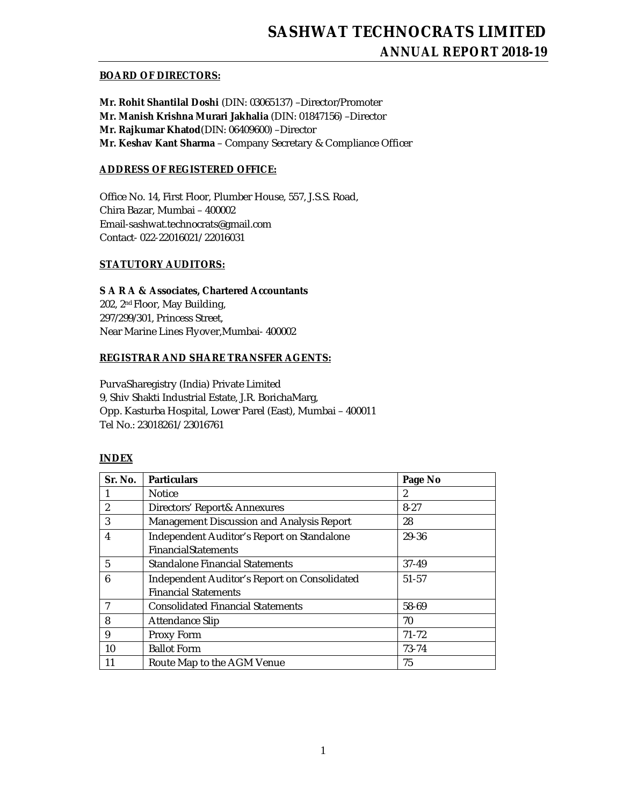#### **BOARD OF DIRECTORS:**

**Mr. Rohit Shantilal Doshi** (DIN: 03065137) –Director/Promoter **Mr. Manish Krishna Murari Jakhalia** (DIN: 01847156) –Director **Mr. Rajkumar Khatod**(DIN: 06409600) –Director **Mr. Keshav Kant Sharma** – Company Secretary & Compliance Officer

#### **ADDRESS OF REGISTERED OFFICE:**

Office No. 14, First Floor, Plumber House, 557, J.S.S. Road, Chira Bazar, Mumbai – 400002 [Email-sashwat.technocrats@gmail.com](mailto:Email-sashwat.technocrats@gmail.com) Contact- 022-22016021/ 22016031

#### **STATUTORY AUDITORS:**

#### **S A R A & Associates, Chartered Accountants**

202, 2 nd Floor, May Building, 297/299/301, Princess Street, Near Marine Lines Flyover,Mumbai- 400002

#### **REGISTRAR AND SHARE TRANSFER AGENTS:**

PurvaSharegistry (India) Private Limited 9, Shiv Shakti Industrial Estate, J.R. BorichaMarg, Opp. Kasturba Hospital, Lower Parel (East), Mumbai – 400011 Tel No.: 23018261/ 23016761

#### **INDEX**

| Sr. No.        | <b>Particulars</b>                                                          | Page No        |
|----------------|-----------------------------------------------------------------------------|----------------|
|                | <b>Notice</b>                                                               | $\overline{2}$ |
| $\mathfrak{D}$ | Directors' Report& Annexures                                                | $8 - 27$       |
| 3              | Management Discussion and Analysis Report                                   | 28             |
| 4              | Independent Auditor's Report on Standalone<br><b>FinancialStatements</b>    | 29-36          |
| 5              | Standalone Financial Statements                                             | $37-49$        |
| 6              | Independent Auditor's Report on Consolidated<br><b>Financial Statements</b> | $51 - 57$      |
|                | <b>Consolidated Financial Statements</b>                                    | 58-69          |
| 8              | Attendance Slip                                                             | 70             |
| 9              | Proxy Form                                                                  | $71 - 72$      |
| 10             | <b>Ballot Form</b>                                                          | 73-74          |
| 11             | Route Map to the AGM Venue                                                  | 75             |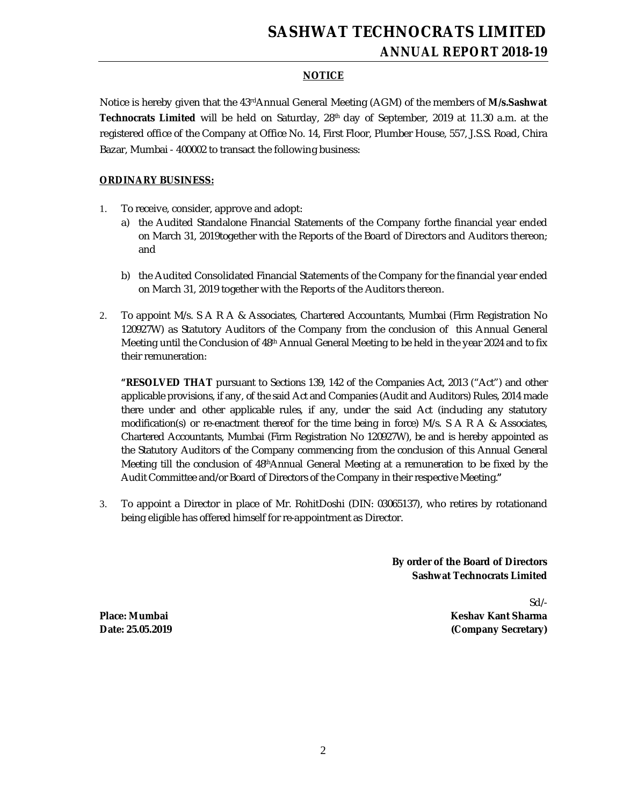#### **NOTICE**

Notice is hereby given that the 43<sup>rd</sup>Annual General Meeting (AGM) of the members of **M/s.Sashwat** Technocrats Limited will be held on Saturday, 28<sup>th</sup> day of September, 2019 at 11.30 a.m. at the registered office of the Company at Office No. 14, First Floor, Plumber House, 557, J.S.S. Road, Chira Bazar, Mumbai - 400002 to transact the following business:

#### **ORDINARY BUSINESS:**

- 1. To receive, consider, approve and adopt:
	- a) the Audited Standalone Financial Statements of the Company forthe financial year ended on March 31, 2019together with the Reports of the Board of Directors and Auditors thereon; and
	- b) the Audited Consolidated Financial Statements of the Company for the financial year ended on March 31, 2019 together with the Reports of the Auditors thereon.
- 2. To appoint M/s. S A R A & Associates, Chartered Accountants, Mumbai (Firm Registration No 120927W) as Statutory Auditors of the Company from the conclusion of this Annual General Meeting until the Conclusion of 48<sup>th</sup> Annual General Meeting to be held in the year 2024 and to fix their remuneration:

**"RESOLVED THAT** pursuant to Sections 139, 142 of the Companies Act, 2013 ("Act") and other applicable provisions, if any, of the said Act and Companies (Audit and Auditors) Rules, 2014 made there under and other applicable rules, if any, under the said Act (including any statutory modification(s) or re-enactment thereof for the time being in force) M/s. S A R A & Associates, Chartered Accountants, Mumbai (Firm Registration No 120927W), be and is hereby appointed as the Statutory Auditors of the Company commencing from the conclusion of this Annual General Meeting till the conclusion of 48<sup>th</sup>Annual General Meeting at a remuneration to be fixed by the Audit Committee and/or Board of Directors of the Company in their respective Meeting.**"**

3. To appoint a Director in place of Mr. RohitDoshi (DIN: 03065137), who retires by rotationand being eligible has offered himself for re-appointment as Director.

> **By order of the Board of Directors Sashwat Technocrats Limited**

Sd/- **Place: Mumbai Keshav Kant Sharma Date: 25.05.2019 (Company Secretary)**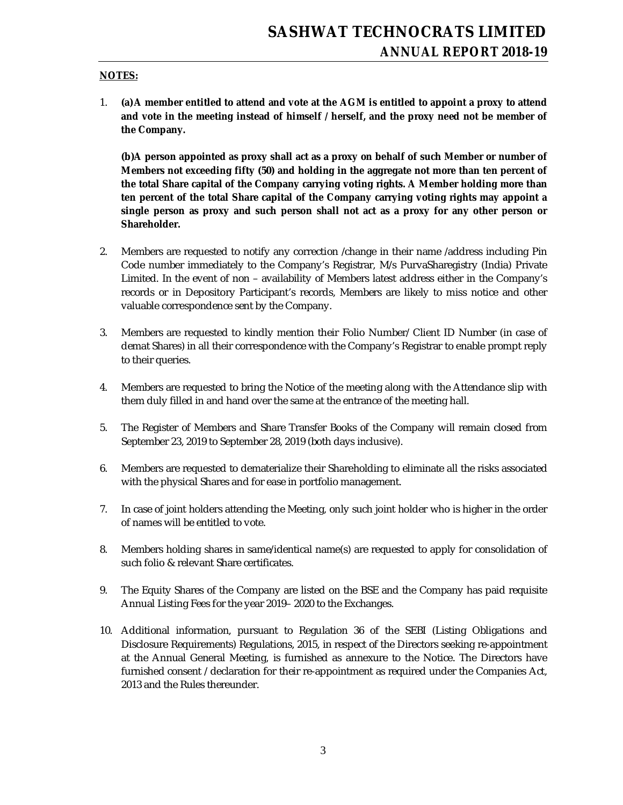#### **NOTES:**

1. **(a)A member entitled to attend and vote at the AGM is entitled to appoint a proxy to attend and vote in the meeting instead of himself / herself, and the proxy need not be member of the Company.**

**(b)A person appointed as proxy shall act as a proxy on behalf of such Member or number of Members not exceeding fifty (50) and holding in the aggregate not more than ten percent of the total Share capital of the Company carrying voting rights. A Member holding more than ten percent of the total Share capital of the Company carrying voting rights may appoint a single person as proxy and such person shall not act as a proxy for any other person or Shareholder.**

- 2. Members are requested to notify any correction /change in their name /address including Pin Code number immediately to the Company's Registrar, M/s PurvaSharegistry (India) Private Limited. In the event of non – availability of Members latest address either in the Company's records or in Depository Participant's records, Members are likely to miss notice and other valuable correspondence sent by the Company.
- 3. Members are requested to kindly mention their Folio Number/ Client ID Number (in case of demat Shares) in all their correspondence with the Company's Registrar to enable prompt reply to their queries.
- 4. Members are requested to bring the Notice of the meeting along with the Attendance slip with them duly filled in and hand over the same at the entrance of the meeting hall.
- 5. The Register of Members and Share Transfer Books of the Company will remain closed from September 23, 2019 to September 28, 2019 (both days inclusive).
- 6. Members are requested to dematerialize their Shareholding to eliminate all the risks associated with the physical Shares and for ease in portfolio management.
- 7. In case of joint holders attending the Meeting, only such joint holder who is higher in the order of names will be entitled to vote.
- 8. Members holding shares in same/identical name(s) are requested to apply for consolidation of such folio & relevant Share certificates.
- 9. The Equity Shares of the Company are listed on the BSE and the Company has paid requisite Annual Listing Fees for the year 2019– 2020 to the Exchanges.
- 10. Additional information, pursuant to Regulation 36 of the SEBI (Listing Obligations and Disclosure Requirements) Regulations, 2015, in respect of the Directors seeking re-appointment at the Annual General Meeting, is furnished as annexure to the Notice. The Directors have furnished consent / declaration for their re-appointment as required under the Companies Act, 2013 and the Rules thereunder.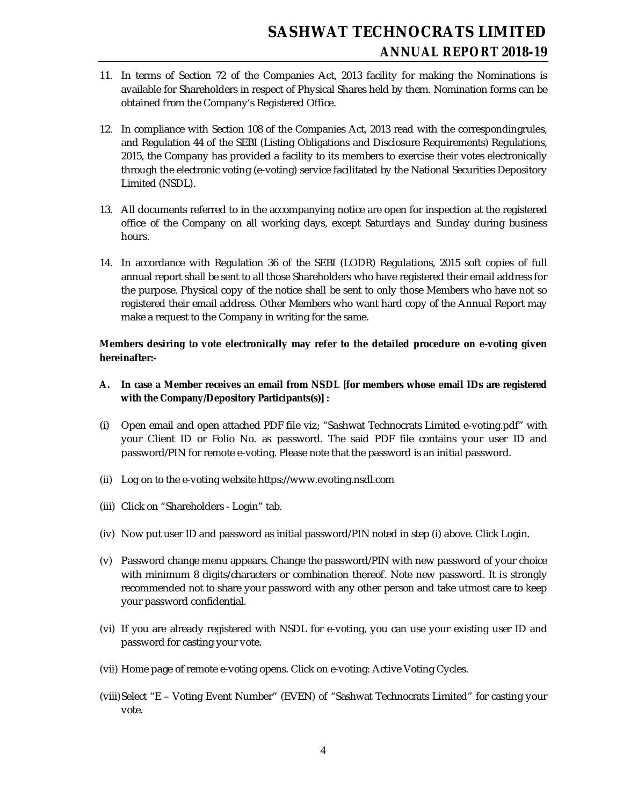- 11. In terms of Section 72 of the Companies Act, 2013 facility for making the Nominations is available for Shareholders in respect of Physical Shares held by them. Nomination forms can be obtained from the Company's Registered Office.
- 12. In compliance with Section 108 of the Companies Act, 2013 read with the correspondingrules, and Regulation 44 of the SEBI (Listing Obligations and Disclosure Requirements) Regulations, 2015, the Company has provided a facility to its members to exercise their votes electronically through the electronic voting (e-voting) service facilitated by the National Securities Depository Limited (NSDL).
- 13. All documents referred to in the accompanying notice are open for inspection at the registered office of the Company on all working days, except Saturdays and Sunday during business hours.
- 14. In accordance with Regulation 36 of the SEBI (LODR) Regulations, 2015 soft copies of full annual report shall be sent to all those Shareholders who have registered their email address for the purpose. Physical copy of the notice shall be sent to only those Members who have not so registered their email address. Other Members who want hard copy of the Annual Report may make a request to the Company in writing for the same.

**Members desiring to vote electronically may refer to the detailed procedure on e-voting given hereinafter:-**

- **A. In case a Member receives an email from NSDL [for members whose email IDs are registered with the Company/Depository Participants(s)] :**
- (i) Open email and open attached PDF file viz; "Sashwat Technocrats Limited e-voting.pdf" with your Client ID or Folio No. as password. The said PDF file contains your user ID and password/PIN for remote e-voting. Please note that the password is an initial password.
- (ii) Log on to the e-voting website <https://www.evoting.nsdl.com>
- (iii) Click on "Shareholders Login" tab.
- (iv) Now put user ID and password as initial password/PIN noted in step (i) above. Click Login.
- (v) Password change menu appears. Change the password/PIN with new password of your choice with minimum 8 digits/characters or combination thereof. Note new password. It is strongly recommended not to share your password with any other person and take utmost care to keep your password confidential.
- (vi) If you are already registered with NSDL for e-voting, you can use your existing user ID and password for casting your vote.
- (vii) Home page of remote e-voting opens. Click on e-voting: Active Voting Cycles.
- (viii)Select "E Voting Event Number" (EVEN) of "Sashwat Technocrats Limited" for casting your vote.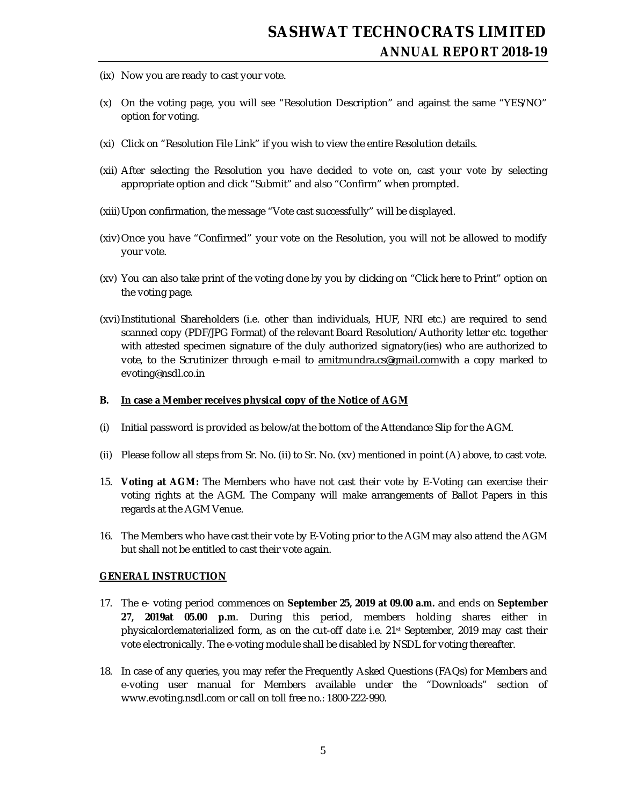- (ix) Now you are ready to cast your vote.
- (x) On the voting page, you will see "Resolution Description" and against the same "YES/NO" option for voting.
- (xi) Click on "Resolution File Link" if you wish to view the entire Resolution details.
- (xii) After selecting the Resolution you have decided to vote on, cast your vote by selecting appropriate option and click "Submit" and also "Confirm" when prompted.
- (xiii)Upon confirmation, the message "Vote cast successfully" will be displayed.
- (xiv)Once you have "Confirmed" your vote on the Resolution, you will not be allowed to modify your vote.
- (xv) You can also take print of the voting done by you by clicking on "Click here to Print" option on the voting page.
- (xvi)Institutional Shareholders (i.e. other than individuals, HUF, NRI etc.) are required to send scanned copy (PDF/JPG Format) of the relevant Board Resolution/ Authority letter etc. together with attested specimen signature of the duly authorized signatory(ies) who are authorized to vote, to the Scrutinizer through e-mail to [amitmundra.cs@gmail.comwith](mailto:amitmundra.cs@gmail.comwith) a copy marked to [evoting@nsdl.co.in](mailto:evoting@nsdl.co.in)

#### **B. In case a Member receives physical copy of the Notice of AGM**

- (i) Initial password is provided as below/at the bottom of the Attendance Slip for the AGM.
- (ii) Please follow all steps from Sr. No. (ii) to Sr. No. (xv) mentioned in point (A) above, to cast vote.
- 15. **Voting at AGM:** The Members who have not cast their vote by E-Voting can exercise their voting rights at the AGM. The Company will make arrangements of Ballot Papers in this regards at the AGM Venue.
- 16. The Members who have cast their vote by E-Voting prior to the AGM may also attend the AGM but shall not be entitled to cast their vote again.

#### **GENERAL INSTRUCTION**

- 17. The e- voting period commences on **September 25, 2019 at 09.00 a.m.** and ends on **September 27, 2019at 05.00 p.m**. During this period, members holding shares either in physicalordematerialized form, as on the cut-off date i.e. 21st September, 2019 may cast their vote electronically. The e-voting module shall be disabled by NSDL for voting thereafter.
- 18. In case of any queries, you may refer the Frequently Asked Questions (FAQs) for Members and e-voting user manual for Members available under the "Downloads" section of [www.evoting.nsdl.com](http://www.evoting.nsdl.com) or call on toll free no.: 1800-222-990.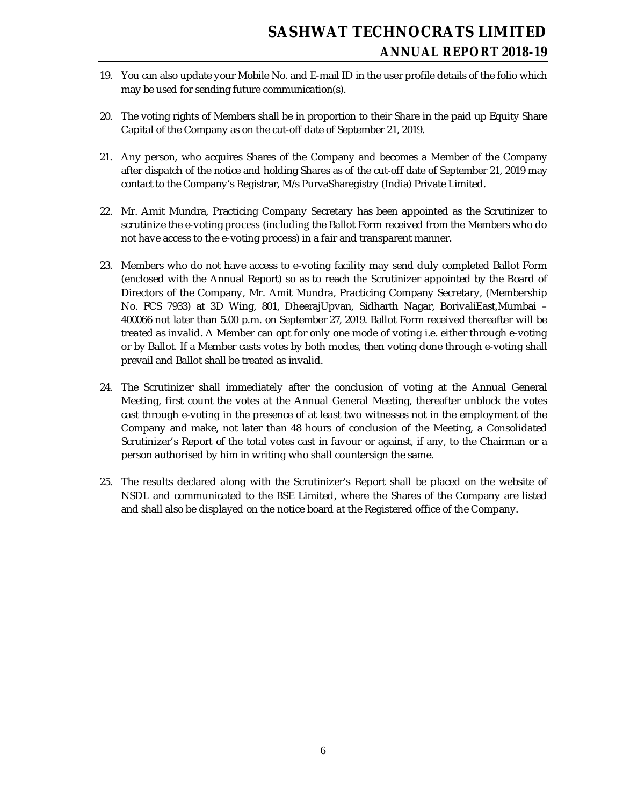- 19. You can also update your Mobile No. and E-mail ID in the user profile details of the folio which may be used for sending future communication(s).
- 20. The voting rights of Members shall be in proportion to their Share in the paid up Equity Share Capital of the Company as on the cut-off date of September 21, 2019.
- 21. Any person, who acquires Shares of the Company and becomes a Member of the Company after dispatch of the notice and holding Shares as of the cut-off date of September 21, 2019 may contact to the Company's Registrar, M/s PurvaSharegistry (India) Private Limited.
- 22. Mr. Amit Mundra, Practicing Company Secretary has been appointed as the Scrutinizer to scrutinize the e-voting process (including the Ballot Form received from the Members who do not have access to the e-voting process) in a fair and transparent manner.
- 23. Members who do not have access to e-voting facility may send duly completed Ballot Form (enclosed with the Annual Report) so as to reach the Scrutinizer appointed by the Board of Directors of the Company, Mr. Amit Mundra, Practicing Company Secretary, (Membership No. FCS 7933) at 3D Wing, 801, DheerajUpvan, Sidharth Nagar, BorivaliEast,Mumbai – 400066 not later than 5.00 p.m. on September 27, 2019. Ballot Form received thereafter will be treated as invalid. A Member can opt for only one mode of voting i.e. either through e-voting or by Ballot. If a Member casts votes by both modes, then voting done through e-voting shall prevail and Ballot shall be treated as invalid.
- 24. The Scrutinizer shall immediately after the conclusion of voting at the Annual General Meeting, first count the votes at the Annual General Meeting, thereafter unblock the votes cast through e-voting in the presence of at least two witnesses not in the employment of the Company and make, not later than 48 hours of conclusion of the Meeting, a Consolidated Scrutinizer's Report of the total votes cast in favour or against, if any, to the Chairman or a person authorised by him in writing who shall countersign the same.
- 25. The results declared along with the Scrutinizer's Report shall be placed on the website of NSDL and communicated to the BSE Limited, where the Shares of the Company are listed and shall also be displayed on the notice board at the Registered office of the Company.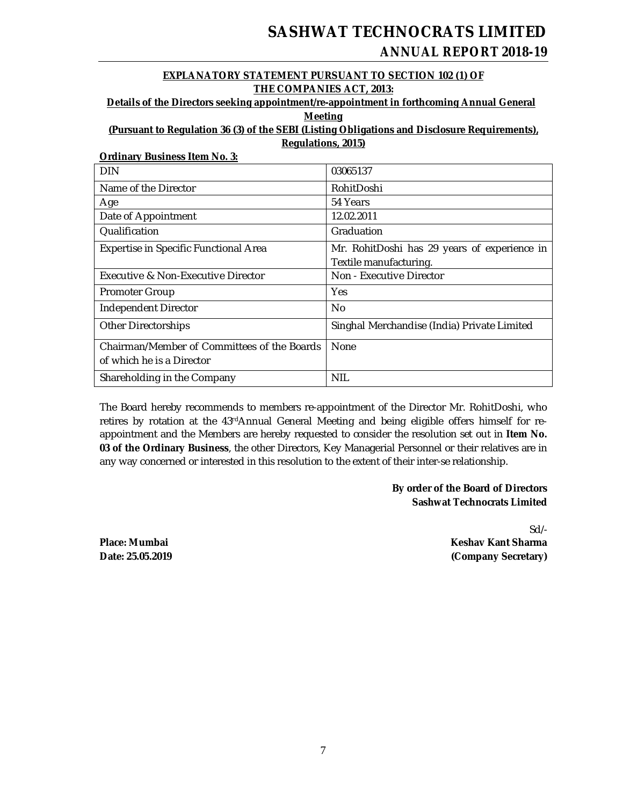#### **EXPLANATORY STATEMENT PURSUANT TO SECTION 102 (1) OF THE COMPANIES ACT, 2013:**

**Details of the Directors seeking appointment/re-appointment in forthcoming Annual General** 

#### **Meeting**

**(Pursuant to Regulation 36 (3) of the SEBI (Listing Obligations and Disclosure Requirements),** 

**Regulations, 2015)**

| <b>DIN</b>                                   | 03065137                                     |
|----------------------------------------------|----------------------------------------------|
| Name of the Director                         | RohitDoshi                                   |
| Age                                          | 54 Years                                     |
| Date of Appointment                          | 12.02.2011                                   |
| Qualification                                | Graduation                                   |
| <b>Expertise in Specific Functional Area</b> | Mr. RohitDoshi has 29 years of experience in |
|                                              | Textile manufacturing.                       |
| Executive & Non-Executive Director           | Non - Executive Director                     |
| Promoter Group                               | Yes                                          |
| Independent Director                         | No.                                          |
| Other Directorships                          | Singhal Merchandise (India) Private Limited  |
| Chairman/Member of Committees of the Boards  | <b>None</b>                                  |
| of which he is a Director                    |                                              |
| Shareholding in the Company                  | NIL                                          |

The Board hereby recommends to members re-appointment of the Director Mr. RohitDoshi, who retires by rotation at the 43<sup>rd</sup>Annual General Meeting and being eligible offers himself for reappointment and the Members are hereby requested to consider the resolution set out in **Item No. 03 of the Ordinary Business**, the other Directors, Key Managerial Personnel or their relatives are in any way concerned or interested in this resolution to the extent of their inter-se relationship.

#### **By order of the Board of Directors Sashwat Technocrats Limited**

**Ordinary Business Item No. 3:** 

Sd/- **Place: Mumbai Keshav Kant Sharma Date: 25.05.2019 (Company Secretary)**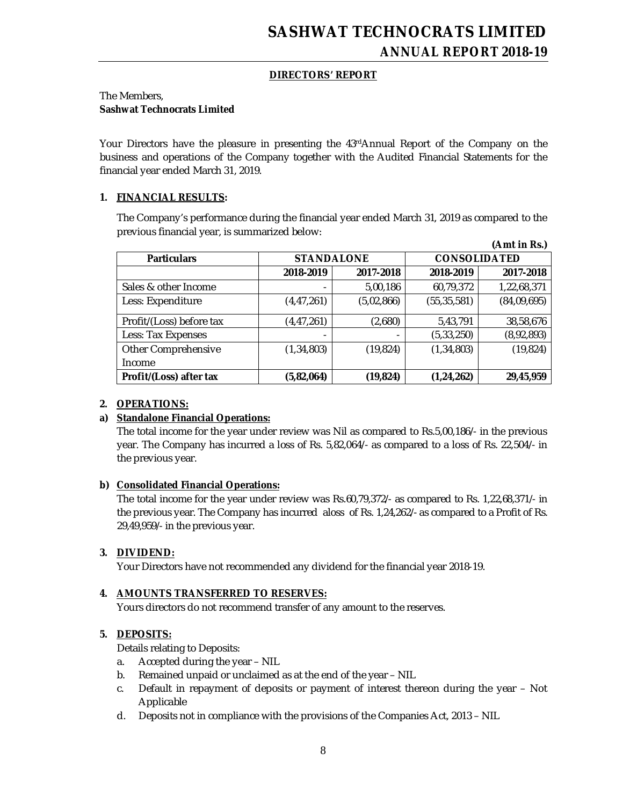#### **DIRECTORS' REPORT**

#### The Members, **Sashwat Technocrats Limited**

Your Directors have the pleasure in presenting the 43<sup>rd</sup>Annual Report of the Company on the business and operations of the Company together with the Audited Financial Statements for the financial year ended March 31, 2019.

#### **1. FINANCIAL RESULTS:**

The Company's performance during the financial year ended March 31, 2019 as compared to the previous financial year, is summarized below:

|                          |                   |            |                     | (Amt in Rs.) |
|--------------------------|-------------------|------------|---------------------|--------------|
| <b>Particulars</b>       | <b>STANDALONE</b> |            | <b>CONSOLIDATED</b> |              |
|                          | 2018-2019         | 2017-2018  | 2018-2019           | 2017-2018    |
| Sales & other Income     |                   | 5,00,186   | 60,79,372           | 1,22,68,371  |
| Less: Expenditure        | (4, 47, 261)      | (5,02,866) | (55, 35, 581)       | (84,09,695)  |
| Profit/(Loss) before tax | (4, 47, 261)      | (2,680)    | 5,43,791            | 38,58,676    |
| Less: Tax Expenses       |                   |            | (5, 33, 250)        | (8,92,893)   |
| Other Comprehensive      | (1, 34, 803)      | (19, 824)  | (1, 34, 803)        | (19, 824)    |
| Income                   |                   |            |                     |              |
| Profit/(Loss) after tax  | (5,82,064)        | (19, 824)  | (1, 24, 262)        | 29,45,959    |

#### **2. OPERATIONS:**

#### **a) Standalone Financial Operations:**

The total income for the year under review was Nil as compared to Rs.5,00,186/- in the previous year. The Company has incurred a loss of Rs. 5,82,064/- as compared to a loss of Rs. 22,504/- in the previous year.

#### **b) Consolidated Financial Operations:**

The total income for the year under review was Rs.60,79,372/- as compared to Rs. 1,22,68,371/- in the previous year. The Company has incurred aloss of Rs. 1,24,262/- as compared to a Profit of Rs. 29,49,959/- in the previous year.

#### **3. DIVIDEND:**

Your Directors have not recommended any dividend for the financial year 2018-19.

#### **4. AMOUNTS TRANSFERRED TO RESERVES:**

Yours directors do not recommend transfer of any amount to the reserves.

#### **5. DEPOSITS:**

Details relating to Deposits:

- a. Accepted during the year NIL
- b. Remained unpaid or unclaimed as at the end of the year NIL
- c. Default in repayment of deposits or payment of interest thereon during the year Not Applicable
- d. Deposits not in compliance with the provisions of the Companies Act, 2013 NIL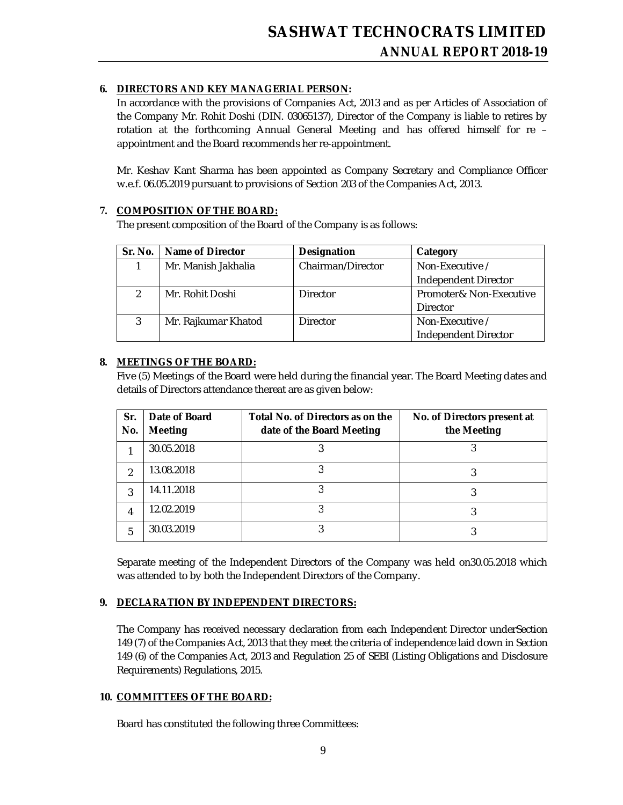#### **6. DIRECTORS AND KEY MANAGERIAL PERSON:**

In accordance with the provisions of Companies Act, 2013 and as per Articles of Association of the Company Mr. Rohit Doshi (DIN. 03065137), Director of the Company is liable to retires by rotation at the forthcoming Annual General Meeting and has offered himself for re – appointment and the Board recommends her re-appointment.

Mr. Keshav Kant Sharma has been appointed as Company Secretary and Compliance Officer w.e.f. 06.05.2019 pursuant to provisions of Section 203 of the Companies Act, 2013.

#### **7. COMPOSITION OF THE BOARD:**

The present composition of the Board of the Company is as follows:

| Sr. No. | <b>Name of Director</b> | Designation       | Category                |
|---------|-------------------------|-------------------|-------------------------|
|         | Mr. Manish Jakhalia     | Chairman/Director | Non-Executive /         |
|         |                         |                   | Independent Director    |
|         | Mr. Rohit Doshi         | Director          | Promoter& Non-Executive |
|         |                         |                   | Director                |
| 3       | Mr. Rajkumar Khatod     | Director          | Non-Executive /         |
|         |                         |                   | Independent Director    |

#### **8. MEETINGS OF THE BOARD:**

Five (5) Meetings of the Board were held during the financial year. The Board Meeting dates and details of Directors attendance thereat are as given below:

| Sr.<br>No. | Date of Board<br><b>Meeting</b> | Total No. of Directors as on the<br>date of the Board Meeting | No. of Directors present at<br>the Meeting |
|------------|---------------------------------|---------------------------------------------------------------|--------------------------------------------|
|            | 30.05.2018                      |                                                               |                                            |
|            | 13.08.2018                      |                                                               |                                            |
| 3          | 14.11.2018                      |                                                               |                                            |
| 4          | 12.02.2019                      |                                                               |                                            |
| 5          | 30.03.2019                      |                                                               |                                            |

Separate meeting of the Independent Directors of the Company was held on30.05.2018 which was attended to by both the Independent Directors of the Company.

#### **9. DECLARATION BY INDEPENDENT DIRECTORS:**

The Company has received necessary declaration from each Independent Director underSection 149 (7) of the Companies Act, 2013 that they meet the criteria of independence laid down in Section 149 (6) of the Companies Act, 2013 and Regulation 25 of SEBI (Listing Obligations and Disclosure Requirements) Regulations, 2015.

#### **10. COMMITTEES OF THE BOARD:**

Board has constituted the following three Committees: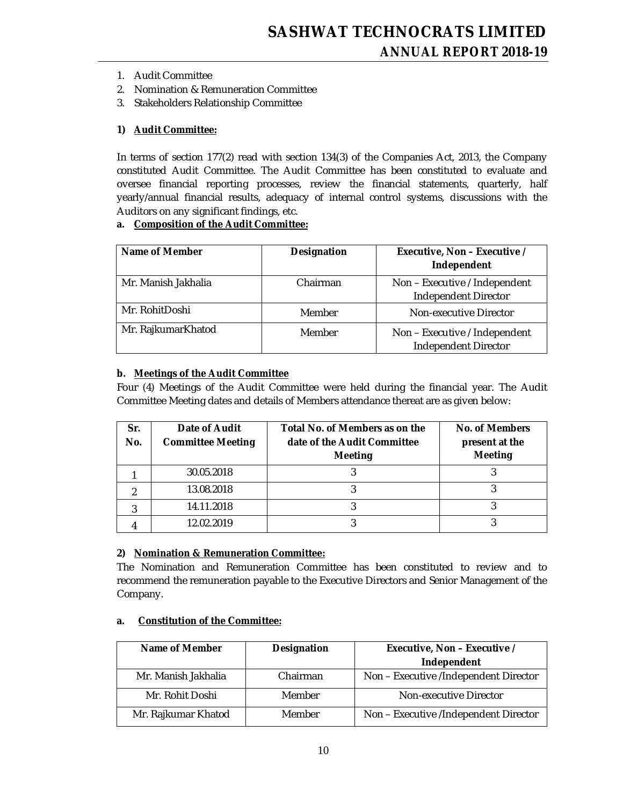- 1. Audit Committee
- 2. Nomination & Remuneration Committee
- 3. Stakeholders Relationship Committee

#### **1) Audit Committee:**

In terms of section 177(2) read with section 134(3) of the Companies Act, 2013, the Company constituted Audit Committee. The Audit Committee has been constituted to evaluate and oversee financial reporting processes, review the financial statements, quarterly, half yearly/annual financial results, adequacy of internal control systems, discussions with the Auditors on any significant findings, etc.

#### **a. Composition of the Audit Committee:**

| Name of Member      | Designation | Executive, Non - Executive /<br>Independent                  |
|---------------------|-------------|--------------------------------------------------------------|
| Mr. Manish Jakhalia | Chairman    | Non - Executive / Independent<br>Independent Director        |
| Mr. RohitDoshi      | Member      | Non-executive Director                                       |
| Mr. RajkumarKhatod  | Member      | Non - Executive / Independent<br><b>Independent Director</b> |

#### **b. Meetings of the Audit Committee**

Four (4) Meetings of the Audit Committee were held during the financial year. The Audit Committee Meeting dates and details of Members attendance thereat are as given below:

| Sr.<br>No. | Date of Audit<br><b>Committee Meeting</b> | Total No. of Members as on the<br>date of the Audit Committee<br>Meeting | No. of Members<br>present at the<br><b>Meeting</b> |
|------------|-------------------------------------------|--------------------------------------------------------------------------|----------------------------------------------------|
|            | 30.05.2018                                |                                                                          |                                                    |
|            | 13.08.2018                                |                                                                          |                                                    |
|            | 14.11.2018                                |                                                                          |                                                    |
|            | 12 02 2019                                |                                                                          |                                                    |

#### **2) Nomination & Remuneration Committee:**

The Nomination and Remuneration Committee has been constituted to review and to recommend the remuneration payable to the Executive Directors and Senior Management of the Company.

#### **a. Constitution of the Committee:**

| Name of Member      | Designation | Executive, Non - Executive /<br>Independent |
|---------------------|-------------|---------------------------------------------|
| Mr. Manish Jakhalia | Chairman    | Non - Executive /Independent Director       |
| Mr. Rohit Doshi     | Member      | Non-executive Director                      |
| Mr. Rajkumar Khatod | Member      | Non - Executive /Independent Director       |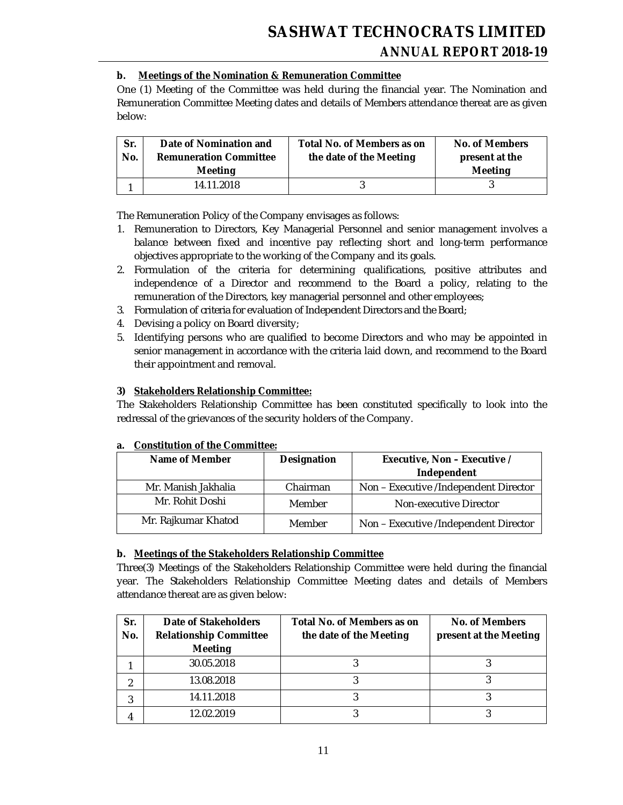#### **b. Meetings of the Nomination & Remuneration Committee**

One (1) Meeting of the Committee was held during the financial year. The Nomination and Remuneration Committee Meeting dates and details of Members attendance thereat are as given below:

| Sr.<br>No. | Date of Nomination and<br><b>Remuneration Committee</b> | <b>Total No. of Members as on</b><br>the date of the Meeting | <b>No. of Members</b><br>present at the |
|------------|---------------------------------------------------------|--------------------------------------------------------------|-----------------------------------------|
|            | Meetina                                                 |                                                              | Meetina                                 |
|            | 14.11.2018                                              |                                                              |                                         |

The Remuneration Policy of the Company envisages as follows:

- 1. Remuneration to Directors, Key Managerial Personnel and senior management involves a balance between fixed and incentive pay reflecting short and long-term performance objectives appropriate to the working of the Company and its goals.
- 2. Formulation of the criteria for determining qualifications, positive attributes and independence of a Director and recommend to the Board a policy, relating to the remuneration of the Directors, key managerial personnel and other employees;
- 3. Formulation of criteria for evaluation of Independent Directors and the Board;
- 4. Devising a policy on Board diversity;
- 5. Identifying persons who are qualified to become Directors and who may be appointed in senior management in accordance with the criteria laid down, and recommend to the Board their appointment and removal.

#### **3) Stakeholders Relationship Committee:**

The Stakeholders Relationship Committee has been constituted specifically to look into the redressal of the grievances of the security holders of the Company.

| Name of Member      | Designation | Executive, Non - Executive /          |
|---------------------|-------------|---------------------------------------|
|                     |             | Independent                           |
| Mr. Manish Jakhalia | Chairman    | Non - Executive /Independent Director |
| Mr. Rohit Doshi     | Member      | Non-executive Director                |
| Mr. Rajkumar Khatod | Member      | Non - Executive /Independent Director |

#### **a. Constitution of the Committee:**

#### **b. Meetings of the Stakeholders Relationship Committee**

Three(3) Meetings of the Stakeholders Relationship Committee were held during the financial year. The Stakeholders Relationship Committee Meeting dates and details of Members attendance thereat are as given below:

| Sr. | Date of Stakeholders          | Total No. of Members as on | No. of Members         |
|-----|-------------------------------|----------------------------|------------------------|
| No. | <b>Relationship Committee</b> | the date of the Meeting    | present at the Meeting |
|     | Meeting                       |                            |                        |
|     | 30.05.2018                    |                            |                        |
| 2   | 13.08.2018                    |                            |                        |
| 3   | 14.11.2018                    |                            |                        |
| 4   | 12.02.2019                    |                            |                        |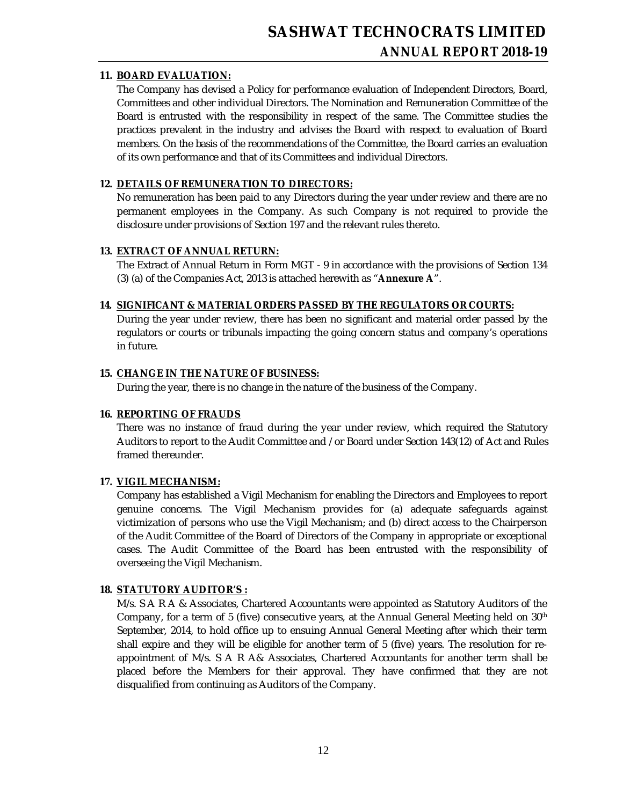#### **11. BOARD EVALUATION:**

The Company has devised a Policy for performance evaluation of Independent Directors, Board, Committees and other individual Directors. The Nomination and Remuneration Committee of the Board is entrusted with the responsibility in respect of the same. The Committee studies the practices prevalent in the industry and advises the Board with respect to evaluation of Board members. On the basis of the recommendations of the Committee, the Board carries an evaluation of its own performance and that of its Committees and individual Directors.

#### **12. DETAILS OF REMUNERATION TO DIRECTORS:**

No remuneration has been paid to any Directors during the year under review and there are no permanent employees in the Company. As such Company is not required to provide the disclosure under provisions of Section 197 and the relevant rules thereto.

#### **13. EXTRACT OF ANNUAL RETURN:**

The Extract of Annual Return in Form MGT - 9 in accordance with the provisions of Section 134 (3) (a) of the Companies Act, 2013 is attached herewith as "**Annexure A**".

#### **14. SIGNIFICANT & MATERIAL ORDERS PASSED BY THE REGULATORS OR COURTS:**

During the year under review, there has been no significant and material order passed by the regulators or courts or tribunals impacting the going concern status and company's operations in future.

#### **15. CHANGE IN THE NATURE OF BUSINESS:**

During the year, there is no change in the nature of the business of the Company.

#### **16. REPORTING OF FRAUDS**

There was no instance of fraud during the year under review, which required the Statutory Auditors to report to the Audit Committee and / or Board under Section 143(12) of Act and Rules framed thereunder.

#### **17. VIGIL MECHANISM:**

Company has established a Vigil Mechanism for enabling the Directors and Employees to report genuine concerns. The Vigil Mechanism provides for (a) adequate safeguards against victimization of persons who use the Vigil Mechanism; and (b) direct access to the Chairperson of the Audit Committee of the Board of Directors of the Company in appropriate or exceptional cases. The Audit Committee of the Board has been entrusted with the responsibility of overseeing the Vigil Mechanism.

#### **18. STATUTORY AUDITOR'S :**

M/s. S A R A & Associates, Chartered Accountants were appointed as Statutory Auditors of the Company, for a term of 5 (five) consecutive years, at the Annual General Meeting held on  $30<sup>th</sup>$ September, 2014, to hold office up to ensuing Annual General Meeting after which their term shall expire and they will be eligible for another term of 5 (five) years. The resolution for reappointment of M/s. S A R A& Associates, Chartered Accountants for another term shall be placed before the Members for their approval. They have confirmed that they are not disqualified from continuing as Auditors of the Company.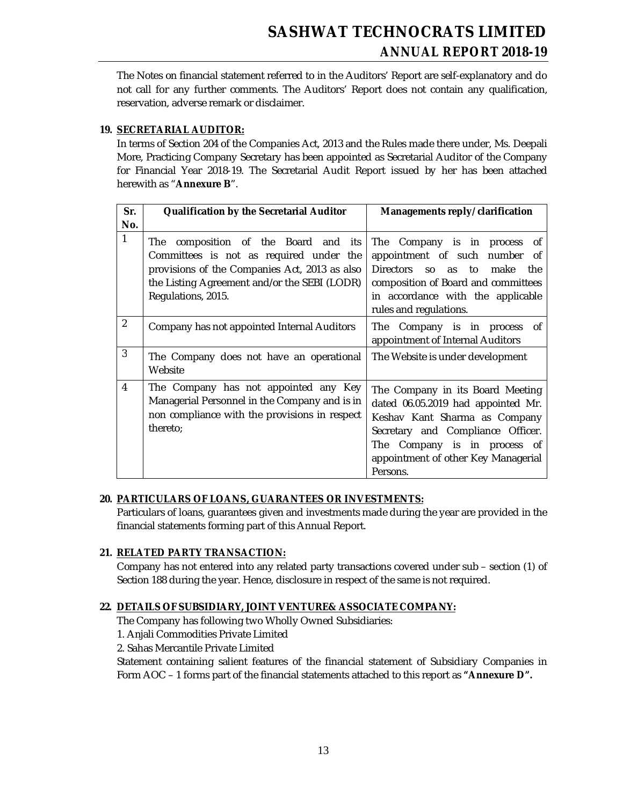The Notes on financial statement referred to in the Auditors' Report are self-explanatory and do not call for any further comments. The Auditors' Report does not contain any qualification, reservation, adverse remark or disclaimer.

#### **19. SECRETARIAL AUDITOR:**

In terms of Section 204 of the Companies Act, 2013 and the Rules made there under, Ms. Deepali More, Practicing Company Secretary has been appointed as Secretarial Auditor of the Company for Financial Year 2018-19. The Secretarial Audit Report issued by her has been attached herewith as "**Annexure B**".

| Sr.            | <b>Qualification by the Secretarial Auditor</b>                                                                                                                                                           | Managements reply/clarification                                                                                                                                                                                                 |
|----------------|-----------------------------------------------------------------------------------------------------------------------------------------------------------------------------------------------------------|---------------------------------------------------------------------------------------------------------------------------------------------------------------------------------------------------------------------------------|
| No.            |                                                                                                                                                                                                           |                                                                                                                                                                                                                                 |
|                | composition of the Board and its<br>The<br>Committees is not as required under the<br>provisions of the Companies Act, 2013 as also<br>the Listing Agreement and/or the SEBI (LODR)<br>Regulations, 2015. | Company is in process<br>The<br>- of<br>appointment of such number<br>οf<br>Directors so as to<br>make<br>the<br>composition of Board and committees<br>in accordance with the applicable<br>rules and regulations.             |
| $\mathfrak{D}$ | Company has not appointed Internal Auditors                                                                                                                                                               | The Company is in process of<br>appointment of Internal Auditors                                                                                                                                                                |
| 3              | The Company does not have an operational<br>Website                                                                                                                                                       | The Website is under development                                                                                                                                                                                                |
| 4              | The Company has not appointed any Key<br>Managerial Personnel in the Company and is in<br>non compliance with the provisions in respect<br>thereto;                                                       | The Company in its Board Meeting<br>dated 06.05.2019 had appointed Mr.<br>Keshav Kant Sharma as Company<br>Secretary and Compliance Officer.<br>The Company is in process of<br>appointment of other Key Managerial<br>Persons. |

#### **20. PARTICULARS OF LOANS, GUARANTEES OR INVESTMENTS:**

Particulars of loans, guarantees given and investments made during the year are provided in the financial statements forming part of this Annual Report.

#### **21. RELATED PARTY TRANSACTION:**

Company has not entered into any related party transactions covered under sub – section (1) of Section 188 during the year. Hence, disclosure in respect of the same is not required.

#### **22. DETAILS OF SUBSIDIARY, JOINT VENTURE& ASSOCIATE COMPANY:**

The Company has following two Wholly Owned Subsidiaries:

1. Anjali Commodities Private Limited

2. Sahas Mercantile Private Limited

Statement containing salient features of the financial statement of Subsidiary Companies in Form AOC – 1 forms part of the financial statements attached to this report as **"Annexure D".**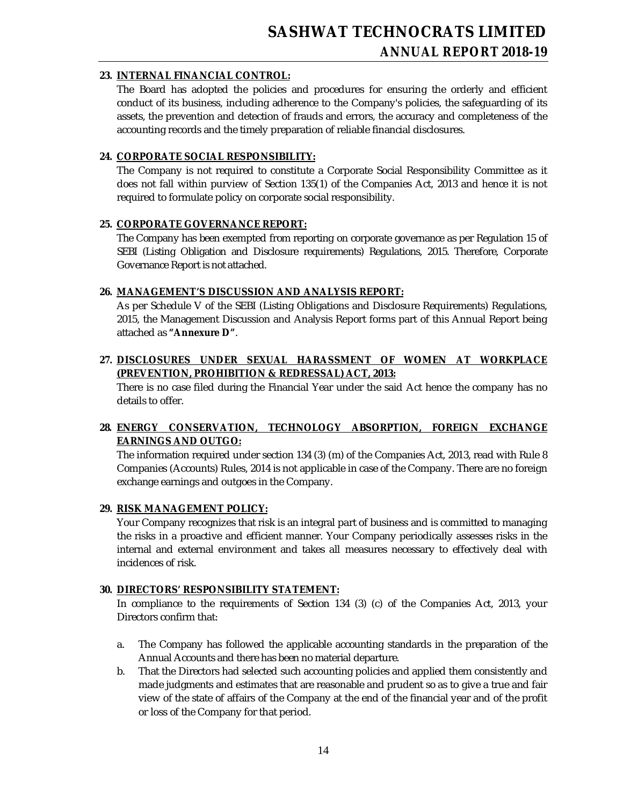#### **23. INTERNAL FINANCIAL CONTROL:**

The Board has adopted the policies and procedures for ensuring the orderly and efficient conduct of its business, including adherence to the Company's policies, the safeguarding of its assets, the prevention and detection of frauds and errors, the accuracy and completeness of the accounting records and the timely preparation of reliable financial disclosures.

#### **24. CORPORATE SOCIAL RESPONSIBILITY:**

The Company is not required to constitute a Corporate Social Responsibility Committee as it does not fall within purview of Section 135(1) of the Companies Act, 2013 and hence it is not required to formulate policy on corporate social responsibility.

#### **25. CORPORATE GOVERNANCE REPORT:**

The Company has been exempted from reporting on corporate governance as per Regulation 15 of SEBI (Listing Obligation and Disclosure requirements) Regulations, 2015. Therefore, Corporate Governance Report is not attached.

#### **26. MANAGEMENT'S DISCUSSION AND ANALYSIS REPORT:**

As per Schedule V of the SEBI (Listing Obligations and Disclosure Requirements) Regulations, 2015, the Management Discussion and Analysis Report forms part of this Annual Report being attached as **"Annexure D"**.

#### **27. DISCLOSURES UNDER SEXUAL HARASSMENT OF WOMEN AT WORKPLACE (PREVENTION, PROHIBITION & REDRESSAL) ACT, 2013:**

There is no case filed during the Financial Year under the said Act hence the company has no details to offer.

#### **28. ENERGY CONSERVATION, TECHNOLOGY ABSORPTION, FOREIGN EXCHANGE EARNINGS AND OUTGO:**

The information required under section 134 (3) (m) of the Companies Act, 2013, read with Rule 8 Companies (Accounts) Rules, 2014 is not applicable in case of the Company. There are no foreign exchange earnings and outgoes in the Company.

#### **29. RISK MANAGEMENT POLICY:**

Your Company recognizes that risk is an integral part of business and is committed to managing the risks in a proactive and efficient manner. Your Company periodically assesses risks in the internal and external environment and takes all measures necessary to effectively deal with incidences of risk.

#### **30. DIRECTORS' RESPONSIBILITY STATEMENT:**

In compliance to the requirements of Section 134 (3) (c) of the Companies Act, 2013, your Directors confirm that:

- a. The Company has followed the applicable accounting standards in the preparation of the Annual Accounts and there has been no material departure.
- b. That the Directors had selected such accounting policies and applied them consistently and made judgments and estimates that are reasonable and prudent so as to give a true and fair view of the state of affairs of the Company at the end of the financial year and of the profit or loss of the Company for that period.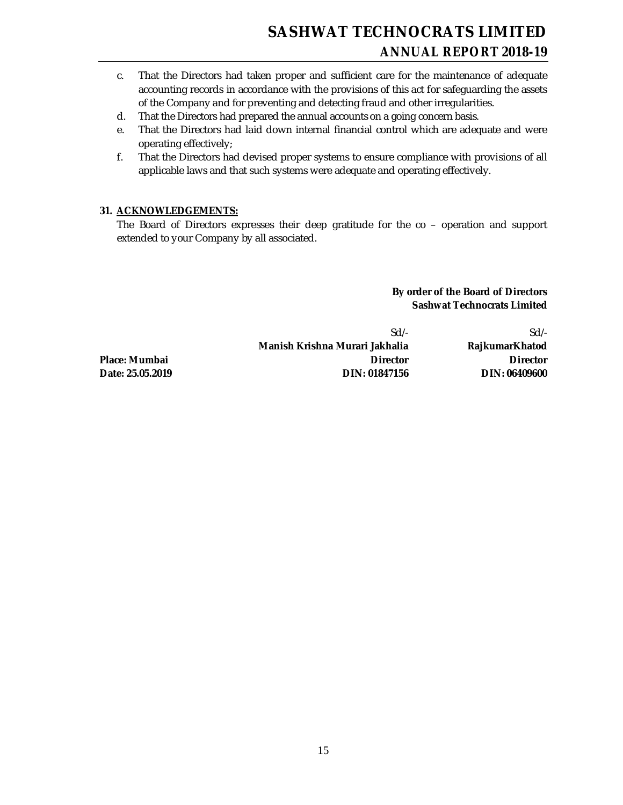- c. That the Directors had taken proper and sufficient care for the maintenance of adequate accounting records in accordance with the provisions of this act for safeguarding the assets of the Company and for preventing and detecting fraud and other irregularities.
- d. That the Directors had prepared the annual accounts on a going concern basis.
- e. That the Directors had laid down internal financial control which are adequate and were operating effectively;
- f. That the Directors had devised proper systems to ensure compliance with provisions of all applicable laws and that such systems were adequate and operating effectively.

#### **31. ACKNOWLEDGEMENTS:**

The Board of Directors expresses their deep gratitude for the co – operation and support extended to your Company by all associated.

#### **By order of the Board of Directors Sashwat Technocrats Limited**

| Sd/-            | $Sd/$ -                        |
|-----------------|--------------------------------|
| RajkumarKhatod  | Manish Krishna Murari Jakhalia |
| <b>Director</b> | <b>Director</b>                |
| DIN: 06409600   | DIN: 01847156                  |
|                 |                                |

**Place: Mumbai**  $Date: 25.05.2019$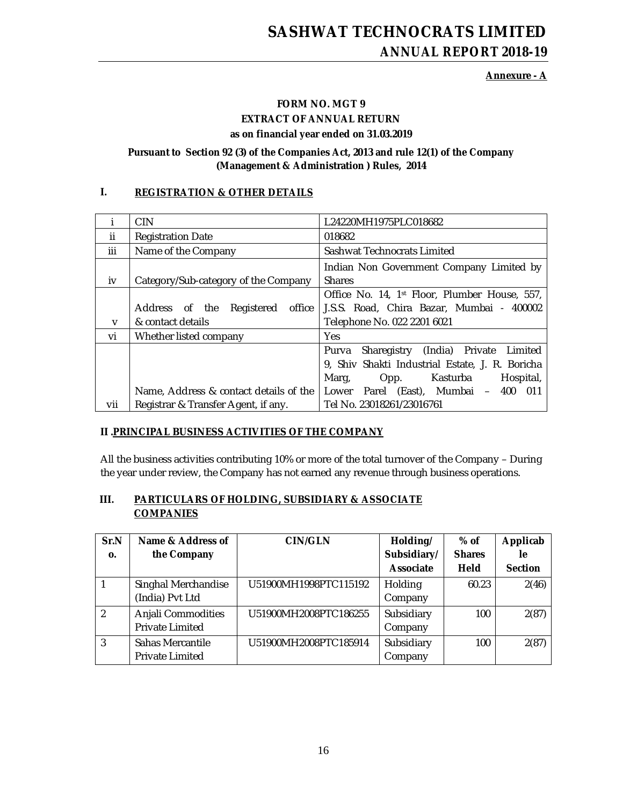#### **Annexure - A**

#### **FORM NO. MGT 9 EXTRACT OF ANNUAL RETURN**

#### **as on financial year ended on 31.03.2019**

#### **Pursuant to Section 92 (3) of the Companies Act, 2013 and rule 12(1) of the Company (Management & Administration ) Rules, 2014**

#### **I. REGISTRATION & OTHER DETAILS**

|        | CIN<br>L24220MH1975PLC018682           |                                                           |  |  |  |
|--------|----------------------------------------|-----------------------------------------------------------|--|--|--|
| ii     | <b>Registration Date</b>               | 018682                                                    |  |  |  |
| iii    | Name of the Company                    | Sashwat Technocrats Limited                               |  |  |  |
|        |                                        | Indian Non Government Company Limited by                  |  |  |  |
| iv     | Category/Sub-category of the Company   | <b>Shares</b>                                             |  |  |  |
|        |                                        | Office No. 14, 1 <sup>st</sup> Floor, Plumber House, 557, |  |  |  |
|        | Registered<br>Address of the<br>office | J.S.S. Road, Chira Bazar, Mumbai - 400002                 |  |  |  |
| $\vee$ | & contact details                      | Telephone No. 022 2201 6021                               |  |  |  |
| vi     | Whether listed company                 | Yes.                                                      |  |  |  |
|        |                                        | Purva Sharegistry (India) Private Limited                 |  |  |  |
|        |                                        | 9, Shiv Shakti Industrial Estate, J. R. Boricha           |  |  |  |
|        |                                        | Hospital,<br>Marg,<br>Opp. Kasturba                       |  |  |  |
|        | Name. Address & contact details of the | Parel (East), Mumbai –<br>400 011<br>Lower                |  |  |  |
| vii    | Registrar & Transfer Agent, if any.    | Tel No. 23018261/23016761                                 |  |  |  |

#### **II .PRINCIPAL BUSINESS ACTIVITIES OF THE COMPANY**

All the business activities contributing 10% or more of the total turnover of the Company – During the year under review, the Company has not earned any revenue through business operations.

#### **III. PARTICULARS OF HOLDING, SUBSIDIARY & ASSOCIATE COMPANIES**

| Sr.N           | Name & Address of   | <b>CIN/GLN</b>        | Holding/         | $%$ of        | Applicab       |
|----------------|---------------------|-----------------------|------------------|---------------|----------------|
| $\mathbf{O}$ . | the Company         |                       | Subsidiary/      | <b>Shares</b> | <b>le</b>      |
|                |                     |                       | <b>Associate</b> | <b>Held</b>   | <b>Section</b> |
|                | Singhal Merchandise | U51900MH1998PTC115192 | Holding          | 60.23         | 2(46)          |
|                | (India) Pvt Ltd     |                       | Company          |               |                |
|                | Anjali Commodities  | U51900MH2008PTC186255 | Subsidiary       | 100           | 2(87)          |
|                | Private Limited     |                       | Company          |               |                |
| 3              | Sahas Mercantile    | U51900MH2008PTC185914 | Subsidiary       | 100           | 2(87)          |
|                | Private Limited     |                       | Company          |               |                |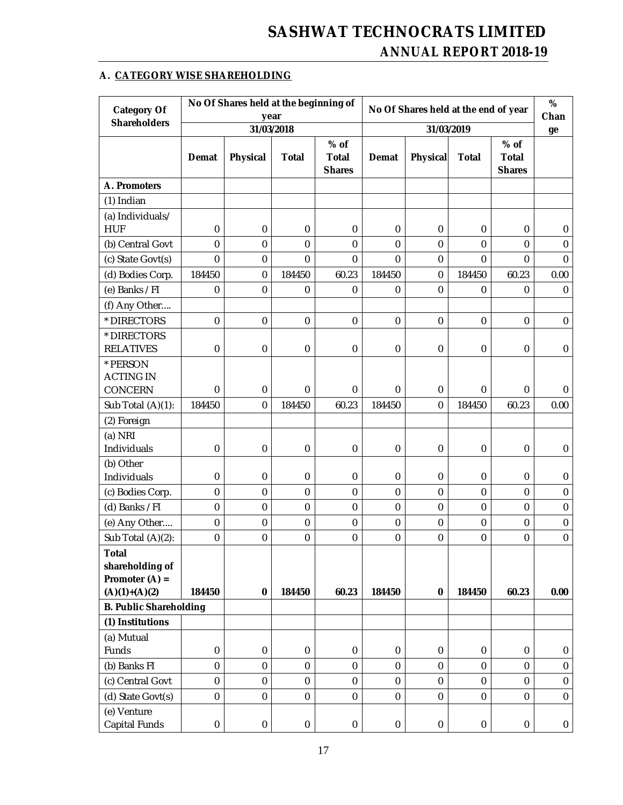#### **A. CATEGORY WISE SHAREHOLDING**

| <b>Category Of</b>            |                  | No Of Shares held at the beginning of<br>year |                  |                                       | No Of Shares held at the end of year |                  |                  |                                       | $\%$<br>Chan     |
|-------------------------------|------------------|-----------------------------------------------|------------------|---------------------------------------|--------------------------------------|------------------|------------------|---------------------------------------|------------------|
| <b>Shareholders</b>           |                  | 31/03/2018                                    |                  |                                       |                                      | 31/03/2019       |                  |                                       | ge               |
|                               | Demat            | Physical                                      | <b>Total</b>     | % of<br><b>Total</b><br><b>Shares</b> | Demat                                | Physical         | <b>Total</b>     | % of<br><b>Total</b><br><b>Shares</b> |                  |
| A. Promoters                  |                  |                                               |                  |                                       |                                      |                  |                  |                                       |                  |
| (1) Indian                    |                  |                                               |                  |                                       |                                      |                  |                  |                                       |                  |
| (a) Individuals/              |                  |                                               |                  |                                       |                                      |                  |                  |                                       |                  |
| <b>HUF</b>                    | 0                | $\mathbf 0$                                   | $\boldsymbol{0}$ | $\mathbf 0$                           | $\mathbf 0$                          | $\mathbf 0$      | 0                | $\mathbf 0$                           | $\pmb{0}$        |
| (b) Central Govt              | 0                | 0                                             | $\mathbf 0$      | $\mathbf 0$                           | $\Omega$                             | $\mathbf 0$      | 0                | $\Omega$                              | $\mathbf 0$      |
| (c) State Govt(s)             | 0                | 0                                             | $\Omega$         | $\mathbf 0$                           | $\Omega$                             | $\mathbf 0$      | 0                | $\Omega$                              | $\mathbf 0$      |
| (d) Bodies Corp.              | 184450           | 0                                             | 184450           | 60.23                                 | 184450                               | $\mathbf 0$      | 184450           | 60.23                                 | 0.00             |
| (e) Banks / FI                | $\mathbf 0$      | 0                                             | $\mathbf 0$      | $\mathbf 0$                           | $\mathbf 0$                          | $\mathbf 0$      | 0                | 0                                     | $\boldsymbol{0}$ |
| (f) Any Other                 |                  |                                               |                  |                                       |                                      |                  |                  |                                       |                  |
| * DIRECTORS                   | 0                | 0                                             | $\mathbf 0$      | $\mathbf 0$                           | $\mathbf 0$                          | $\mathbf 0$      | 0                | 0                                     | $\boldsymbol{0}$ |
| * DIRECTORS                   |                  |                                               |                  |                                       |                                      |                  |                  |                                       |                  |
| <b>RELATIVES</b>              | $\mathbf 0$      | $\boldsymbol{0}$                              | $\boldsymbol{0}$ | $\mathbf 0$                           | $\boldsymbol{0}$                     | $\mathbf 0$      | 0                | 0                                     | $\pmb{0}$        |
| * PERSON                      |                  |                                               |                  |                                       |                                      |                  |                  |                                       |                  |
| <b>ACTING IN</b>              |                  |                                               |                  |                                       |                                      |                  |                  |                                       |                  |
| CONCERN                       | $\mathbf{0}$     | 0                                             | $\mathbf 0$      | $\mathbf 0$                           | $\mathbf 0$                          | $\mathbf 0$      | $\mathbf 0$      | 0                                     | $\boldsymbol{0}$ |
| Sub Total (A)(1):             | 184450           | $\mathbf 0$                                   | 184450           | 60.23                                 | 184450                               | $\mathbf 0$      | 184450           | 60.23                                 | 0.00             |
| (2) Foreign                   |                  |                                               |                  |                                       |                                      |                  |                  |                                       |                  |
| (a) NRI<br>Individuals        |                  | $\boldsymbol{0}$                              | $\mathbf 0$      | $\mathbf 0$                           | $\mathbf 0$                          | $\mathbf 0$      | $\mathbf 0$      | 0                                     |                  |
| (b) Other                     | 0                |                                               |                  |                                       |                                      |                  |                  |                                       | $\boldsymbol{0}$ |
| Individuals                   | 0                | 0                                             | $\boldsymbol{0}$ | $\boldsymbol{0}$                      | $\mathbf 0$                          | $\mathbf 0$      | 0                | 0                                     | $\pmb{0}$        |
| (c) Bodies Corp.              | 0                | 0                                             | $\mathbf 0$      | $\mathbf 0$                           | $\overline{0}$                       | $\Omega$         | 0                | $\overline{0}$                        | $\boldsymbol{0}$ |
| (d) Banks / FI                | 0                | 0                                             | $\mathbf 0$      | $\boldsymbol{0}$                      | $\mathbf 0$                          | $\mathbf 0$      | 0                | $\mathbf 0$                           | $\boldsymbol{0}$ |
| (e) Any Other                 | 0                | 0                                             | $\mathbf 0$      | $\boldsymbol{0}$                      | $\mathbf 0$                          | $\mathbf 0$      | $\boldsymbol{0}$ | $\mathbf 0$                           | $\pmb{0}$        |
| Sub Total (A)(2):             | 0                | 0                                             | $\mathbf 0$      | $\boldsymbol{0}$                      | $\mathbf 0$                          | $\boldsymbol{0}$ | 0                | $\mathbf 0$                           | $\boldsymbol{0}$ |
| Total                         |                  |                                               |                  |                                       |                                      |                  |                  |                                       |                  |
| shareholding of               |                  |                                               |                  |                                       |                                      |                  |                  |                                       |                  |
| Promoter $(A)$ =              |                  |                                               |                  |                                       |                                      |                  |                  |                                       |                  |
| $(A)(1)+(A)(2)$               | 184450           | 0                                             | 184450           | 60.23                                 | 184450                               | $\bf{0}$         | 184450           | 60.23                                 | 0.00             |
| <b>B. Public Shareholding</b> |                  |                                               |                  |                                       |                                      |                  |                  |                                       |                  |
| (1) Institutions              |                  |                                               |                  |                                       |                                      |                  |                  |                                       |                  |
| (a) Mutual                    |                  |                                               |                  |                                       |                                      |                  |                  |                                       |                  |
| Funds                         | $\boldsymbol{0}$ | $\boldsymbol{0}$                              | $\boldsymbol{0}$ | $\boldsymbol{0}$                      | $\boldsymbol{0}$                     | $\boldsymbol{0}$ | 0                | 0                                     | 0                |
| (b) Banks FI                  | $\mathbf 0$      | $\mathbf 0$                                   | $\mathbf 0$      | $\boldsymbol{0}$                      | $\mathbf 0$                          | $\mathbf 0$      | $\mathbf 0$      | $\mathbf 0$                           | $\pmb{0}$        |
| (c) Central Govt              | $\mathbf 0$      | 0                                             | 0                | $\boldsymbol{0}$                      | $\mathbf 0$                          | 0                | 0                | 0                                     | $\mathbf 0$      |
| (d) State Govt(s)             | 0                | 0                                             | $\mathbf 0$      | $\mathbf 0$                           | $\mathbf 0$                          | 0                | 0                | 0                                     | $\mathbf 0$      |
| (e) Venture<br>Capital Funds  | 0                | 0                                             | $\boldsymbol{0}$ | $\boldsymbol{0}$                      | $\boldsymbol{0}$                     | 0                | $\pmb{0}$        | $\boldsymbol{0}$                      | $\boldsymbol{0}$ |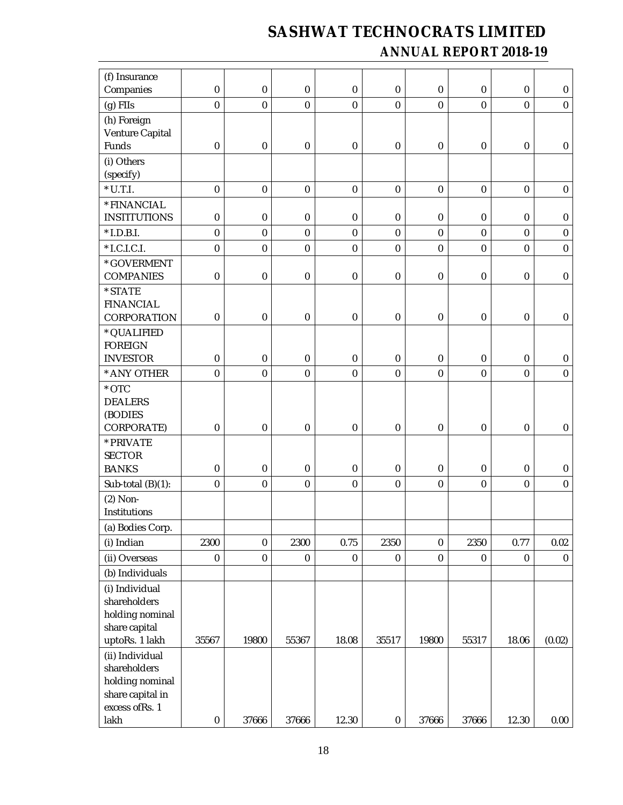| (f) Insurance                     |                                 |                                 |                  |                                 |                  |                  |                                      |                  |                               |
|-----------------------------------|---------------------------------|---------------------------------|------------------|---------------------------------|------------------|------------------|--------------------------------------|------------------|-------------------------------|
| Companies                         | $\mathbf 0$                     | $\boldsymbol{0}$                | $\boldsymbol{0}$ | $\boldsymbol{0}$                | $\pmb{0}$        | $\boldsymbol{0}$ | $\boldsymbol{0}$                     | $\boldsymbol{0}$ | $\pmb{0}$                     |
| $(g)$ FIIs                        | $\mathbf 0$                     | $\mathbf 0$                     | $\mathbf 0$      | $\mathbf 0$                     | $\mathbf 0$      | $\mathbf 0$      | $\boldsymbol{0}$                     | $\mathbf 0$      | $\pmb{0}$                     |
| (h) Foreign                       |                                 |                                 |                  |                                 |                  |                  |                                      |                  |                               |
| Venture Capital<br>Funds          | $\mathbf 0$                     | $\boldsymbol{0}$                | $\mathbf 0$      | $\boldsymbol{0}$                | $\boldsymbol{0}$ | $\mathbf 0$      | $\boldsymbol{0}$                     | $\boldsymbol{0}$ | $\pmb{0}$                     |
| (i) Others                        |                                 |                                 |                  |                                 |                  |                  |                                      |                  |                               |
| (specify)                         |                                 |                                 |                  |                                 |                  |                  |                                      |                  |                               |
| $*$ U.T.I.                        | $\boldsymbol{0}$                | $\boldsymbol{0}$                | $\boldsymbol{0}$ | $\boldsymbol{0}$                | $\boldsymbol{0}$ | $\pmb{0}$        | $\boldsymbol{0}$                     | $\boldsymbol{0}$ | $\boldsymbol{0}$              |
| * FINANCIAL                       |                                 |                                 |                  |                                 |                  |                  |                                      |                  |                               |
| <b>INSTITUTIONS</b>               | $\mathbf 0$                     | $\boldsymbol{0}$                | $\boldsymbol{0}$ | $\boldsymbol{0}$                | $\pmb{0}$        | $\boldsymbol{0}$ | $\boldsymbol{0}$                     | $\boldsymbol{0}$ | $\pmb{0}$                     |
| $*$ I.D.B.I.                      | $\mathbf 0$                     | $\boldsymbol{0}$                | $\mathbf 0$      | $\boldsymbol{0}$                | $\mathbf 0$      | $\mathbf 0$      | $\boldsymbol{0}$                     | $\mathbf 0$      | $\pmb{0}$                     |
| $*$ I.C.I.C.I.                    | $\boldsymbol{0}$                | $\boldsymbol{0}$                | $\boldsymbol{0}$ | $\boldsymbol{0}$                | $\boldsymbol{0}$ | $\pmb{0}$        | $\boldsymbol{0}$                     | $\boldsymbol{0}$ | $\pmb{0}$                     |
| * GOVERMENT                       |                                 |                                 |                  |                                 |                  |                  |                                      |                  |                               |
| <b>COMPANIES</b>                  | $\boldsymbol{0}$                | $\pmb{0}$                       | $\boldsymbol{0}$ | $\boldsymbol{0}$                | $\pmb{0}$        | $\pmb{0}$        | $\boldsymbol{0}$                     | $\boldsymbol{0}$ | $\boldsymbol{0}$              |
| * STATE                           |                                 |                                 |                  |                                 |                  |                  |                                      |                  |                               |
| <b>FINANCIAL</b>                  |                                 |                                 |                  |                                 |                  |                  |                                      |                  |                               |
| CORPORATION                       | $\boldsymbol{0}$                | $\boldsymbol{0}$                | $\mathbf 0$      | $\boldsymbol{0}$                | $\boldsymbol{0}$ | $\boldsymbol{0}$ | $\boldsymbol{0}$                     | $\boldsymbol{0}$ | $\boldsymbol{0}$              |
| * QUALIFIED                       |                                 |                                 |                  |                                 |                  |                  |                                      |                  |                               |
| <b>FOREIGN</b><br><b>INVESTOR</b> |                                 |                                 | $\boldsymbol{0}$ |                                 | $\pmb{0}$        | $\pmb{0}$        |                                      | $\boldsymbol{0}$ |                               |
| * ANY OTHER                       | $\boldsymbol{0}$<br>$\mathbf 0$ | $\boldsymbol{0}$<br>$\mathbf 0$ | $\mathbf 0$      | $\boldsymbol{0}$<br>$\mathbf 0$ | $\mathbf 0$      | $\mathbf 0$      | $\boldsymbol{0}$<br>$\boldsymbol{0}$ | $\mathbf 0$      | $\pmb{0}$<br>$\boldsymbol{0}$ |
|                                   |                                 |                                 |                  |                                 |                  |                  |                                      |                  |                               |
| * OTC<br><b>DEALERS</b>           |                                 |                                 |                  |                                 |                  |                  |                                      |                  |                               |
| (BODIES                           |                                 |                                 |                  |                                 |                  |                  |                                      |                  |                               |
| CORPORATE)                        | $\boldsymbol{0}$                | $\boldsymbol{0}$                | $\boldsymbol{0}$ | $\boldsymbol{0}$                | $\pmb{0}$        | $\boldsymbol{0}$ | $\boldsymbol{0}$                     | $\boldsymbol{0}$ | $\pmb{0}$                     |
| * PRIVATE                         |                                 |                                 |                  |                                 |                  |                  |                                      |                  |                               |
| <b>SECTOR</b>                     |                                 |                                 |                  |                                 |                  |                  |                                      |                  |                               |
| <b>BANKS</b>                      | $\boldsymbol{0}$                | $\boldsymbol{0}$                | $\boldsymbol{0}$ | $\boldsymbol{0}$                | $\pmb{0}$        | $\boldsymbol{0}$ | $\boldsymbol{0}$                     | $\boldsymbol{0}$ | $\boldsymbol{0}$              |
| Sub-total (B)(1):                 | $\mathbf 0$                     | $\mathbf 0$                     | $\mathbf 0$      | $\mathbf 0$                     | $\mathbf 0$      | $\mathbf 0$      | $\boldsymbol{0}$                     | $\mathbf 0$      | $\boldsymbol{0}$              |
| $(2)$ Non-                        |                                 |                                 |                  |                                 |                  |                  |                                      |                  |                               |
| Institutions                      |                                 |                                 |                  |                                 |                  |                  |                                      |                  |                               |
| (a) Bodies Corp.                  |                                 |                                 |                  |                                 |                  |                  |                                      |                  |                               |
| (i) Indian                        | 2300                            | $\boldsymbol{0}$                | 2300             | 0.75                            | 2350             | $\boldsymbol{0}$ | 2350                                 | 0.77             | 0.02                          |
| (ii) Overseas                     | $\boldsymbol{0}$                | $\boldsymbol{0}$                | $\boldsymbol{0}$ | $\boldsymbol{0}$                | $\boldsymbol{0}$ | $\boldsymbol{0}$ | $\boldsymbol{0}$                     | $\boldsymbol{0}$ | $\mathbf 0$                   |
| (b) Individuals                   |                                 |                                 |                  |                                 |                  |                  |                                      |                  |                               |
| (i) Individual                    |                                 |                                 |                  |                                 |                  |                  |                                      |                  |                               |
| shareholders                      |                                 |                                 |                  |                                 |                  |                  |                                      |                  |                               |
| holding nominal<br>share capital  |                                 |                                 |                  |                                 |                  |                  |                                      |                  |                               |
| uptoRs. 1 lakh                    | 35567                           | 19800                           | 55367            | 18.08                           | 35517            | 19800            | 55317                                | 18.06            | (0.02)                        |
| (ii) Individual                   |                                 |                                 |                  |                                 |                  |                  |                                      |                  |                               |
| shareholders                      |                                 |                                 |                  |                                 |                  |                  |                                      |                  |                               |
| holding nominal                   |                                 |                                 |                  |                                 |                  |                  |                                      |                  |                               |
| share capital in                  |                                 |                                 |                  |                                 |                  |                  |                                      |                  |                               |
| excess ofRs. 1                    |                                 |                                 |                  |                                 |                  |                  |                                      |                  |                               |
| lakh                              | $\boldsymbol{0}$                | 37666                           | 37666            | 12.30                           | $\boldsymbol{0}$ | 37666            | 37666                                | 12.30            | 0.00                          |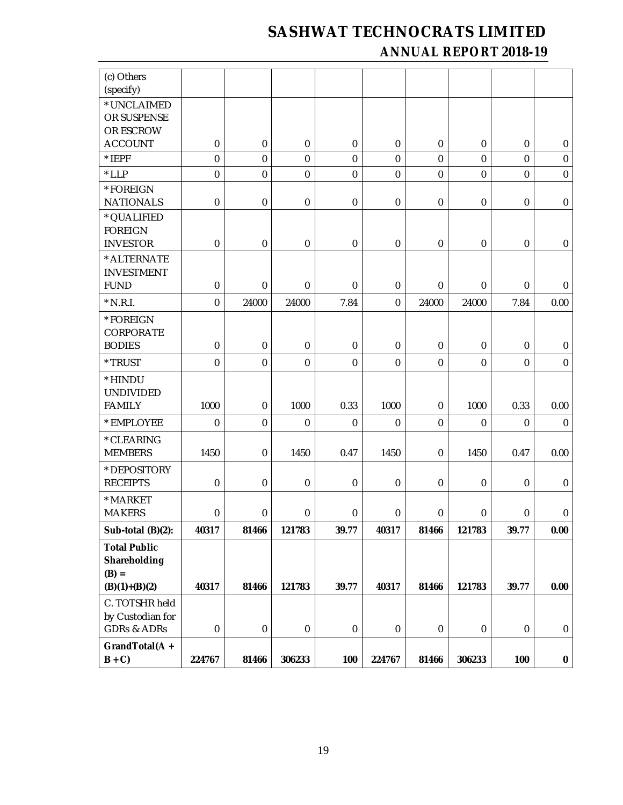| (c) Others<br>(specify)                        |                  |                  |                  |                  |                  |                  |                  |                  |                  |
|------------------------------------------------|------------------|------------------|------------------|------------------|------------------|------------------|------------------|------------------|------------------|
| * UNCLAIMED<br>OR SUSPENSE<br>OR ESCROW        |                  |                  |                  |                  |                  |                  |                  |                  |                  |
| <b>ACCOUNT</b>                                 | $\boldsymbol{0}$ | $\boldsymbol{0}$ | $\boldsymbol{0}$ | $\boldsymbol{0}$ | $\pmb{0}$        | $\mathbf 0$      | $\mathbf 0$      | $\mathbf 0$      | $\boldsymbol{0}$ |
| * IEPF                                         | $\boldsymbol{0}$ | $\mathbf 0$      | $\mathbf 0$      | $\boldsymbol{0}$ | $\mathbf 0$      | $\mathbf 0$      | $\boldsymbol{0}$ | $\mathbf 0$      | $\boldsymbol{0}$ |
| * LLP                                          | $\boldsymbol{0}$ | $\boldsymbol{0}$ | $\mathbf 0$      | $\boldsymbol{0}$ | $\mathbf 0$      | $\mathbf 0$      | $\mathbf 0$      | $\mathbf 0$      | $\boldsymbol{0}$ |
| * FOREIGN                                      |                  |                  |                  |                  |                  |                  |                  |                  |                  |
| <b>NATIONALS</b>                               | $\boldsymbol{0}$ | $\boldsymbol{0}$ | $\boldsymbol{0}$ | $\boldsymbol{0}$ | $\boldsymbol{0}$ | $\mathbf 0$      | $\boldsymbol{0}$ | $\boldsymbol{0}$ | $\pmb{0}$        |
| * QUALIFIED<br><b>FOREIGN</b>                  |                  |                  |                  |                  |                  |                  |                  |                  |                  |
| <b>INVESTOR</b>                                | $\pmb{0}$        | $\boldsymbol{0}$ | $\boldsymbol{0}$ | $\boldsymbol{0}$ | $\boldsymbol{0}$ | $\boldsymbol{0}$ | $\boldsymbol{0}$ | $\boldsymbol{0}$ | $\mathbf 0$      |
| * ALTERNATE<br><b>INVESTMENT</b>               |                  |                  |                  |                  |                  |                  |                  |                  |                  |
| <b>FUND</b>                                    | 0                | $\mathbf 0$      | $\mathbf 0$      | $\mathbf 0$      | $\boldsymbol{0}$ | $\mathbf 0$      | $\mathbf 0$      | $\mathbf 0$      | $\boldsymbol{0}$ |
| $*$ N.R.I.                                     | $\boldsymbol{0}$ | 24000            | 24000            | 7.84             | $\mathbf 0$      | 24000            | 24000            | 7.84             | 0.00             |
| * FOREIGN<br>CORPORATE<br><b>BODIES</b>        | $\boldsymbol{0}$ | $\boldsymbol{0}$ | $\boldsymbol{0}$ | $\boldsymbol{0}$ | $\boldsymbol{0}$ | $\mathbf 0$      | $\mathbf 0$      | $\boldsymbol{0}$ | $\boldsymbol{0}$ |
| * TRUST                                        | $\boldsymbol{0}$ | $\boldsymbol{0}$ | $\pmb{0}$        | $\boldsymbol{0}$ | $\mathbf 0$      | $\mathbf 0$      | $\boldsymbol{0}$ | $\mathbf 0$      | $\pmb{0}$        |
| * HINDU<br><b>UNDIVIDED</b>                    | 1000             | $\boldsymbol{0}$ | 1000             | 0.33             | 1000             | $\boldsymbol{0}$ | 1000             |                  |                  |
| <b>FAMILY</b>                                  |                  |                  |                  |                  |                  |                  |                  | 0.33             | 0.00             |
| * EMPLOYEE                                     | $\mathbf 0$      | $\mathbf 0$      | $\mathbf 0$      | $\mathbf 0$      | $\mathbf 0$      | $\mathbf 0$      | $\mathbf 0$      | $\mathbf 0$      | $\mathbf 0$      |
| * CLEARING<br><b>MEMBERS</b>                   | 1450             | $\boldsymbol{0}$ | 1450             | 0.47             | 1450             | $\mathbf 0$      | 1450             | 0.47             | 0.00             |
| * DEPOSITORY<br><b>RECEIPTS</b>                | $\boldsymbol{0}$ | $\boldsymbol{0}$ | $\boldsymbol{0}$ | $\boldsymbol{0}$ | $\boldsymbol{0}$ | $\mathbf 0$      | $\boldsymbol{0}$ | $\mathbf 0$      | $\pmb{0}$        |
| * MARKET<br><b>MAKERS</b>                      | $\boldsymbol{0}$ | $\boldsymbol{0}$ | $\boldsymbol{0}$ | $\boldsymbol{0}$ | $\boldsymbol{0}$ | $\boldsymbol{0}$ | $\boldsymbol{0}$ | $\boldsymbol{0}$ | $\pmb{0}$        |
| Sub-total (B)(2):                              | 40317            | 81466            | 121783           | 39.77            | 40317            | 81466            | 121783           | 39.77            | 0.00             |
| <b>Total Public</b><br>Shareholding<br>$(B) =$ |                  |                  |                  |                  |                  |                  |                  |                  |                  |
| $(B)(1)+(B)(2)$                                | 40317            | 81466            | 121783           | 39.77            | 40317            | 81466            | 121783           | 39.77            | 0.00             |
| C. TOTSHR held<br>by Custodian for             |                  |                  |                  |                  |                  |                  |                  |                  |                  |
| <b>GDRs &amp; ADRs</b>                         | $\boldsymbol{0}$ | $\boldsymbol{0}$ | $\boldsymbol{0}$ | $\boldsymbol{0}$ | $\boldsymbol{0}$ | $\boldsymbol{0}$ | $\boldsymbol{0}$ | $\boldsymbol{0}$ | $\pmb{0}$        |
| GrandTotal(A+<br>$B + C$                       | 224767           | 81466            | 306233           | 100              | 224767           | 81466            | 306233           | 100              | $\mathbf 0$      |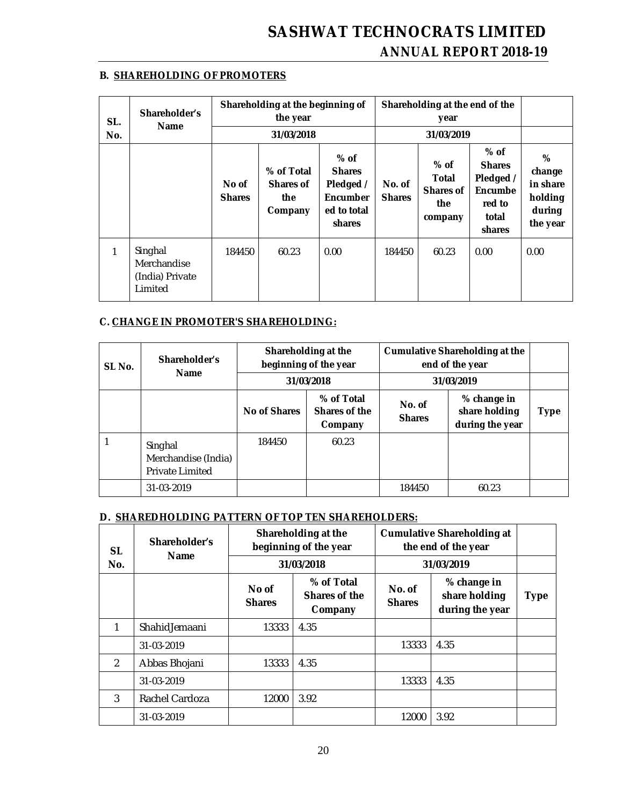#### **B. SHAREHOLDING OF PROMOTERS**

| SL.          | Shareholder's<br><b>Name</b>                         |                        | Shareholding at the beginning of<br>the year     |                                                                                  | Shareholding at the end of the<br>year |                                                       |                                                                              |                                                          |  |
|--------------|------------------------------------------------------|------------------------|--------------------------------------------------|----------------------------------------------------------------------------------|----------------------------------------|-------------------------------------------------------|------------------------------------------------------------------------------|----------------------------------------------------------|--|
| No.          |                                                      |                        | 31/03/2018                                       |                                                                                  |                                        | 31/03/2019                                            |                                                                              |                                                          |  |
|              |                                                      | No of<br><b>Shares</b> | % of Total<br><b>Shares of</b><br>the<br>Company | $%$ of<br><b>Shares</b><br>Pledged /<br>Encumber<br>ed to total<br><b>shares</b> | No. of<br><b>Shares</b>                | $%$ of<br>Total<br><b>Shares of</b><br>the<br>company | $%$ of<br><b>Shares</b><br>Pledged /<br>Encumbe<br>red to<br>total<br>shares | %<br>change<br>in share<br>holding<br>during<br>the year |  |
| $\mathbf{1}$ | Singhal<br>Merchandise<br>(India) Private<br>Limited | 184450                 | 60.23                                            | 0.00                                                                             | 184450                                 | 60.23                                                 | 0.00                                                                         | 0.00                                                     |  |

#### **C. CHANGE IN PROMOTER'S SHAREHOLDING:**

| SL No. | Shareholder's<br><b>Name</b>                      |              | Shareholding at the<br>beginning of the year | Cumulative Shareholding at the<br>end of the year |                                                 |      |
|--------|---------------------------------------------------|--------------|----------------------------------------------|---------------------------------------------------|-------------------------------------------------|------|
|        |                                                   |              | 31/03/2018                                   | 31/03/2019                                        |                                                 |      |
|        |                                                   | No of Shares | % of Total<br>Shares of the<br>Company       | No. of<br><b>Shares</b>                           | % change in<br>share holding<br>during the year | Type |
|        | Singhal<br>Merchandise (India)<br>Private Limited | 184450       | 60.23                                        |                                                   |                                                 |      |
|        | 31-03-2019                                        |              |                                              | 184450                                            | 60.23                                           |      |

#### **D. SHAREDHOLDING PATTERN OF TOP TEN SHAREHOLDERS:**

| SL            | Shareholder's<br><b>Name</b> |                        | Shareholding at the<br>beginning of the year |                         | <b>Cumulative Shareholding at</b><br>the end of the year |             |
|---------------|------------------------------|------------------------|----------------------------------------------|-------------------------|----------------------------------------------------------|-------------|
| No.           |                              |                        | 31/03/2018                                   | 31/03/2019              |                                                          |             |
|               |                              | No of<br><b>Shares</b> | % of Total<br>Shares of the<br>Company       | No. of<br><b>Shares</b> | % change in<br>share holding<br>during the year          | <b>Type</b> |
| $\mathbf{1}$  | ShahidJemaani                | 13333                  | 4.35                                         |                         |                                                          |             |
|               | 31-03-2019                   |                        |                                              | 13333                   | 4.35                                                     |             |
| $\mathcal{P}$ | Abbas Bhojani                | 13333                  | 4.35                                         |                         |                                                          |             |
|               | 31-03-2019                   |                        |                                              | 13333                   | 4.35                                                     |             |
| $\mathcal{S}$ | Rachel Cardoza               | 12000                  | 3.92                                         |                         |                                                          |             |
|               | 31-03-2019                   |                        |                                              | 12000                   | 3.92                                                     |             |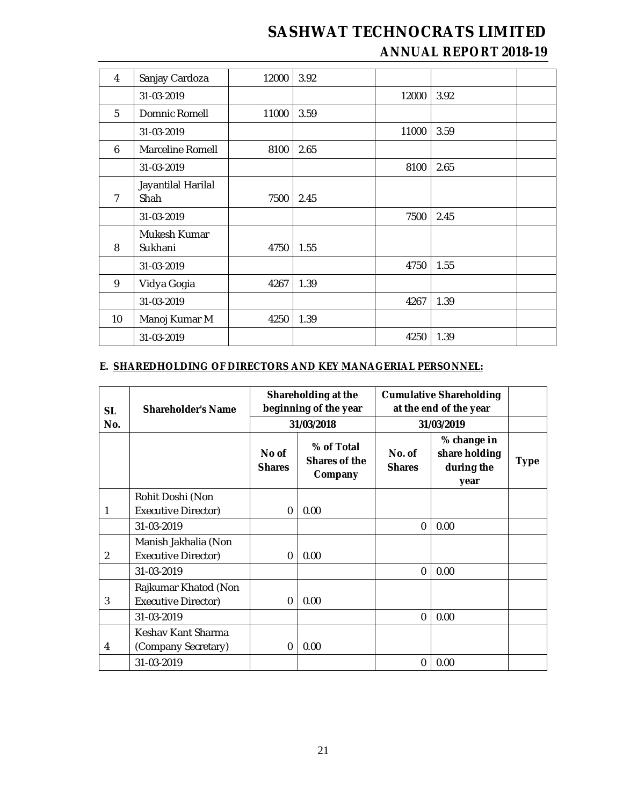| 4               | Sanjay Cardoza             | 12000 | 3.92 |       |      |  |
|-----------------|----------------------------|-------|------|-------|------|--|
|                 | 31-03-2019                 |       |      | 12000 | 3.92 |  |
| 5               | Domnic Romell              | 11000 | 3.59 |       |      |  |
|                 | 31-03-2019                 |       |      | 11000 | 3.59 |  |
| 6               | Marceline Romell           | 8100  | 2.65 |       |      |  |
|                 | 31-03-2019                 |       |      | 8100  | 2.65 |  |
| $\overline{7}$  | Jayantilal Harilal<br>Shah | 7500  | 2.45 |       |      |  |
|                 | 31-03-2019                 |       |      | 7500  | 2.45 |  |
| 8               | Mukesh Kumar<br>Sukhani    | 4750  | 1.55 |       |      |  |
|                 | 31-03-2019                 |       |      | 4750  | 1.55 |  |
| 9               | Vidya Gogia                | 4267  | 1.39 |       |      |  |
|                 | 31-03-2019                 |       |      | 4267  | 1.39 |  |
| 10 <sup>°</sup> | Manoj Kumar M              | 4250  | 1.39 |       |      |  |
|                 | 31-03-2019                 |       |      | 4250  | 1.39 |  |

#### **E. SHAREDHOLDING OF DIRECTORS AND KEY MANAGERIAL PERSONNEL:**

| <b>SL</b>      | <b>Shareholder's Name</b>                   |                        | Shareholding at the<br>beginning of the year |                         | <b>Cumulative Shareholding</b><br>at the end of the year |      |
|----------------|---------------------------------------------|------------------------|----------------------------------------------|-------------------------|----------------------------------------------------------|------|
| No.            |                                             |                        | 31/03/2018                                   |                         | 31/03/2019                                               |      |
|                |                                             | No of<br><b>Shares</b> | % of Total<br>Shares of the<br>Company       | No. of<br><b>Shares</b> | % change in<br>share holding<br>during the<br>year       | Type |
|                | Rohit Doshi (Non<br>Executive Director)     | $\Omega$               | 0.00                                         |                         |                                                          |      |
|                | 31-03-2019                                  |                        |                                              | $\Omega$                | 0.00                                                     |      |
| $\overline{2}$ | Manish Jakhalia (Non<br>Executive Director) | 0                      | 0.00                                         |                         |                                                          |      |
|                | 31-03-2019                                  |                        |                                              | $\mathbf{0}$            | 0.00                                                     |      |
| 3              | Rajkumar Khatod (Non<br>Executive Director) | 0                      | 0.00                                         |                         |                                                          |      |
|                | 31-03-2019                                  |                        |                                              | $\Omega$                | 0.00                                                     |      |
| 4              | Keshav Kant Sharma<br>(Company Secretary)   | $\Omega$               | 0.00                                         |                         |                                                          |      |
|                | 31-03-2019                                  |                        |                                              | 0                       | 0.00                                                     |      |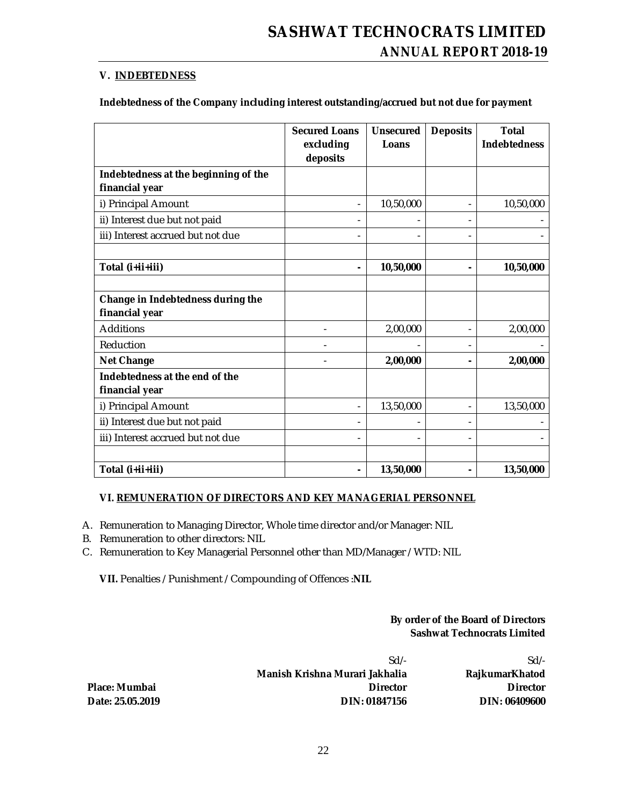#### **V. INDEBTEDNESS**

**Indebtedness of the Company including interest outstanding/accrued but not due for payment**

|                                                        | <b>Secured Loans</b><br>excluding<br>deposits | <b>Unsecured</b><br>Loans | <b>Deposits</b> | <b>Total</b><br><b>Indebtedness</b> |
|--------------------------------------------------------|-----------------------------------------------|---------------------------|-----------------|-------------------------------------|
| Indebtedness at the beginning of the<br>financial year |                                               |                           |                 |                                     |
| i) Principal Amount                                    |                                               | 10,50,000                 |                 | 10,50,000                           |
| ii) Interest due but not paid                          |                                               |                           |                 |                                     |
| iii) Interest accrued but not due                      |                                               |                           |                 |                                     |
|                                                        |                                               |                           |                 |                                     |
| Total (i+ii+iii)                                       |                                               | 10,50,000                 |                 | 10,50,000                           |
|                                                        |                                               |                           |                 |                                     |
| Change in Indebtedness during the<br>financial year    |                                               |                           |                 |                                     |
| Additions                                              |                                               | 2,00,000                  |                 | 2,00,000                            |
| Reduction                                              |                                               |                           |                 |                                     |
| <b>Net Change</b>                                      |                                               | 2,00,000                  |                 | 2,00,000                            |
| Indebtedness at the end of the<br>financial year       |                                               |                           |                 |                                     |
| i) Principal Amount                                    |                                               | 13,50,000                 |                 | 13,50,000                           |
| ii) Interest due but not paid                          |                                               |                           |                 |                                     |
| iii) Interest accrued but not due                      |                                               |                           |                 |                                     |
|                                                        |                                               |                           |                 |                                     |
| Total (i+ii+iii)                                       |                                               | 13,50,000                 |                 | 13,50,000                           |

#### **VI. REMUNERATION OF DIRECTORS AND KEY MANAGERIAL PERSONNEL**

- A. Remuneration to Managing Director, Whole time director and/or Manager: NIL
- B. Remuneration to other directors: NIL
- C. Remuneration to Key Managerial Personnel other than MD/Manager / WTD: NIL

**VII.** Penalties / Punishment / Compounding of Offences :**NIL**

#### **By order of the Board of Directors Sashwat Technocrats Limited**

|                  | $Sd/-$                         | Sd              |
|------------------|--------------------------------|-----------------|
|                  | Manish Krishna Murari Jakhalia | RajkumarKhatod  |
| Place: Mumbai    | <b>Director</b>                | <b>Director</b> |
| Date: 25.05.2019 | DIN: 01847156                  | DIN: 06409600   |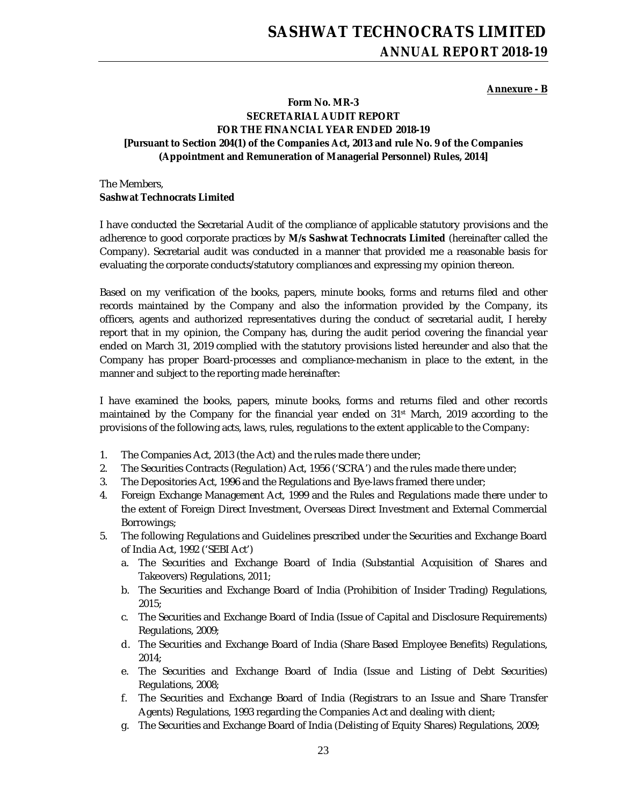#### **Annexure - B**

#### **Form No. MR-3 SECRETARIAL AUDIT REPORT FOR THE FINANCIAL YEAR ENDED 2018-19 [Pursuant to Section 204(1) of the Companies Act, 2013 and rule No. 9 of the Companies (Appointment and Remuneration of Managerial Personnel) Rules, 2014]**

#### The Members, **Sashwat Technocrats Limited**

I have conducted the Secretarial Audit of the compliance of applicable statutory provisions and the adherence to good corporate practices by **M/s Sashwat Technocrats Limited** (hereinafter called the Company). Secretarial audit was conducted in a manner that provided me a reasonable basis for evaluating the corporate conducts/statutory compliances and expressing my opinion thereon.

Based on my verification of the books, papers, minute books, forms and returns filed and other records maintained by the Company and also the information provided by the Company, its officers, agents and authorized representatives during the conduct of secretarial audit, I hereby report that in my opinion, the Company has, during the audit period covering the financial year ended on March 31, 2019 complied with the statutory provisions listed hereunder and also that the Company has proper Board-processes and compliance-mechanism in place to the extent, in the manner and subject to the reporting made hereinafter:

I have examined the books, papers, minute books, forms and returns filed and other records maintained by the Company for the financial year ended on  $31<sup>st</sup>$  March, 2019 according to the provisions of the following acts, laws, rules, regulations to the extent applicable to the Company:

- 1. The Companies Act, 2013 (the Act) and the rules made there under;
- 2. The Securities Contracts (Regulation) Act, 1956 ('SCRA') and the rules made there under;
- 3. The Depositories Act, 1996 and the Regulations and Bye-laws framed there under;
- 4. Foreign Exchange Management Act, 1999 and the Rules and Regulations made there under to the extent of Foreign Direct Investment, Overseas Direct Investment and External Commercial Borrowings;
- 5. The following Regulations and Guidelines prescribed under the Securities and Exchange Board of India Act, 1992 ('SEBI Act')
	- a. The Securities and Exchange Board of India (Substantial Acquisition of Shares and Takeovers) Regulations, 2011;
	- b. The Securities and Exchange Board of India (Prohibition of Insider Trading) Regulations, 2015;
	- c. The Securities and Exchange Board of India (Issue of Capital and Disclosure Requirements) Regulations, 2009;
	- d. The Securities and Exchange Board of India (Share Based Employee Benefits) Regulations, 2014;
	- e. The Securities and Exchange Board of India (Issue and Listing of Debt Securities) Regulations, 2008;
	- f. The Securities and Exchange Board of India (Registrars to an Issue and Share Transfer Agents) Regulations, 1993 regarding the Companies Act and dealing with client;
	- g. The Securities and Exchange Board of India (Delisting of Equity Shares) Regulations, 2009;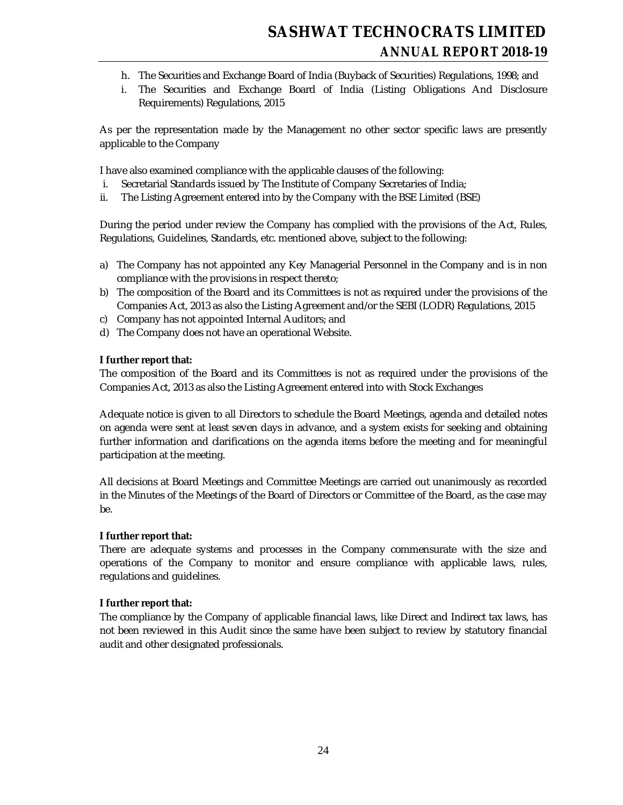- h. The Securities and Exchange Board of India (Buyback of Securities) Regulations, 1998; and
- i. The Securities and Exchange Board of India (Listing Obligations And Disclosure Requirements) Regulations, 2015

As per the representation made by the Management no other sector specific laws are presently applicable to the Company

I have also examined compliance with the applicable clauses of the following:

- i. Secretarial Standards issued by The Institute of Company Secretaries of India;
- ii. The Listing Agreement entered into by the Company with the BSE Limited (BSE)

During the period under review the Company has complied with the provisions of the Act, Rules, Regulations, Guidelines, Standards, etc. mentioned above, subject to the following:

- a) The Company has not appointed any Key Managerial Personnel in the Company and is in non compliance with the provisions in respect thereto;
- b) The composition of the Board and its Committees is not as required under the provisions of the Companies Act, 2013 as also the Listing Agreement and/or the SEBI (LODR) Regulations, 2015
- c) Company has not appointed Internal Auditors; and
- d) The Company does not have an operational Website.

#### **I further report that:**

The composition of the Board and its Committees is not as required under the provisions of the Companies Act, 2013 as also the Listing Agreement entered into with Stock Exchanges

Adequate notice is given to all Directors to schedule the Board Meetings, agenda and detailed notes on agenda were sent at least seven days in advance, and a system exists for seeking and obtaining further information and clarifications on the agenda items before the meeting and for meaningful participation at the meeting.

All decisions at Board Meetings and Committee Meetings are carried out unanimously as recorded in the Minutes of the Meetings of the Board of Directors or Committee of the Board, as the case may be.

#### **I further report that:**

There are adequate systems and processes in the Company commensurate with the size and operations of the Company to monitor and ensure compliance with applicable laws, rules, regulations and guidelines.

#### **I further report that:**

The compliance by the Company of applicable financial laws, like Direct and Indirect tax laws, has not been reviewed in this Audit since the same have been subject to review by statutory financial audit and other designated professionals.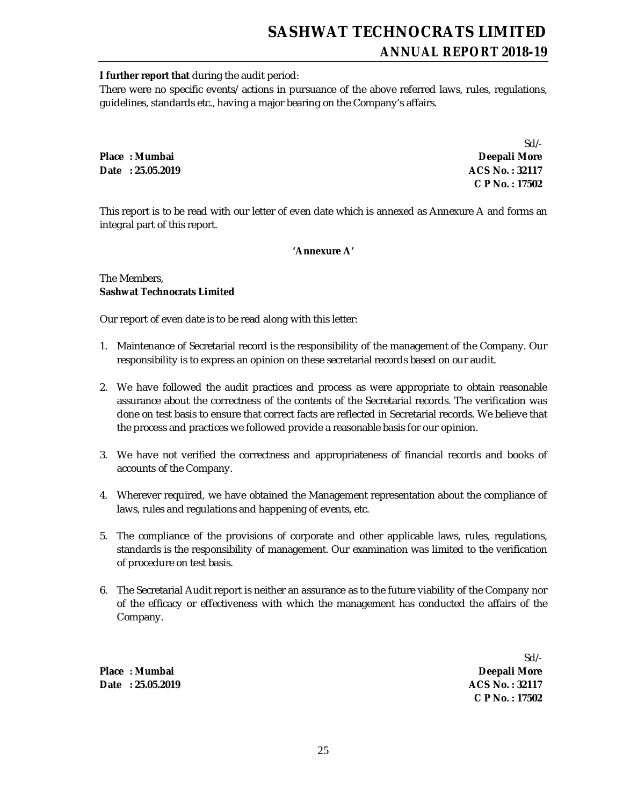#### **I further report that** during the audit period:

There were no specific events/ actions in pursuance of the above referred laws, rules, regulations, guidelines, standards etc., having a major bearing on the Company's affairs.

**Place : Mumbai Date : 25.05.2019** 

Sd/- **Deepali More ACS No. : 32117 C P No. : 17502**

This report is to be read with our letter of even date which is annexed as Annexure A and forms an integral part of this report.

#### **'Annexure A'**

The Members, **Sashwat Technocrats Limited** 

Our report of even date is to be read along with this letter:

- 1. Maintenance of Secretarial record is the responsibility of the management of the Company. Our responsibility is to express an opinion on these secretarial records based on our audit.
- 2. We have followed the audit practices and process as were appropriate to obtain reasonable assurance about the correctness of the contents of the Secretarial records. The verification was done on test basis to ensure that correct facts are reflected in Secretarial records. We believe that the process and practices we followed provide a reasonable basis for our opinion.
- 3. We have not verified the correctness and appropriateness of financial records and books of accounts of the Company.
- 4. Wherever required, we have obtained the Management representation about the compliance of laws, rules and regulations and happening of events, etc.
- 5. The compliance of the provisions of corporate and other applicable laws, rules, regulations, standards is the responsibility of management. Our examination was limited to the verification of procedure on test basis.
- 6. The Secretarial Audit report is neither an assurance as to the future viability of the Company nor of the efficacy or effectiveness with which the management has conducted the affairs of the Company.

**Place : Mumbai Date : 25.05.2019** 

Sd/- **Deepali More ACS No. : 32117 C P No. : 17502**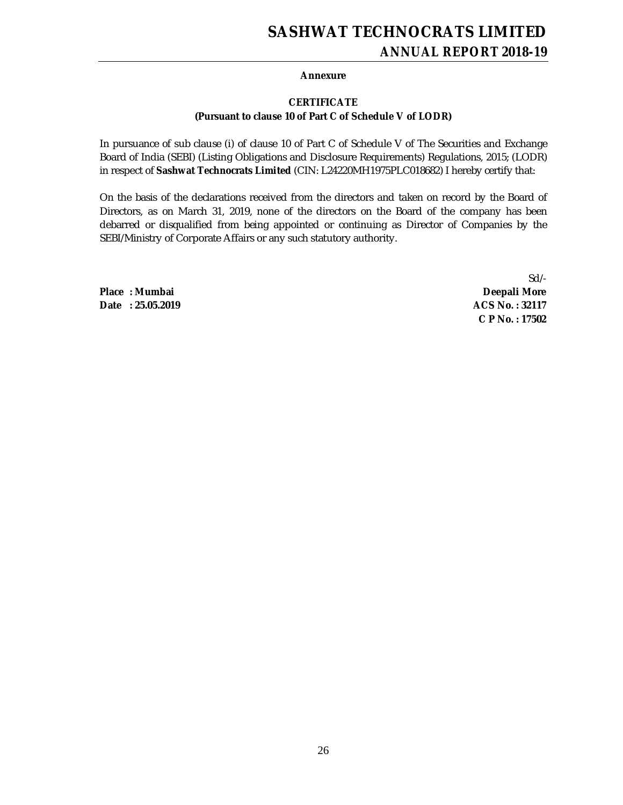#### **Annexure**

#### **CERTIFICATE (Pursuant to clause 10 of Part C of Schedule V of LODR)**

In pursuance of sub clause (i) of clause 10 of Part C of Schedule V of The Securities and Exchange Board of India (SEBI) (Listing Obligations and Disclosure Requirements) Regulations, 2015; (LODR) in respect of **Sashwat Technocrats Limited** (CIN: L24220MH1975PLC018682) I hereby certify that:

On the basis of the declarations received from the directors and taken on record by the Board of Directors, as on March 31, 2019, none of the directors on the Board of the company has been debarred or disqualified from being appointed or continuing as Director of Companies by the SEBI/Ministry of Corporate Affairs or any such statutory authority.

**Place : Mumbai Date : 25.05.2019** 

Sd/- **Deepali More ACS No. : 32117 C P No. : 17502**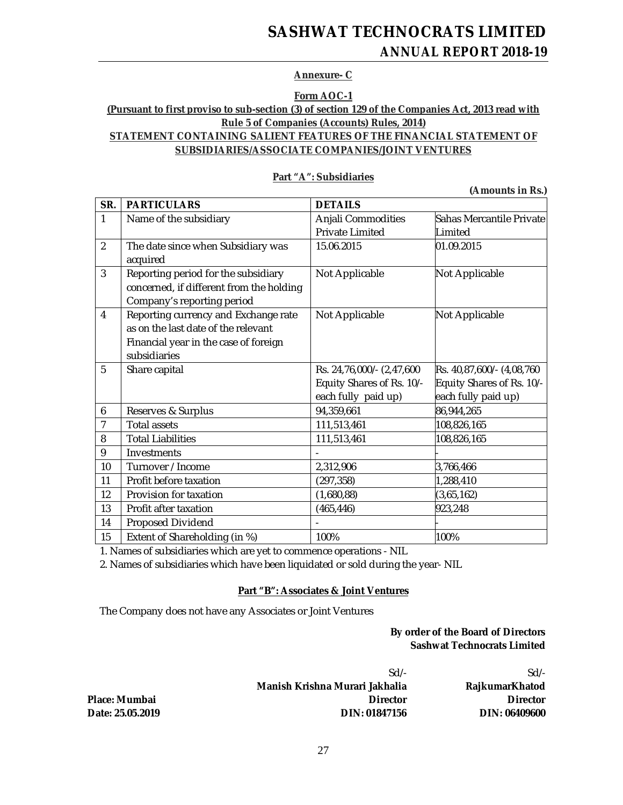#### **Annexure- C**

#### **Form AOC-1**

#### **(Pursuant to first proviso to sub-section (3) of section 129 of the Companies Act, 2013 read with Rule 5 of Companies (Accounts) Rules, 2014) STATEMENT CONTAINING SALIENT FEATURES OF THE FINANCIAL STATEMENT OF SUBSIDIARIES/ASSOCIATE COMPANIES/JOINT VENTURES**

#### **Part "A": Subsidiaries**

**(Amounts in Rs.)**

| SR.            | <b>PARTICULARS</b>                                                                                                                   | <b>DETAILS</b>                                                                |                                                                               |
|----------------|--------------------------------------------------------------------------------------------------------------------------------------|-------------------------------------------------------------------------------|-------------------------------------------------------------------------------|
| $\mathbf{1}$   | Name of the subsidiary                                                                                                               | Anjali Commodities                                                            | Sahas Mercantile Private                                                      |
|                |                                                                                                                                      | <b>Private Limited</b>                                                        | Limited                                                                       |
| $\overline{2}$ | The date since when Subsidiary was<br>acquired                                                                                       | 15.06.2015                                                                    | 01.09.2015                                                                    |
| $\mathfrak{Z}$ | Reporting period for the subsidiary<br>concerned, if different from the holding<br>Company's reporting period                        | Not Applicable                                                                | Not Applicable                                                                |
| $\overline{4}$ | Reporting currency and Exchange rate<br>as on the last date of the relevant<br>Financial year in the case of foreign<br>subsidiaries | Not Applicable                                                                | Not Applicable                                                                |
| 5              | Share capital                                                                                                                        | Rs. 24,76,000/- (2,47,600<br>Equity Shares of Rs. 10/-<br>each fully paid up) | Rs. 40,87,600/- (4,08,760<br>Equity Shares of Rs. 10/-<br>each fully paid up) |
| 6              | Reserves & Surplus                                                                                                                   | 94,359,661                                                                    | 86,944,265                                                                    |
| 7              | <b>Total assets</b>                                                                                                                  | 111,513,461                                                                   | 108,826,165                                                                   |
| 8              | <b>Total Liabilities</b>                                                                                                             | 111,513,461                                                                   | 108,826,165                                                                   |
| 9              | Investments                                                                                                                          |                                                                               |                                                                               |
| 10             | Turnover / Income                                                                                                                    | 2,312,906                                                                     | 3,766,466                                                                     |
| 11             | Profit before taxation                                                                                                               | (297, 358)                                                                    | 1,288,410                                                                     |
| 12             | Provision for taxation                                                                                                               | (1,680,88)                                                                    | (3,65,162)                                                                    |
| 13             | Profit after taxation                                                                                                                | (465, 446)                                                                    | 923,248                                                                       |
| 14             | Proposed Dividend                                                                                                                    |                                                                               |                                                                               |
| 15             | Extent of Shareholding (in %)                                                                                                        | 100%                                                                          | 100%                                                                          |

1. Names of subsidiaries which are yet to commence operations - NIL

2. Names of subsidiaries which have been liquidated or sold during the year- NIL

#### **Part "B": Associates & Joint Ventures**

The Company does not have any Associates or Joint Ventures

#### **By order of the Board of Directors Sashwat Technocrats Limited**

**Manish Krishna Murari Jakhalia RajkumarKhatod Place: Mumbai Director Director Date: 25.05.2019 DIN: 01847156 DIN: 06409600**

Sd/- Sd/-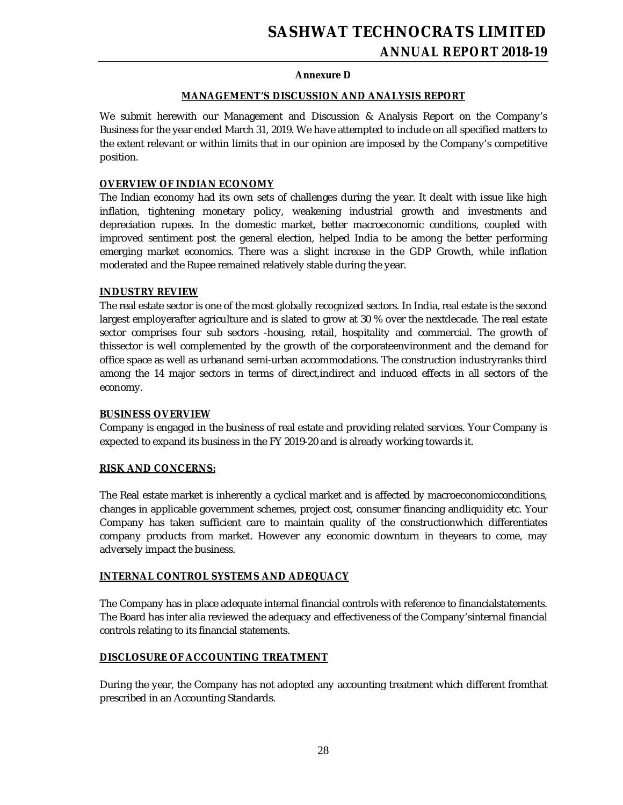#### **Annexure D**

#### **MANAGEMENT'S DISCUSSION AND ANALYSIS REPORT**

We submit herewith our Management and Discussion & Analysis Report on the Company's Business for the year ended March 31, 2019. We have attempted to include on all specified matters to the extent relevant or within limits that in our opinion are imposed by the Company's competitive position.

#### **OVERVIEW OF INDIAN ECONOMY**

The Indian economy had its own sets of challenges during the year. It dealt with issue like high inflation, tightening monetary policy, weakening industrial growth and investments and depreciation rupees. In the domestic market, better macroeconomic conditions, coupled with improved sentiment post the general election, helped India to be among the better performing emerging market economics. There was a slight increase in the GDP Growth, while inflation moderated and the Rupee remained relatively stable during the year.

#### **INDUSTRY REVIEW**

The real estate sector is one of the most globally recognized sectors. In India, real estate is the second largest employerafter agriculture and is slated to grow at 30 % over the nextdecade. The real estate sector comprises four sub sectors -housing, retail, hospitality and commercial. The growth of thissector is well complemented by the growth of the corporateenvironment and the demand for office space as well as urbanand semi-urban accommodations. The construction industryranks third among the 14 major sectors in terms of direct,indirect and induced effects in all sectors of the economy.

#### **BUSINESS OVERVIEW**

Company is engaged in the business of real estate and providing related services. Your Company is expected to expand its business in the FY 2019-20 and is already working towards it.

#### **RISK AND CONCERNS:**

The Real estate market is inherently a cyclical market and is affected by macroeconomicconditions, changes in applicable government schemes, project cost, consumer financing andliquidity etc. Your Company has taken sufficient care to maintain quality of the constructionwhich differentiates company products from market. However any economic downturn in theyears to come, may adversely impact the business.

#### **INTERNAL CONTROL SYSTEMS AND ADEQUACY**

The Company has in place adequate internal financial controls with reference to financialstatements. The Board has inter alia reviewed the adequacy and effectiveness of the Company'sinternal financial controls relating to its financial statements.

#### **DISCLOSURE OF ACCOUNTING TREATMENT**

During the year, the Company has not adopted any accounting treatment which different fromthat prescribed in an Accounting Standards.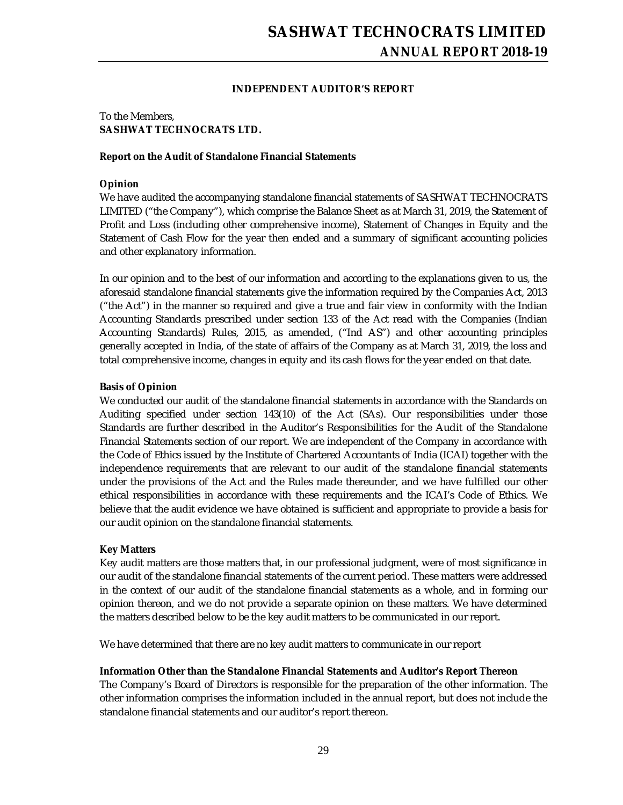#### **INDEPENDENT AUDITOR'S REPORT**

#### To the Members, **SASHWAT TECHNOCRATS LTD.**

#### **Report on the Audit of Standalone Financial Statements**

#### **Opinion**

We have audited the accompanying standalone financial statements of SASHWAT TECHNOCRATS LIMITED ("the Company"), which comprise the Balance Sheet as at March 31, 2019, the Statement of Profit and Loss (including other comprehensive income), Statement of Changes in Equity and the Statement of Cash Flow for the year then ended and a summary of significant accounting policies and other explanatory information.

In our opinion and to the best of our information and according to the explanations given to us, the aforesaid standalone financial statements give the information required by the Companies Act, 2013 ("the Act") in the manner so required and give a true and fair view in conformity with the Indian Accounting Standards prescribed under section 133 of the Act read with the Companies (Indian Accounting Standards) Rules, 2015, as amended, ("Ind AS") and other accounting principles generally accepted in India, of the state of affairs of the Company as at March 31, 2019, the loss and total comprehensive income, changes in equity and its cash flows for the year ended on that date.

#### **Basis of Opinion**

We conducted our audit of the standalone financial statements in accordance with the Standards on Auditing specified under section 143(10) of the Act (SAs). Our responsibilities under those Standards are further described in the Auditor's Responsibilities for the Audit of the Standalone Financial Statements section of our report. We are independent of the Company in accordance with the Code of Ethics issued by the Institute of Chartered Accountants of India (ICAI) together with the independence requirements that are relevant to our audit of the standalone financial statements under the provisions of the Act and the Rules made thereunder, and we have fulfilled our other ethical responsibilities in accordance with these requirements and the ICAI's Code of Ethics. We believe that the audit evidence we have obtained is sufficient and appropriate to provide a basis for our audit opinion on the standalone financial statements.

#### **Key Matters**

Key audit matters are those matters that, in our professional judgment, were of most significance in our audit of the standalone financial statements of the current period. These matters were addressed in the context of our audit of the standalone financial statements as a whole, and in forming our opinion thereon, and we do not provide a separate opinion on these matters. We have determined the matters described below to be the key audit matters to be communicated in our report.

We have determined that there are no key audit matters to communicate in our report

#### **Information Other than the Standalone Financial Statements and Auditor's Report Thereon**

The Company's Board of Directors is responsible for the preparation of the other information. The other information comprises the information included in the annual report, but does not include the standalone financial statements and our auditor's report thereon.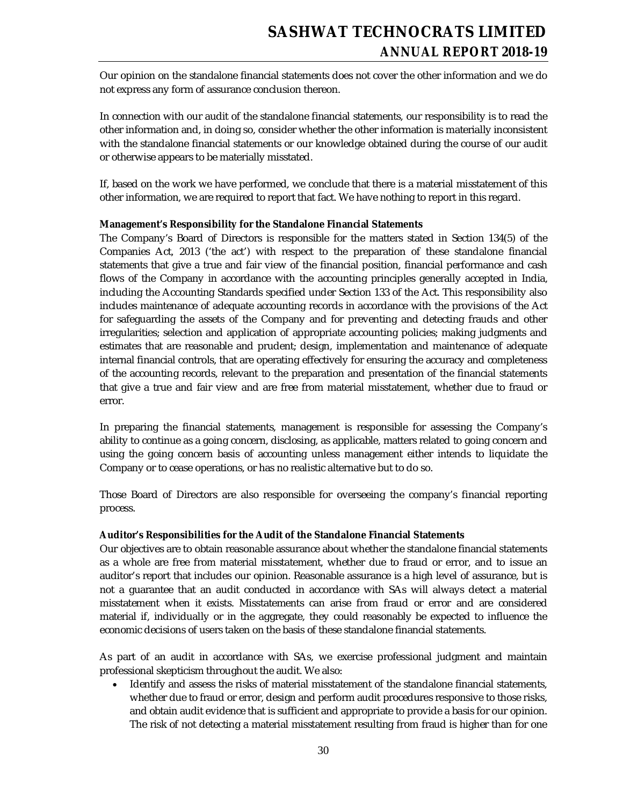Our opinion on the standalone financial statements does not cover the other information and we do not express any form of assurance conclusion thereon.

In connection with our audit of the standalone financial statements, our responsibility is to read the other information and, in doing so, consider whether the other information is materially inconsistent with the standalone financial statements or our knowledge obtained during the course of our audit or otherwise appears to be materially misstated.

If, based on the work we have performed, we conclude that there is a material misstatement of this other information, we are required to report that fact. We have nothing to report in this regard.

#### **Management's Responsibility for the Standalone Financial Statements**

The Company's Board of Directors is responsible for the matters stated in Section 134(5) of the Companies Act, 2013 ('the act') with respect to the preparation of these standalone financial statements that give a true and fair view of the financial position, financial performance and cash flows of the Company in accordance with the accounting principles generally accepted in India, including the Accounting Standards specified under Section 133 of the Act. This responsibility also includes maintenance of adequate accounting records in accordance with the provisions of the Act for safeguarding the assets of the Company and for preventing and detecting frauds and other irregularities; selection and application of appropriate accounting policies; making judgments and estimates that are reasonable and prudent; design, implementation and maintenance of adequate internal financial controls, that are operating effectively for ensuring the accuracy and completeness of the accounting records, relevant to the preparation and presentation of the financial statements that give a true and fair view and are free from material misstatement, whether due to fraud or error.

In preparing the financial statements, management is responsible for assessing the Company's ability to continue as a going concern, disclosing, as applicable, matters related to going concern and using the going concern basis of accounting unless management either intends to liquidate the Company or to cease operations, or has no realistic alternative but to do so.

Those Board of Directors are also responsible for overseeing the company's financial reporting process.

#### **Auditor's Responsibilities for the Audit of the Standalone Financial Statements**

Our objectives are to obtain reasonable assurance about whether the standalone financial statements as a whole are free from material misstatement, whether due to fraud or error, and to issue an auditor's report that includes our opinion. Reasonable assurance is a high level of assurance, but is not a guarantee that an audit conducted in accordance with SAs will always detect a material misstatement when it exists. Misstatements can arise from fraud or error and are considered material if, individually or in the aggregate, they could reasonably be expected to influence the economic decisions of users taken on the basis of these standalone financial statements.

As part of an audit in accordance with SAs, we exercise professional judgment and maintain professional skepticism throughout the audit. We also:

• Identify and assess the risks of material misstatement of the standalone financial statements, whether due to fraud or error, design and perform audit procedures responsive to those risks, and obtain audit evidence that is sufficient and appropriate to provide a basis for our opinion. The risk of not detecting a material misstatement resulting from fraud is higher than for one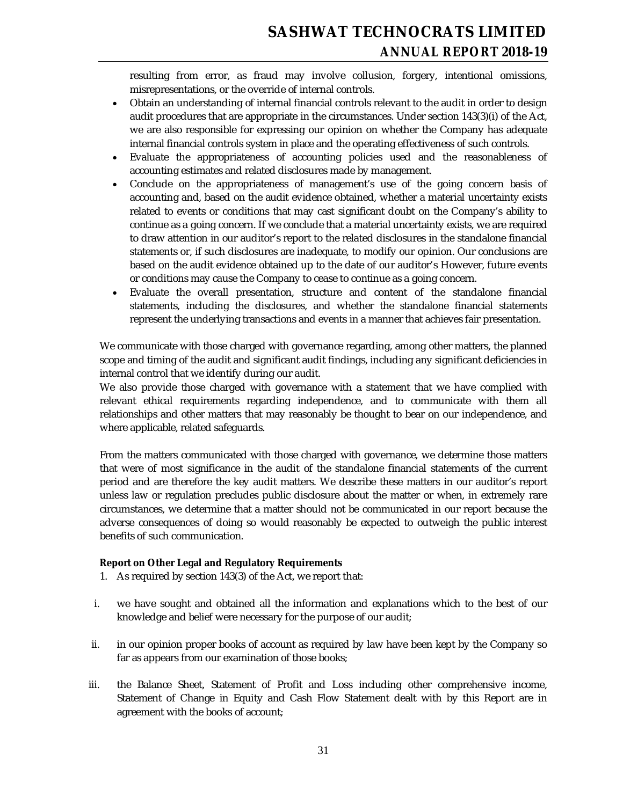resulting from error, as fraud may involve collusion, forgery, intentional omissions, misrepresentations, or the override of internal controls.

- Obtain an understanding of internal financial controls relevant to the audit in order to design audit procedures that are appropriate in the circumstances. Under section 143(3)(i) of the Act, we are also responsible for expressing our opinion on whether the Company has adequate internal financial controls system in place and the operating effectiveness of such controls.
- Evaluate the appropriateness of accounting policies used and the reasonableness of accounting estimates and related disclosures made by management.
- Conclude on the appropriateness of management's use of the going concern basis of accounting and, based on the audit evidence obtained, whether a material uncertainty exists related to events or conditions that may cast significant doubt on the Company's ability to continue as a going concern. If we conclude that a material uncertainty exists, we are required to draw attention in our auditor's report to the related disclosures in the standalone financial statements or, if such disclosures are inadequate, to modify our opinion. Our conclusions are based on the audit evidence obtained up to the date of our auditor's However, future events or conditions may cause the Company to cease to continue as a going concern.
- Evaluate the overall presentation, structure and content of the standalone financial statements, including the disclosures, and whether the standalone financial statements represent the underlying transactions and events in a manner that achieves fair presentation.

We communicate with those charged with governance regarding, among other matters, the planned scope and timing of the audit and significant audit findings, including any significant deficiencies in internal control that we identify during our audit.

We also provide those charged with governance with a statement that we have complied with relevant ethical requirements regarding independence, and to communicate with them all relationships and other matters that may reasonably be thought to bear on our independence, and where applicable, related safeguards.

From the matters communicated with those charged with governance, we determine those matters that were of most significance in the audit of the standalone financial statements of the current period and are therefore the key audit matters. We describe these matters in our auditor's report unless law or regulation precludes public disclosure about the matter or when, in extremely rare circumstances, we determine that a matter should not be communicated in our report because the adverse consequences of doing so would reasonably be expected to outweigh the public interest benefits of such communication.

#### **Report on Other Legal and Regulatory Requirements**

- 1. As required by section 143(3) of the Act, we report that:
- i. we have sought and obtained all the information and explanations which to the best of our knowledge and belief were necessary for the purpose of our audit;
- ii. in our opinion proper books of account as required by law have been kept by the Company so far as appears from our examination of those books;
- iii. the Balance Sheet, Statement of Profit and Loss including other comprehensive income, Statement of Change in Equity and Cash Flow Statement dealt with by this Report are in agreement with the books of account;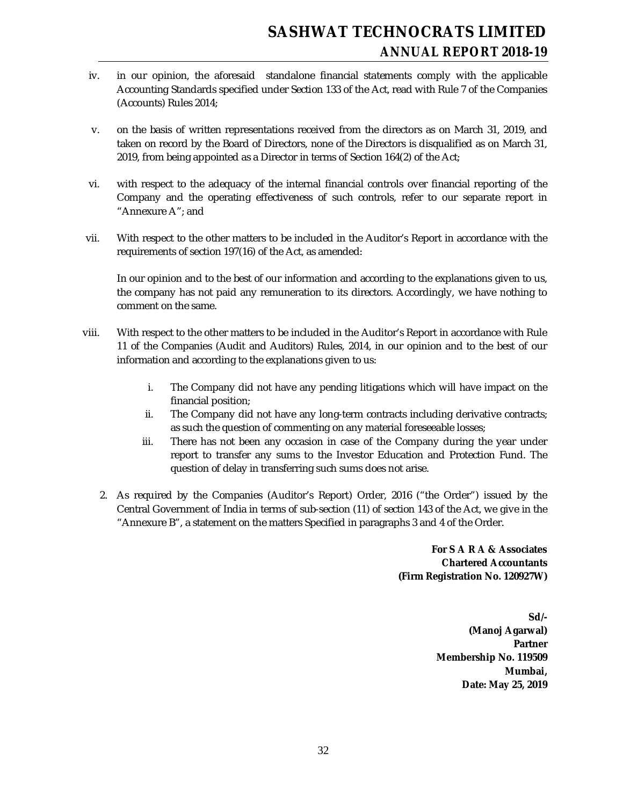- iv. in our opinion, the aforesaid standalone financial statements comply with the applicable Accounting Standards specified under Section 133 of the Act, read with Rule 7 of the Companies (Accounts) Rules 2014;
- v. on the basis of written representations received from the directors as on March 31, 2019, and taken on record by the Board of Directors, none of the Directors is disqualified as on March 31, 2019, from being appointed as a Director in terms of Section 164(2) of the Act;
- vi. with respect to the adequacy of the internal financial controls over financial reporting of the Company and the operating effectiveness of such controls, refer to our separate report in "Annexure A"; and
- vii. With respect to the other matters to be included in the Auditor's Report in accordance with the requirements of section 197(16) of the Act, as amended:

In our opinion and to the best of our information and according to the explanations given to us, the company has not paid any remuneration to its directors. Accordingly, we have nothing to comment on the same.

- viii. With respect to the other matters to be included in the Auditor's Report in accordance with Rule 11 of the Companies (Audit and Auditors) Rules, 2014, in our opinion and to the best of our information and according to the explanations given to us:
	- i. The Company did not have any pending litigations which will have impact on the financial position;
	- ii. The Company did not have any long-term contracts including derivative contracts; as such the question of commenting on any material foreseeable losses;
	- iii. There has not been any occasion in case of the Company during the year under report to transfer any sums to the Investor Education and Protection Fund. The question of delay in transferring such sums does not arise.
	- 2. As required by the Companies (Auditor's Report) Order, 2016 ("the Order") issued by the Central Government of India in terms of sub-section (11) of section 143 of the Act, we give in the "Annexure B", a statement on the matters Specified in paragraphs 3 and 4 of the Order.

**For S A R A & Associates Chartered Accountants (Firm Registration No. 120927W)**

> **Sd/- (Manoj Agarwal) Partner Membership No. 119509 Mumbai, Date: May 25, 2019**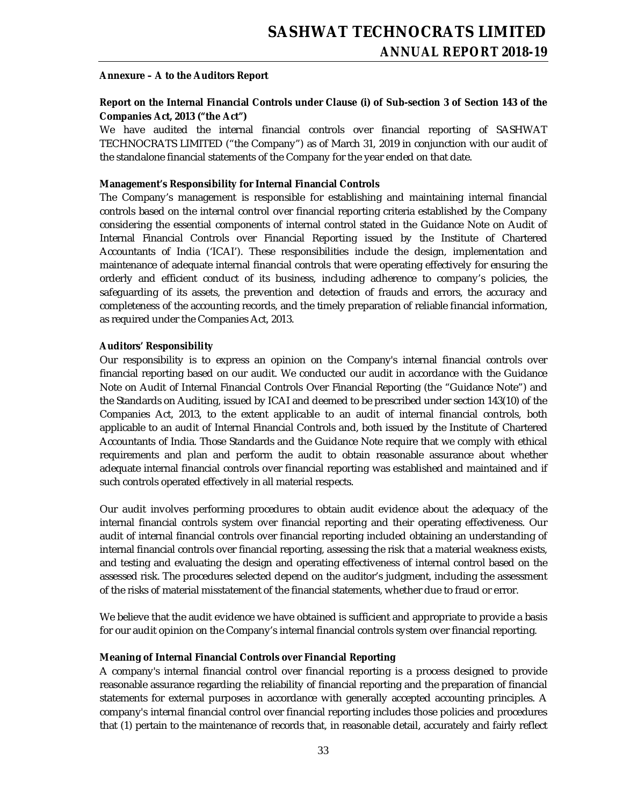#### **Annexure – A to the Auditors Report**

#### **Report on the Internal Financial Controls under Clause (i) of Sub-section 3 of Section 143 of the Companies Act, 2013 ("the Act")**

We have audited the internal financial controls over financial reporting of SASHWAT TECHNOCRATS LIMITED ("the Company") as of March 31, 2019 in conjunction with our audit of the standalone financial statements of the Company for the year ended on that date.

#### **Management's Responsibility for Internal Financial Controls**

The Company's management is responsible for establishing and maintaining internal financial controls based on the internal control over financial reporting criteria established by the Company considering the essential components of internal control stated in the Guidance Note on Audit of Internal Financial Controls over Financial Reporting issued by the Institute of Chartered Accountants of India ('ICAI'). These responsibilities include the design, implementation and maintenance of adequate internal financial controls that were operating effectively for ensuring the orderly and efficient conduct of its business, including adherence to company's policies, the safeguarding of its assets, the prevention and detection of frauds and errors, the accuracy and completeness of the accounting records, and the timely preparation of reliable financial information, as required under the Companies Act, 2013.

#### **Auditors' Responsibility**

Our responsibility is to express an opinion on the Company's internal financial controls over financial reporting based on our audit. We conducted our audit in accordance with the Guidance Note on Audit of Internal Financial Controls Over Financial Reporting (the "Guidance Note") and the Standards on Auditing, issued by ICAI and deemed to be prescribed under section 143(10) of the Companies Act, 2013, to the extent applicable to an audit of internal financial controls, both applicable to an audit of Internal Financial Controls and, both issued by the Institute of Chartered Accountants of India. Those Standards and the Guidance Note require that we comply with ethical requirements and plan and perform the audit to obtain reasonable assurance about whether adequate internal financial controls over financial reporting was established and maintained and if such controls operated effectively in all material respects.

Our audit involves performing procedures to obtain audit evidence about the adequacy of the internal financial controls system over financial reporting and their operating effectiveness. Our audit of internal financial controls over financial reporting included obtaining an understanding of internal financial controls over financial reporting, assessing the risk that a material weakness exists, and testing and evaluating the design and operating effectiveness of internal control based on the assessed risk. The procedures selected depend on the auditor's judgment, including the assessment of the risks of material misstatement of the financial statements, whether due to fraud or error.

We believe that the audit evidence we have obtained is sufficient and appropriate to provide a basis for our audit opinion on the Company's internal financial controls system over financial reporting.

#### **Meaning of Internal Financial Controls over Financial Reporting**

A company's internal financial control over financial reporting is a process designed to provide reasonable assurance regarding the reliability of financial reporting and the preparation of financial statements for external purposes in accordance with generally accepted accounting principles. A company's internal financial control over financial reporting includes those policies and procedures that (1) pertain to the maintenance of records that, in reasonable detail, accurately and fairly reflect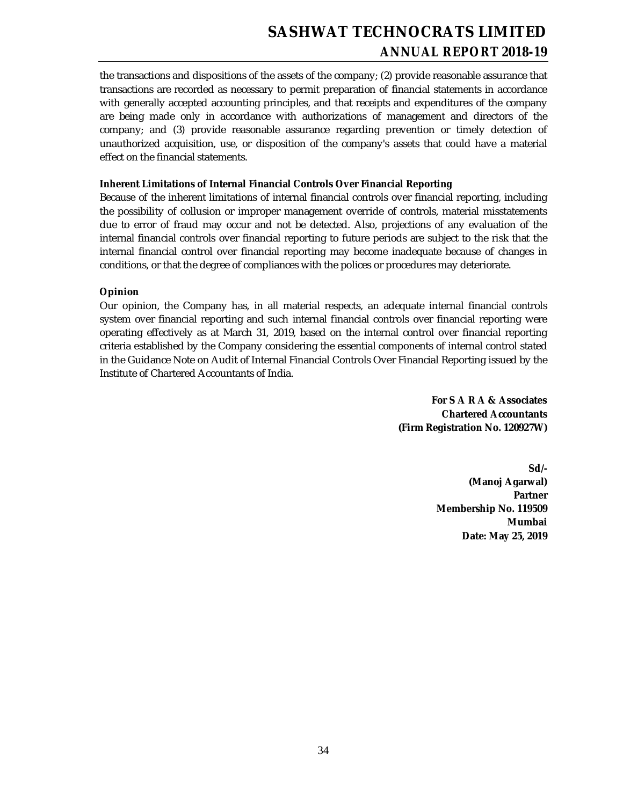the transactions and dispositions of the assets of the company; (2) provide reasonable assurance that transactions are recorded as necessary to permit preparation of financial statements in accordance with generally accepted accounting principles, and that receipts and expenditures of the company are being made only in accordance with authorizations of management and directors of the company; and (3) provide reasonable assurance regarding prevention or timely detection of unauthorized acquisition, use, or disposition of the company's assets that could have a material effect on the financial statements.

#### **Inherent Limitations of Internal Financial Controls Over Financial Reporting**

Because of the inherent limitations of internal financial controls over financial reporting, including the possibility of collusion or improper management override of controls, material misstatements due to error of fraud may occur and not be detected. Also, projections of any evaluation of the internal financial controls over financial reporting to future periods are subject to the risk that the internal financial control over financial reporting may become inadequate because of changes in conditions, or that the degree of compliances with the polices or procedures may deteriorate.

#### **Opinion**

Our opinion, the Company has, in all material respects, an adequate internal financial controls system over financial reporting and such internal financial controls over financial reporting were operating effectively as at March 31, 2019, based on the internal control over financial reporting criteria established by the Company considering the essential components of internal control stated in the Guidance Note on Audit of Internal Financial Controls Over Financial Reporting issued by the Institute of Chartered Accountants of India.

> **For S A R A & Associates Chartered Accountants (Firm Registration No. 120927W)**

> > **Sd/- (Manoj Agarwal) Partner Membership No. 119509 Mumbai Date: May 25, 2019**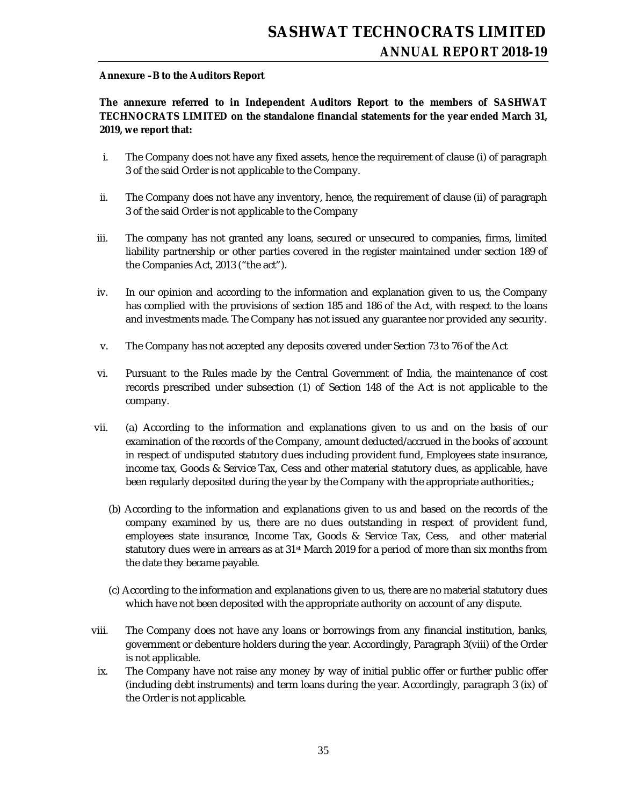### **Annexure –B to the Auditors Report**

**The annexure referred to in Independent Auditors Report to the members of SASHWAT TECHNOCRATS LIMITED on the standalone financial statements for the year ended March 31, 2019, we report that:** 

- i. The Company does not have any fixed assets, hence the requirement of clause (i) of paragraph 3 of the said Order is not applicable to the Company.
- ii. The Company does not have any inventory, hence, the requirement of clause (ii) of paragraph 3 of the said Order is not applicable to the Company
- iii. The company has not granted any loans, secured or unsecured to companies, firms, limited liability partnership or other parties covered in the register maintained under section 189 of the Companies Act, 2013 ("the act").
- iv. In our opinion and according to the information and explanation given to us, the Company has complied with the provisions of section 185 and 186 of the Act, with respect to the loans and investments made. The Company has not issued any guarantee nor provided any security.
- v. The Company has not accepted any deposits covered under Section 73 to 76 of the Act
- vi. Pursuant to the Rules made by the Central Government of India, the maintenance of cost records prescribed under subsection (1) of Section 148 of the Act is not applicable to the company.
- vii. (a) According to the information and explanations given to us and on the basis of our examination of the records of the Company, amount deducted/accrued in the books of account in respect of undisputed statutory dues including provident fund, Employees state insurance, income tax, Goods & Service Tax, Cess and other material statutory dues, as applicable, have been regularly deposited during the year by the Company with the appropriate authorities.;
	- (b) According to the information and explanations given to us and based on the records of the company examined by us, there are no dues outstanding in respect of provident fund, employees state insurance, Income Tax, Goods & Service Tax, Cess, and other material statutory dues were in arrears as at 31<sup>st</sup> March 2019 for a period of more than six months from the date they became payable.
	- (c) According to the information and explanations given to us, there are no material statutory dues which have not been deposited with the appropriate authority on account of any dispute.
- viii. The Company does not have any loans or borrowings from any financial institution, banks, government or debenture holders during the year. Accordingly, Paragraph 3(viii) of the Order is not applicable.
- ix. The Company have not raise any money by way of initial public offer or further public offer (including debt instruments) and term loans during the year. Accordingly, paragraph 3 (ix) of the Order is not applicable.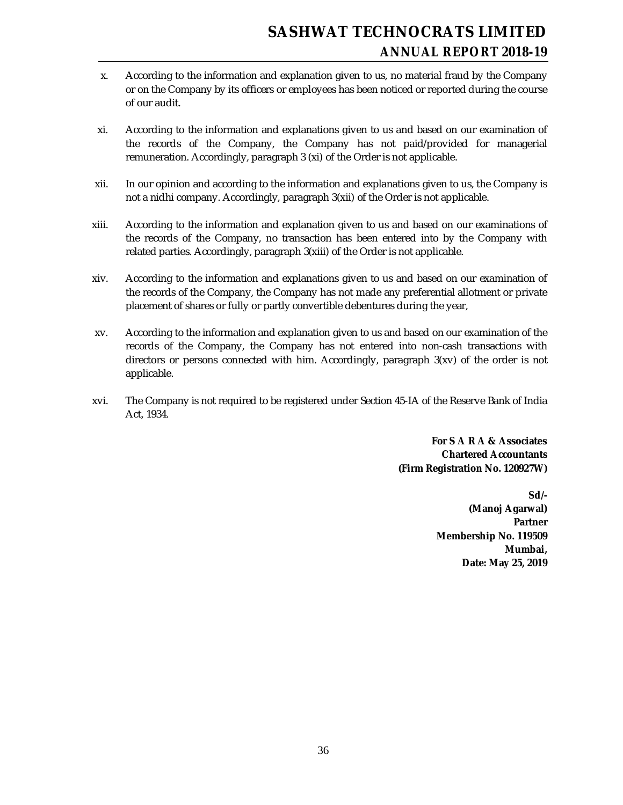- x. According to the information and explanation given to us, no material fraud by the Company or on the Company by its officers or employees has been noticed or reported during the course of our audit.
- xi. According to the information and explanations given to us and based on our examination of the records of the Company, the Company has not paid/provided for managerial remuneration. Accordingly, paragraph 3 (xi) of the Order is not applicable.
- xii. In our opinion and according to the information and explanations given to us, the Company is not a nidhi company. Accordingly, paragraph 3(xii) of the Order is not applicable.
- xiii. According to the information and explanation given to us and based on our examinations of the records of the Company, no transaction has been entered into by the Company with related parties. Accordingly, paragraph 3(xiii) of the Order is not applicable.
- xiv. According to the information and explanations given to us and based on our examination of the records of the Company, the Company has not made any preferential allotment or private placement of shares or fully or partly convertible debentures during the year,
- xv. According to the information and explanation given to us and based on our examination of the records of the Company, the Company has not entered into non-cash transactions with directors or persons connected with him. Accordingly, paragraph 3(xv) of the order is not applicable.
- xvi. The Company is not required to be registered under Section 45-IA of the Reserve Bank of India Act, 1934.

**For S A R A & Associates Chartered Accountants (Firm Registration No. 120927W)**

> **Sd/- (Manoj Agarwal) Partner Membership No. 119509 Mumbai, Date: May 25, 2019**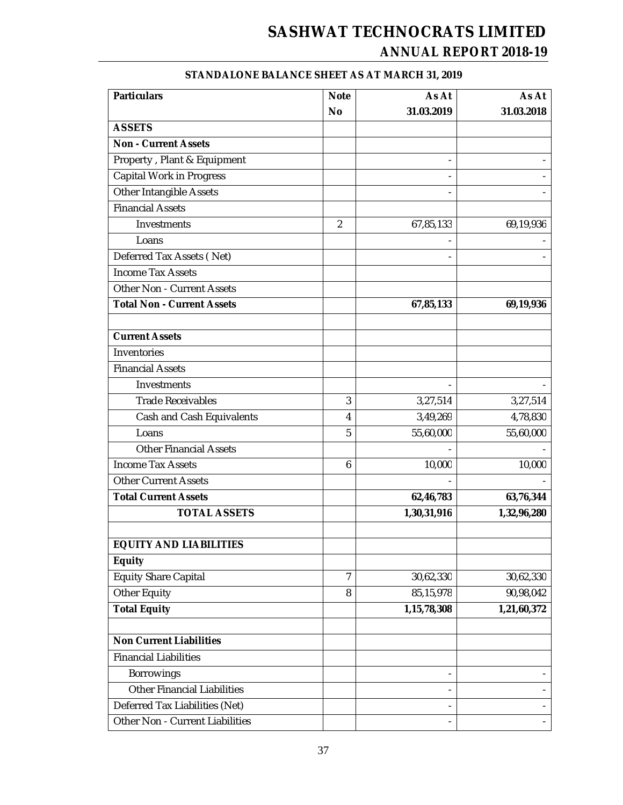| <b>Particulars</b>                 | <b>Note</b>    | As At          | As At       |
|------------------------------------|----------------|----------------|-------------|
|                                    | <b>No</b>      | 31.03.2019     | 31.03.2018  |
| <b>ASSETS</b>                      |                |                |             |
| <b>Non - Current Assets</b>        |                |                |             |
| Property, Plant & Equipment        |                |                |             |
| Capital Work in Progress           |                |                |             |
| Other Intangible Assets            |                |                |             |
| <b>Financial Assets</b>            |                |                |             |
| Investments                        | $\overline{2}$ | 67,85,133      | 69,19,936   |
| Loans                              |                |                |             |
| Deferred Tax Assets (Net)          |                |                |             |
| <b>Income Tax Assets</b>           |                |                |             |
| <b>Other Non - Current Assets</b>  |                |                |             |
| <b>Total Non - Current Assets</b>  |                | 67,85,133      | 69,19,936   |
|                                    |                |                |             |
| <b>Current Assets</b>              |                |                |             |
| Inventories                        |                |                |             |
| <b>Financial Assets</b>            |                |                |             |
| Investments                        |                |                |             |
| <b>Trade Receivables</b>           | 3              | 3,27,514       | 3,27,514    |
| Cash and Cash Equivalents          | 4              | 3,49,269       | 4,78,830    |
| Loans                              | 5              | 55,60,000      | 55,60,000   |
| <b>Other Financial Assets</b>      |                |                |             |
| <b>Income Tax Assets</b>           | 6              | 10,000         | 10,000      |
| <b>Other Current Assets</b>        |                |                |             |
| <b>Total Current Assets</b>        |                | 62,46,783      | 63,76,344   |
| <b>TOTAL ASSETS</b>                |                | 1,30,31,916    | 1,32,96,280 |
|                                    |                |                |             |
| <b>EQUITY AND LIABILITIES</b>      |                |                |             |
| <b>Equity</b>                      |                |                |             |
| <b>Equity Share Capital</b>        | $\overline{7}$ | 30,62,330      | 30,62,330   |
| Other Equity                       | 8              | 85, 15, 978    | 90,98,042   |
| <b>Total Equity</b>                |                | 1, 15, 78, 308 | 1,21,60,372 |
|                                    |                |                |             |
| <b>Non Current Liabilities</b>     |                |                |             |
| <b>Financial Liabilities</b>       |                |                |             |
| Borrowings                         |                |                |             |
| <b>Other Financial Liabilities</b> |                |                |             |
| Deferred Tax Liabilities (Net)     |                |                |             |
| Other Non - Current Liabilities    |                |                |             |

### **STANDALONE BALANCE SHEET AS AT MARCH 31, 2019**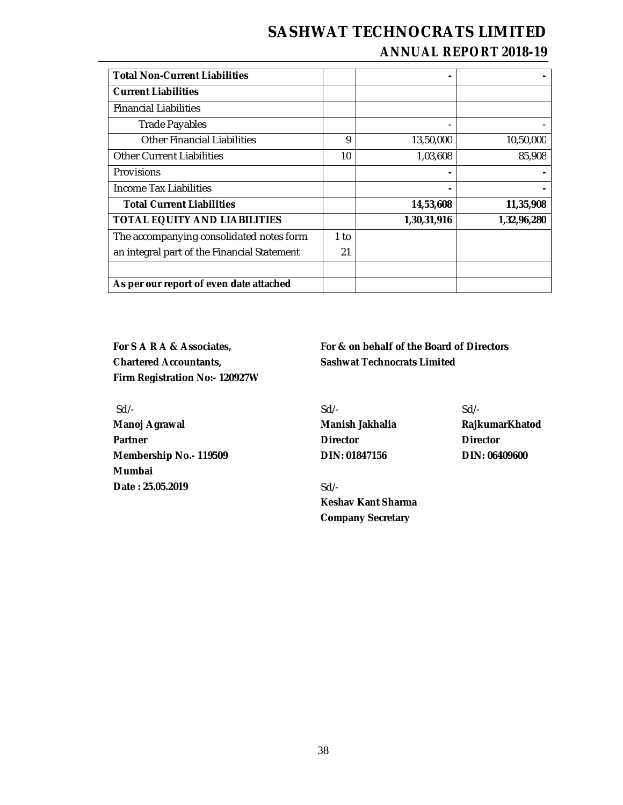| <b>Total Non-Current Liabilities</b>        |      |             |             |
|---------------------------------------------|------|-------------|-------------|
| <b>Current Liabilities</b>                  |      |             |             |
| <b>Financial Liabilities</b>                |      |             |             |
| <b>Trade Payables</b>                       |      |             |             |
| <b>Other Financial Liabilities</b>          | 9    | 13,50,000   | 10,50,000   |
| <b>Other Current Liabilities</b>            | 10   | 1,03,608    | 85,908      |
| Provisions                                  |      |             |             |
| Income Tax Liabilities                      |      |             |             |
| <b>Total Current Liabilities</b>            |      | 14,53,608   | 11,35,908   |
| TOTAL EQUITY AND LIABILITIES                |      | 1,30,31,916 | 1,32,96,280 |
| The accompanying consolidated notes form    | 1 to |             |             |
| an integral part of the Financial Statement | 21   |             |             |
|                                             |      |             |             |
| As per our report of even date attached     |      |             |             |

**For S A R A & Associates, Chartered Accountants, Firm Registration No:- 120927W** **For & on behalf of the Board of Directors Sashwat Technocrats Limited**

Sd/- **Manoj Agrawal Partner Membership No.- 119509 Mumbai Date : 25.05.2019**

Sd/- **Manish Jakhalia Director DIN: 01847156**

Sd/- **RajkumarKhatod Director DIN: 06409600**

Sd/-

**Keshav Kant Sharma Company Secretary**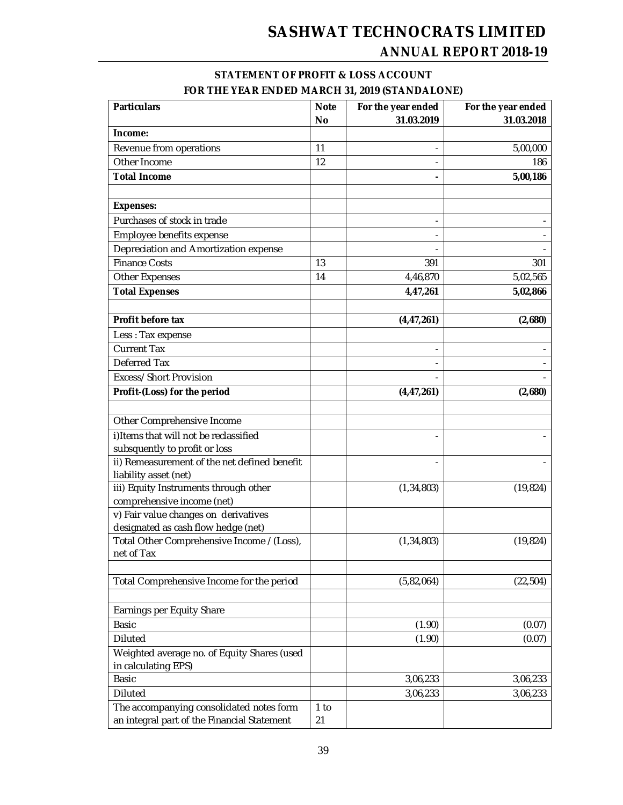### **STATEMENT OF PROFIT & LOSS ACCOUNT FOR THE YEAR ENDED MARCH 31, 2019 (STANDALONE)**

| <b>Particulars</b>                                                          | <b>Note</b><br><b>No</b> | For the year ended<br>31.03.2019 | For the year ended<br>31.03.2018 |
|-----------------------------------------------------------------------------|--------------------------|----------------------------------|----------------------------------|
| Income:                                                                     |                          |                                  |                                  |
| Revenue from operations                                                     | 11                       |                                  | 5,00,000                         |
| Other Income                                                                | 12                       |                                  | 186                              |
| <b>Total Income</b>                                                         |                          |                                  | 5,00,186                         |
|                                                                             |                          |                                  |                                  |
| <b>Expenses:</b>                                                            |                          |                                  |                                  |
| Purchases of stock in trade                                                 |                          |                                  |                                  |
| Employee benefits expense                                                   |                          |                                  |                                  |
| Depreciation and Amortization expense                                       |                          |                                  |                                  |
| <b>Finance Costs</b>                                                        | 13                       | 391                              | 301                              |
| <b>Other Expenses</b>                                                       | 14                       | 4,46,870                         | 5,02,565                         |
| <b>Total Expenses</b>                                                       |                          | 4,47,261                         | 5,02,866                         |
|                                                                             |                          |                                  |                                  |
| Profit before tax                                                           |                          | (4, 47, 261)                     | (2,680)                          |
| Less : Tax expense                                                          |                          |                                  |                                  |
| <b>Current Tax</b>                                                          |                          |                                  |                                  |
| Deferred Tax                                                                |                          |                                  |                                  |
| <b>Excess/ Short Provision</b>                                              |                          |                                  |                                  |
| Profit-(Loss) for the period                                                |                          | (4, 47, 261)                     | (2,680)                          |
|                                                                             |                          |                                  |                                  |
| Other Comprehensive Income                                                  |                          |                                  |                                  |
| i)Items that will not be reclassified                                       |                          |                                  |                                  |
| subsquently to profit or loss                                               |                          |                                  |                                  |
| ii) Remeasurement of the net defined benefit                                |                          |                                  |                                  |
| liability asset (net)                                                       |                          |                                  |                                  |
| iii) Equity Instruments through other                                       |                          | (1, 34, 803)                     | (19, 824)                        |
| comprehensive income (net)                                                  |                          |                                  |                                  |
| v) Fair value changes on derivatives<br>designated as cash flow hedge (net) |                          |                                  |                                  |
| Total Other Comprehensive Income / (Loss),                                  |                          | (1, 34, 803)                     | (19, 824)                        |
| net of Tax                                                                  |                          |                                  |                                  |
|                                                                             |                          |                                  |                                  |
| Total Comprehensive Income for the period                                   |                          | (5,82,064)                       | (22, 504)                        |
|                                                                             |                          |                                  |                                  |
| Earnings per Equity Share                                                   |                          |                                  |                                  |
| Basic                                                                       |                          | (1.90)                           | (0.07)                           |
| <b>Diluted</b>                                                              |                          | (1.90)                           | (0.07)                           |
| Weighted average no. of Equity Shares (used                                 |                          |                                  |                                  |
| in calculating EPS)                                                         |                          |                                  |                                  |
| Basic                                                                       |                          | 3,06,233                         | 3,06,233                         |
| Diluted                                                                     |                          | 3,06,233                         | 3,06,233                         |
| The accompanying consolidated notes form                                    | 1 to                     |                                  |                                  |
| an integral part of the Financial Statement                                 | 21                       |                                  |                                  |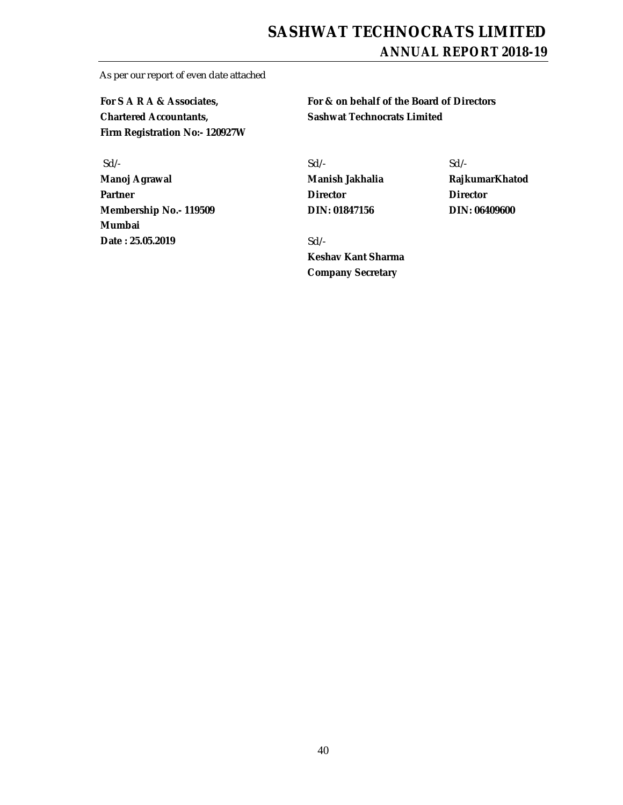As per our report of even date attached

**For S A R A & Associates, Chartered Accountants, Firm Registration No:- 120927W** **For & on behalf of the Board of Directors Sashwat Technocrats Limited**

Sd/- **Manoj Agrawal Partner Membership No.- 119509 Mumbai Date : 25.05.2019**

Sd/- **Manish Jakhalia Director DIN: 01847156**

Sd/- **RajkumarKhatod Director DIN: 06409600**

Sd/- **Keshav Kant Sharma Company Secretary**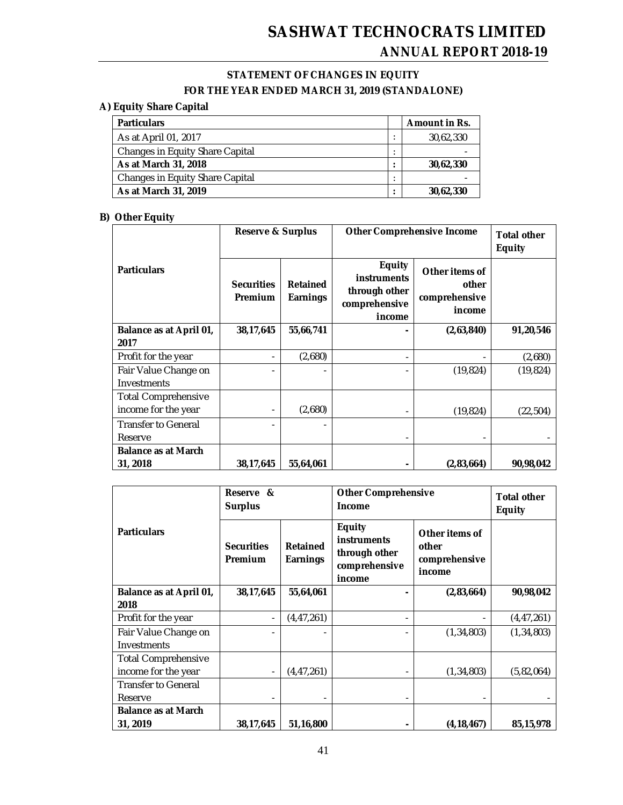### **STATEMENT OF CHANGES IN EQUITY**

### **FOR THE YEAR ENDED MARCH 31, 2019 (STANDALONE)**

### **A) Equity Share Capital**

| <b>Particulars</b>              | <b>Amount in Rs.</b> |
|---------------------------------|----------------------|
| As at April 01, 2017            | 30,62,330            |
| Changes in Equity Share Capital | -                    |
| As at March 31, 2018            | 30,62,330            |
| Changes in Equity Share Capital |                      |
| As at March 31, 2019            | 30.62.330            |

### **B) Other Equity**

|                                     | <b>Reserve &amp; Surplus</b>        |                                    |                                                                                 | <b>Other Comprehensive Income</b>                  |           |
|-------------------------------------|-------------------------------------|------------------------------------|---------------------------------------------------------------------------------|----------------------------------------------------|-----------|
| <b>Particulars</b>                  | <b>Securities</b><br><b>Premium</b> | <b>Retained</b><br><b>Earnings</b> | <b>Equity</b><br><b>instruments</b><br>through other<br>comprehensive<br>income | Other items of<br>other<br>comprehensive<br>income |           |
| Balance as at April 01,             | 38,17,645                           | 55,66,741                          |                                                                                 | (2,63,840)                                         | 91,20,546 |
| 2017                                |                                     |                                    |                                                                                 |                                                    |           |
| Profit for the year                 |                                     | (2,680)                            |                                                                                 |                                                    | (2,680)   |
| Fair Value Change on<br>Investments |                                     |                                    |                                                                                 | (19, 824)                                          | (19, 824) |
| <b>Total Comprehensive</b>          |                                     |                                    |                                                                                 |                                                    |           |
| income for the year                 |                                     | (2,680)                            |                                                                                 | (19, 824)                                          | (22, 504) |
| <b>Transfer to General</b>          |                                     |                                    |                                                                                 |                                                    |           |
| Reserve                             |                                     |                                    |                                                                                 |                                                    |           |
| <b>Balance as at March</b>          |                                     |                                    |                                                                                 |                                                    |           |
| 31, 2018                            | 38,17,645                           | 55,64,061                          |                                                                                 | (2,83,664)                                         | 90,98,042 |

|                                     | Reserve &<br><b>Surplus</b>  |                                    | <b>Other Comprehensive</b><br><b>Income</b>                                     |                                                    | <b>Total other</b><br><b>Equity</b> |
|-------------------------------------|------------------------------|------------------------------------|---------------------------------------------------------------------------------|----------------------------------------------------|-------------------------------------|
| <b>Particulars</b>                  | <b>Securities</b><br>Premium | <b>Retained</b><br><b>Earnings</b> | <b>Equity</b><br><b>instruments</b><br>through other<br>comprehensive<br>income | Other items of<br>other<br>comprehensive<br>income |                                     |
| Balance as at April 01,             | 38,17,645                    | 55,64,061                          |                                                                                 | (2,83,664)                                         | 90,98,042                           |
| 2018                                |                              |                                    |                                                                                 |                                                    |                                     |
| Profit for the year                 | $\overline{\phantom{a}}$     | (4, 47, 261)                       |                                                                                 |                                                    | (4, 47, 261)                        |
| Fair Value Change on<br>Investments |                              |                                    |                                                                                 | (1, 34, 803)                                       | (1, 34, 803)                        |
| <b>Total Comprehensive</b>          |                              |                                    |                                                                                 |                                                    |                                     |
| income for the year                 |                              | (4, 47, 261)                       |                                                                                 | (1, 34, 803)                                       | (5,82,064)                          |
| <b>Transfer to General</b>          |                              |                                    |                                                                                 |                                                    |                                     |
| Reserve                             |                              |                                    |                                                                                 |                                                    |                                     |
| <b>Balance as at March</b>          |                              |                                    |                                                                                 |                                                    |                                     |
| 31, 2019                            | 38,17,645                    | 51,16,800                          |                                                                                 | (4, 18, 467)                                       | 85, 15, 978                         |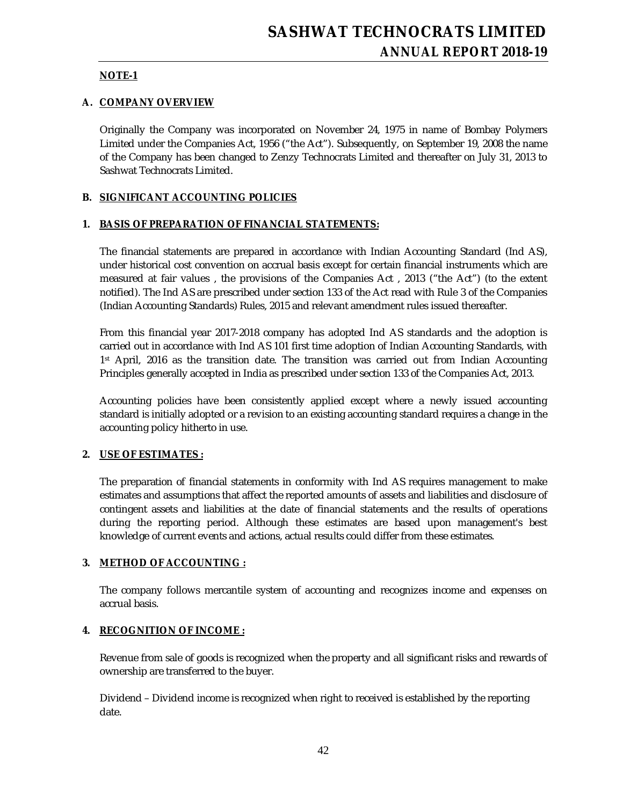### **NOTE-1**

### **A. COMPANY OVERVIEW**

Originally the Company was incorporated on November 24, 1975 in name of Bombay Polymers Limited under the Companies Act, 1956 ("the Act"). Subsequently, on September 19, 2008 the name of the Company has been changed to Zenzy Technocrats Limited and thereafter on July 31, 2013 to Sashwat Technocrats Limited.

### **B. SIGNIFICANT ACCOUNTING POLICIES**

### **1. BASIS OF PREPARATION OF FINANCIAL STATEMENTS:**

The financial statements are prepared in accordance with Indian Accounting Standard (Ind AS), under historical cost convention on accrual basis except for certain financial instruments which are measured at fair values , the provisions of the Companies Act , 2013 ("the Act") (to the extent notified). The Ind AS are prescribed under section 133 of the Act read with Rule 3 of the Companies (Indian Accounting Standards) Rules, 2015 and relevant amendment rules issued thereafter.

From this financial year 2017-2018 company has adopted Ind AS standards and the adoption is carried out in accordance with Ind AS 101 first time adoption of Indian Accounting Standards, with 1 st April, 2016 as the transition date. The transition was carried out from Indian Accounting Principles generally accepted in India as prescribed under section 133 of the Companies Act, 2013.

Accounting policies have been consistently applied except where a newly issued accounting standard is initially adopted or a revision to an existing accounting standard requires a change in the accounting policy hitherto in use.

### **2. USE OF ESTIMATES :**

The preparation of financial statements in conformity with Ind AS requires management to make estimates and assumptions that affect the reported amounts of assets and liabilities and disclosure of contingent assets and liabilities at the date of financial statements and the results of operations during the reporting period. Although these estimates are based upon management's best knowledge of current events and actions, actual results could differ from these estimates.

### **3. METHOD OF ACCOUNTING :**

The company follows mercantile system of accounting and recognizes income and expenses on accrual basis.

### **4. RECOGNITION OF INCOME :**

Revenue from sale of goods is recognized when the property and all significant risks and rewards of ownership are transferred to the buyer.

Dividend – Dividend income is recognized when right to received is established by the reporting date.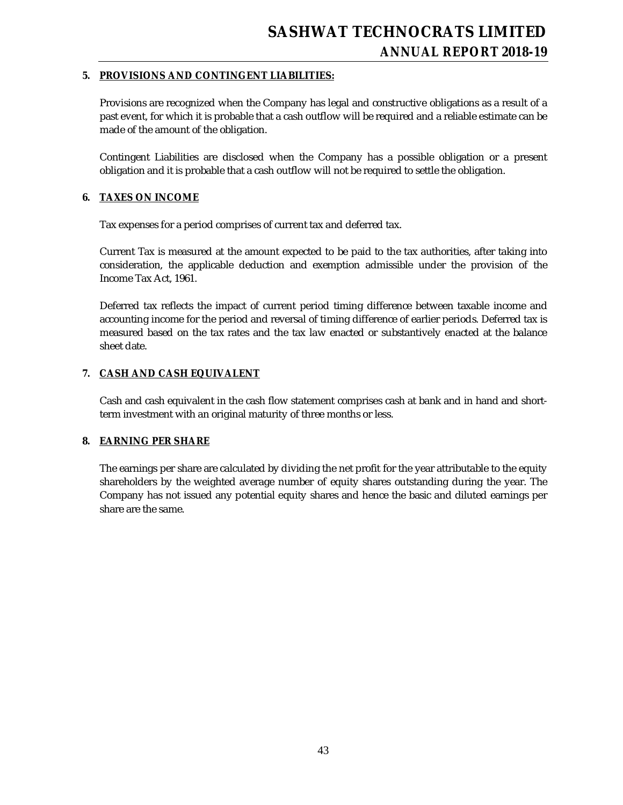### **5. PROVISIONS AND CONTINGENT LIABILITIES:**

Provisions are recognized when the Company has legal and constructive obligations as a result of a past event, for which it is probable that a cash outflow will be required and a reliable estimate can be made of the amount of the obligation.

Contingent Liabilities are disclosed when the Company has a possible obligation or a present obligation and it is probable that a cash outflow will not be required to settle the obligation.

### **6. TAXES ON INCOME**

Tax expenses for a period comprises of current tax and deferred tax.

Current Tax is measured at the amount expected to be paid to the tax authorities, after taking into consideration, the applicable deduction and exemption admissible under the provision of the Income Tax Act, 1961.

Deferred tax reflects the impact of current period timing difference between taxable income and accounting income for the period and reversal of timing difference of earlier periods. Deferred tax is measured based on the tax rates and the tax law enacted or substantively enacted at the balance sheet date.

### **7. CASH AND CASH EQUIVALENT**

Cash and cash equivalent in the cash flow statement comprises cash at bank and in hand and shortterm investment with an original maturity of three months or less.

### **8. EARNING PER SHARE**

The earnings per share are calculated by dividing the net profit for the year attributable to the equity shareholders by the weighted average number of equity shares outstanding during the year. The Company has not issued any potential equity shares and hence the basic and diluted earnings per share are the same.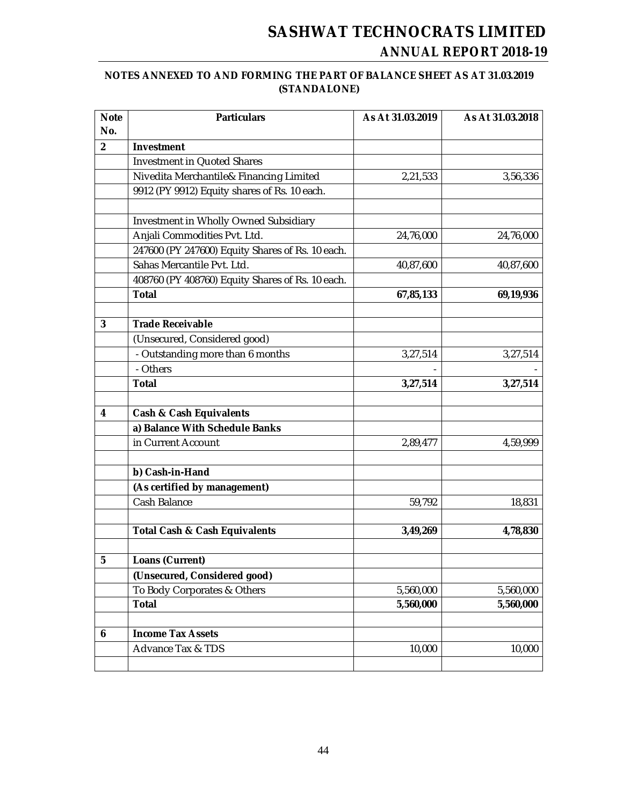### **NOTES ANNEXED TO AND FORMING THE PART OF BALANCE SHEET AS AT 31.03.2019 (STANDALONE)**

| <b>Note</b>    | <b>Particulars</b>                               | As At 31.03.2019 | As At 31.03.2018 |
|----------------|--------------------------------------------------|------------------|------------------|
| No.            |                                                  |                  |                  |
| $\overline{2}$ | <b>Investment</b>                                |                  |                  |
|                | <b>Investment in Quoted Shares</b>               |                  |                  |
|                | Nivedita Merchantile& Financing Limited          | 2,21,533         | 3,56,336         |
|                | 9912 (PY 9912) Equity shares of Rs. 10 each.     |                  |                  |
|                |                                                  |                  |                  |
|                | Investment in Wholly Owned Subsidiary            |                  |                  |
|                | Anjali Commodities Pvt. Ltd.                     | 24,76,000        | 24,76,000        |
|                | 247600 (PY 247600) Equity Shares of Rs. 10 each. |                  |                  |
|                | Sahas Mercantile Pvt. Ltd.                       | 40,87,600        | 40,87,600        |
|                | 408760 (PY 408760) Equity Shares of Rs. 10 each. |                  |                  |
|                | <b>Total</b>                                     | 67,85,133        | 69,19,936        |
|                |                                                  |                  |                  |
| 3              | <b>Trade Receivable</b>                          |                  |                  |
|                | (Unsecured, Considered good)                     |                  |                  |
|                | - Outstanding more than 6 months                 | 3,27,514         | 3,27,514         |
|                | - Others                                         |                  |                  |
|                | <b>Total</b>                                     | 3,27,514         | 3,27,514         |
|                |                                                  |                  |                  |
| 4              | <b>Cash &amp; Cash Equivalents</b>               |                  |                  |
|                | a) Balance With Schedule Banks                   |                  |                  |
|                | in Current Account                               | 2,89,477         | 4,59,999         |
|                |                                                  |                  |                  |
|                | b) Cash-in-Hand                                  |                  |                  |
|                | (As certified by management)                     |                  |                  |
|                | Cash Balance                                     | 59,792           | 18,831           |
|                |                                                  |                  |                  |
|                | <b>Total Cash &amp; Cash Equivalents</b>         | 3,49,269         | 4,78,830         |
|                |                                                  |                  |                  |
| 5              | Loans (Current)                                  |                  |                  |
|                | (Unsecured, Considered good)                     |                  |                  |
|                | To Body Corporates & Others                      | 5,560,000        | 5,560,000        |
|                | <b>Total</b>                                     | 5,560,000        | 5,560,000        |
| 6              | <b>Income Tax Assets</b>                         |                  |                  |
|                | Advance Tax & TDS                                | 10,000           | 10,000           |
|                |                                                  |                  |                  |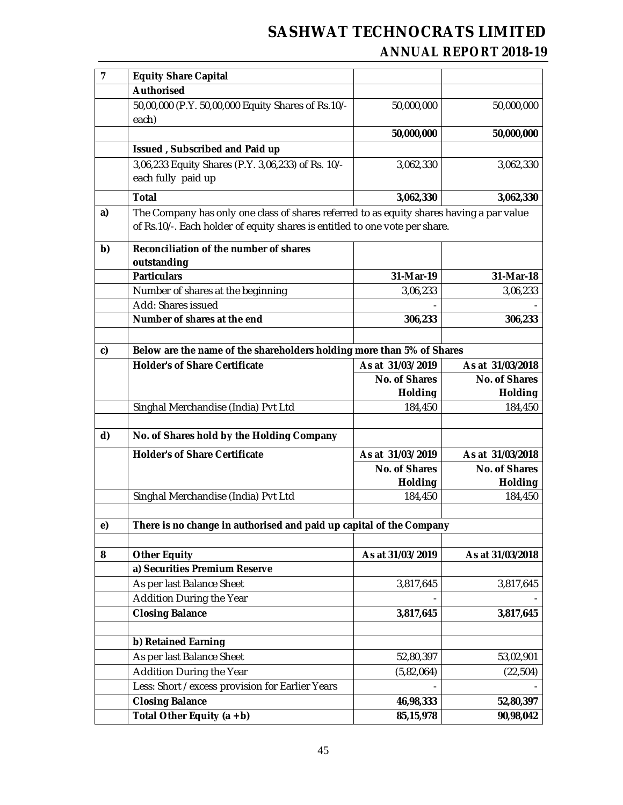| $\overline{7}$ | <b>Equity Share Capital</b>                                                              |                  |                      |
|----------------|------------------------------------------------------------------------------------------|------------------|----------------------|
|                | <b>Authorised</b>                                                                        |                  |                      |
|                | 50,00,000 (P.Y. 50,00,000 Equity Shares of Rs.10/-<br>each)                              | 50,000,000       | 50,000,000           |
|                |                                                                                          | 50,000,000       | 50,000,000           |
|                | Issued, Subscribed and Paid up                                                           |                  |                      |
|                | 3,06,233 Equity Shares (P.Y. 3,06,233) of Rs. 10/-                                       | 3,062,330        | 3,062,330            |
|                | each fully paid up                                                                       |                  |                      |
|                | <b>Total</b>                                                                             | 3,062,330        | 3,062,330            |
| a)             | The Company has only one class of shares referred to as equity shares having a par value |                  |                      |
|                | of Rs.10/-. Each holder of equity shares is entitled to one vote per share.              |                  |                      |
| b)             | Reconciliation of the number of shares                                                   |                  |                      |
|                | outstanding                                                                              |                  |                      |
|                | <b>Particulars</b>                                                                       | 31-Mar-19        | 31-Mar-18            |
|                | Number of shares at the beginning                                                        | 3,06,233         | 3,06,233             |
|                | Add: Shares issued                                                                       |                  |                      |
|                | Number of shares at the end                                                              | 306,233          | 306,233              |
|                |                                                                                          |                  |                      |
| c)             | Below are the name of the shareholders holding more than 5% of Shares                    |                  |                      |
|                | <b>Holder's of Share Certificate</b>                                                     | As at 31/03/2019 | As at 31/03/2018     |
|                |                                                                                          | No. of Shares    | <b>No. of Shares</b> |
|                |                                                                                          | <b>Holding</b>   | <b>Holding</b>       |
|                | Singhal Merchandise (India) Pvt Ltd                                                      | 184,450          | 184,450              |
|                |                                                                                          |                  |                      |
| d)             | No. of Shares hold by the Holding Company                                                |                  |                      |
|                | <b>Holder's of Share Certificate</b>                                                     | As at 31/03/2019 | As at 31/03/2018     |
|                |                                                                                          | No. of Shares    | <b>No. of Shares</b> |
|                |                                                                                          | Holding          | <b>Holding</b>       |
|                | Singhal Merchandise (India) Pvt Ltd                                                      | 184,450          | 184,450              |
| e)             | There is no change in authorised and paid up capital of the Company                      |                  |                      |
|                |                                                                                          |                  |                      |
| 8              | <b>Other Equity</b>                                                                      | As at 31/03/2019 | As at 31/03/2018     |
|                | a) Securities Premium Reserve                                                            |                  |                      |
|                | As per last Balance Sheet                                                                | 3,817,645        | 3,817,645            |
|                | Addition During the Year                                                                 |                  |                      |
|                | <b>Closing Balance</b>                                                                   | 3,817,645        | 3,817,645            |
|                | b) Retained Earning                                                                      |                  |                      |
|                | As per last Balance Sheet                                                                | 52,80,397        | 53,02,901            |
|                | Addition During the Year                                                                 | (5,82,064)       | (22, 504)            |
|                | Less: Short / excess provision for Earlier Years                                         |                  |                      |
|                | <b>Closing Balance</b>                                                                   | 46,98,333        | 52,80,397            |
|                | Total Other Equity $(a + b)$                                                             | 85, 15, 978      | 90,98,042            |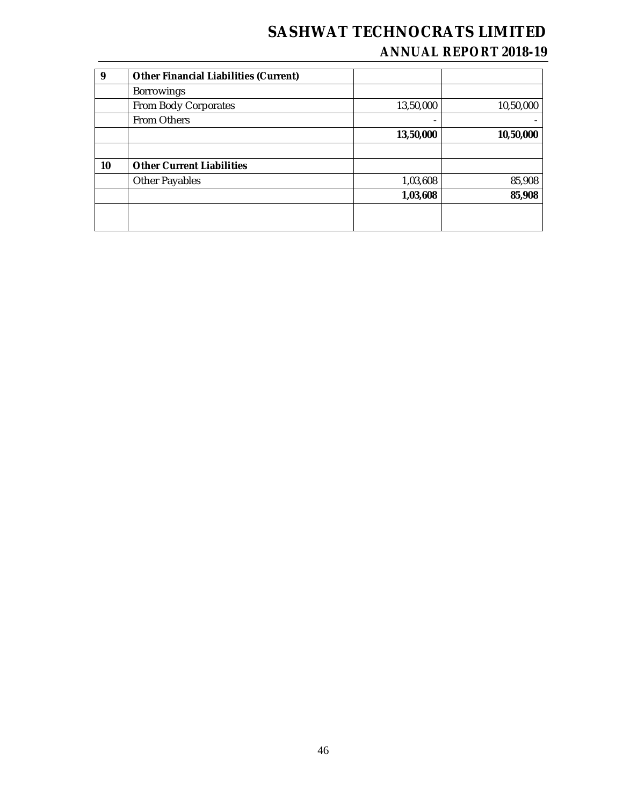| 9  | <b>Other Financial Liabilities (Current)</b> |           |           |
|----|----------------------------------------------|-----------|-----------|
|    | <b>Borrowings</b>                            |           |           |
|    | From Body Corporates                         | 13,50,000 | 10,50,000 |
|    | From Others                                  |           |           |
|    |                                              | 13,50,000 | 10,50,000 |
|    |                                              |           |           |
| 10 | <b>Other Current Liabilities</b>             |           |           |
|    | <b>Other Payables</b>                        | 1,03,608  | 85,908    |
|    |                                              | 1,03,608  | 85,908    |
|    |                                              |           |           |
|    |                                              |           |           |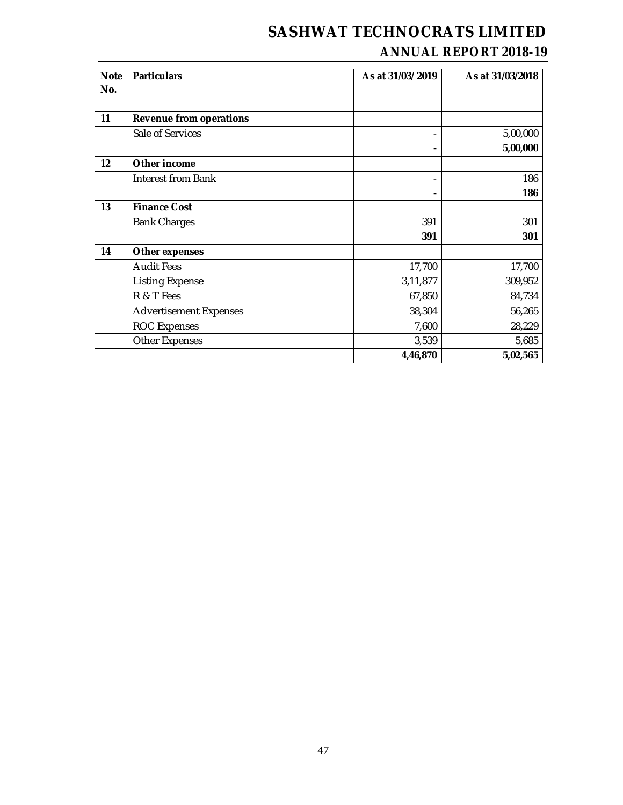| <b>Note</b> | <b>Particulars</b>             | As at 31/03/2019         | As at 31/03/2018 |
|-------------|--------------------------------|--------------------------|------------------|
| No.         |                                |                          |                  |
|             |                                |                          |                  |
| 11          | <b>Revenue from operations</b> |                          |                  |
|             | Sale of Services               | $\overline{\phantom{a}}$ | 5,00,000         |
|             |                                |                          | 5,00,000         |
| 12          | Other income                   |                          |                  |
|             | Interest from Bank             | ٠                        | 186              |
|             |                                | $\blacksquare$           | 186              |
| 13          | <b>Finance Cost</b>            |                          |                  |
|             | <b>Bank Charges</b>            | 391                      | 301              |
|             |                                | 391                      | 301              |
| 14          | <b>Other expenses</b>          |                          |                  |
|             | <b>Audit Fees</b>              | 17,700                   | 17,700           |
|             | <b>Listing Expense</b>         | 3,11,877                 | 309,952          |
|             | R & T Fees                     | 67,850                   | 84,734           |
|             | <b>Advertisement Expenses</b>  | 38,304                   | 56,265           |
|             | <b>ROC Expenses</b>            | 7,600                    | 28,229           |
|             | <b>Other Expenses</b>          | 3,539                    | 5,685            |
|             |                                | 4,46,870                 | 5,02,565         |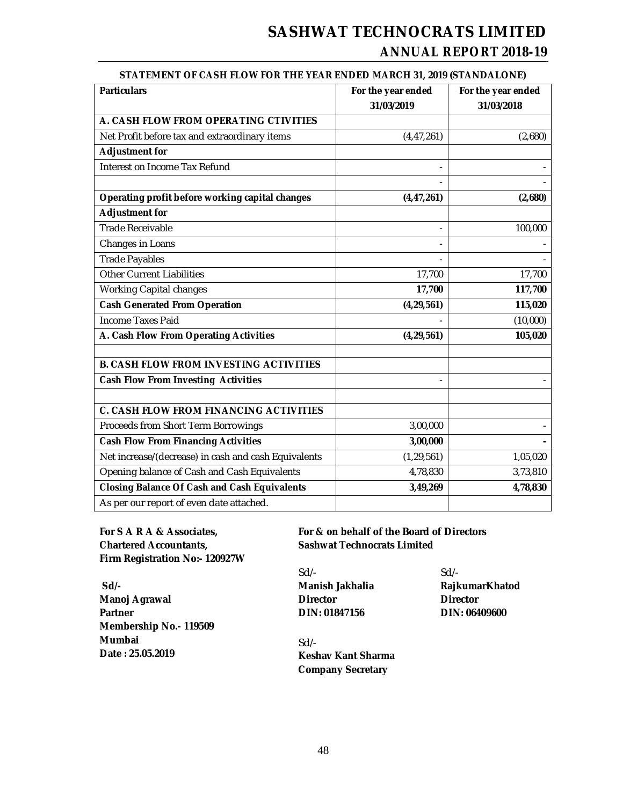| <b>Particulars</b>                                   | For the year ended | For the year ended |
|------------------------------------------------------|--------------------|--------------------|
|                                                      | 31/03/2019         | 31/03/2018         |
| A. CASH FLOW FROM OPERATING CTIVITIES                |                    |                    |
| Net Profit before tax and extraordinary items        | (4, 47, 261)       | (2,680)            |
| <b>Adjustment for</b>                                |                    |                    |
| Interest on Income Tax Refund                        |                    |                    |
|                                                      |                    |                    |
| Operating profit before working capital changes      | (4, 47, 261)       | (2,680)            |
| <b>Adjustment for</b>                                |                    |                    |
| <b>Trade Receivable</b>                              |                    | 100,000            |
| Changes in Loans                                     |                    |                    |
| <b>Trade Payables</b>                                |                    |                    |
| <b>Other Current Liabilities</b>                     | 17,700             | 17,700             |
| <b>Working Capital changes</b>                       | 17,700             | 117,700            |
| <b>Cash Generated From Operation</b>                 | (4, 29, 561)       | 115,020            |
| <b>Income Taxes Paid</b>                             |                    | (10,000)           |
| A. Cash Flow From Operating Activities               | (4, 29, 561)       | 105,020            |
|                                                      |                    |                    |
| <b>B. CASH FLOW FROM INVESTING ACTIVITIES</b>        |                    |                    |
| <b>Cash Flow From Investing Activities</b>           |                    |                    |
|                                                      |                    |                    |
| <b>C. CASH FLOW FROM FINANCING ACTIVITIES</b>        |                    |                    |
| Proceeds from Short Term Borrowings                  | 3,00,000           |                    |
| <b>Cash Flow From Financing Activities</b>           | 3,00,000           |                    |
| Net increase/(decrease) in cash and cash Equivalents | (1, 29, 561)       | 1,05,020           |
| Opening balance of Cash and Cash Equivalents         | 4,78,830           | 3,73,810           |
| <b>Closing Balance Of Cash and Cash Equivalents</b>  | 3,49,269           | 4,78,830           |
| As per our report of even date attached.             |                    |                    |

#### **STATEMENT OF CASH FLOW FOR THE YEAR ENDED MARCH 31, 2019 (STANDALONE)**

**For S A R A & Associates, Chartered Accountants, Firm Registration No:- 120927W**

### **For & on behalf of the Board of Directors Sashwat Technocrats Limited**

**Sd/- Manoj Agrawal Partner Membership No.- 119509 Mumbai Date : 25.05.2019**

Sd/- **Manish Jakhalia Director DIN: 01847156**

Sd/- **RajkumarKhatod Director DIN: 06409600**

Sd/- **Keshav Kant Sharma Company Secretary**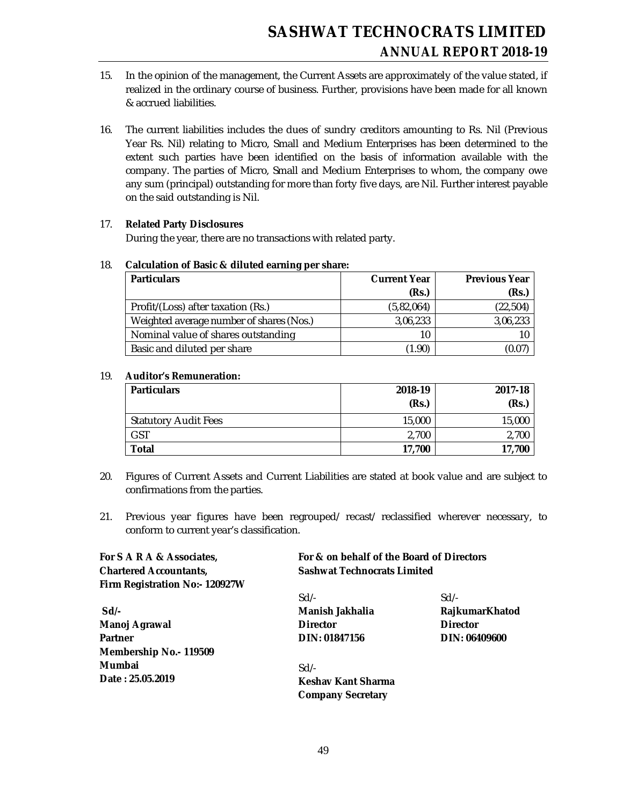- 15. In the opinion of the management, the Current Assets are approximately of the value stated, if realized in the ordinary course of business. Further, provisions have been made for all known & accrued liabilities.
- 16. The current liabilities includes the dues of sundry creditors amounting to Rs. Nil (Previous Year Rs. Nil) relating to Micro, Small and Medium Enterprises has been determined to the extent such parties have been identified on the basis of information available with the company. The parties of Micro, Small and Medium Enterprises to whom, the company owe any sum (principal) outstanding for more than forty five days, are Nil. Further interest payable on the said outstanding is Nil.

### 17. **Related Party Disclosures**

During the year, there are no transactions with related party.

#### 18. **Calculation of Basic & diluted earning per share:**

| <b>Particulars</b>                       | <b>Current Year</b> | <b>Previous Year</b> |
|------------------------------------------|---------------------|----------------------|
|                                          | (Rs.)               | (Rs.)                |
| Profit/(Loss) after taxation (Rs.)       | (5,82,064)          | (22, 504)            |
| Weighted average number of shares (Nos.) | 3,06,233            | 3,06,233             |
| Nominal value of shares outstanding      | 10                  |                      |
| Basic and diluted per share              | (1.90)              |                      |

#### 19. **Auditor's Remuneration:**

| <b>Particulars</b>          | 2018-19<br>(Rs.) | 2017-18<br>(Rs.) |
|-----------------------------|------------------|------------------|
| <b>Statutory Audit Fees</b> | 15,000           | 15,000           |
| <b>GST</b>                  | 2,700            | 2,700            |
| <b>Total</b>                | 17,700           | 17,700           |

- 20. Figures of Current Assets and Current Liabilities are stated at book value and are subject to confirmations from the parties.
- 21. Previous year figures have been regrouped/ recast/ reclassified wherever necessary, to conform to current year's classification.

| For S A R A & Associates,<br><b>Chartered Accountants,</b> | For & on behalf of the Board of Directors<br><b>Sashwat Technocrats Limited</b> |                 |
|------------------------------------------------------------|---------------------------------------------------------------------------------|-----------------|
| Firm Registration No:- 120927W                             |                                                                                 |                 |
|                                                            | $Sd$ -                                                                          | Sd/-            |
| Sd/-                                                       | Manish Jakhalia                                                                 | RajkumarKhatod  |
| Manoj Agrawal                                              | <b>Director</b>                                                                 | <b>Director</b> |
| <b>Partner</b>                                             | DIN: 01847156                                                                   | DIN: 06409600   |
| Membership No.- 119509                                     |                                                                                 |                 |
| Mumbai                                                     | $Sd$ -                                                                          |                 |
| Date: 25.05.2019                                           | Keshav Kant Sharma                                                              |                 |

**Company Secretary**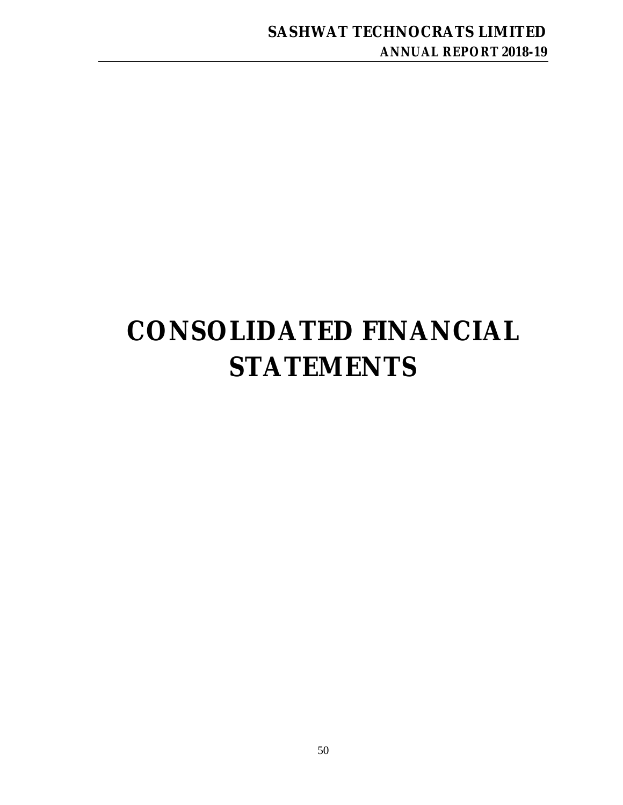# **CONSOLIDATED FINANCIAL STATEMENTS**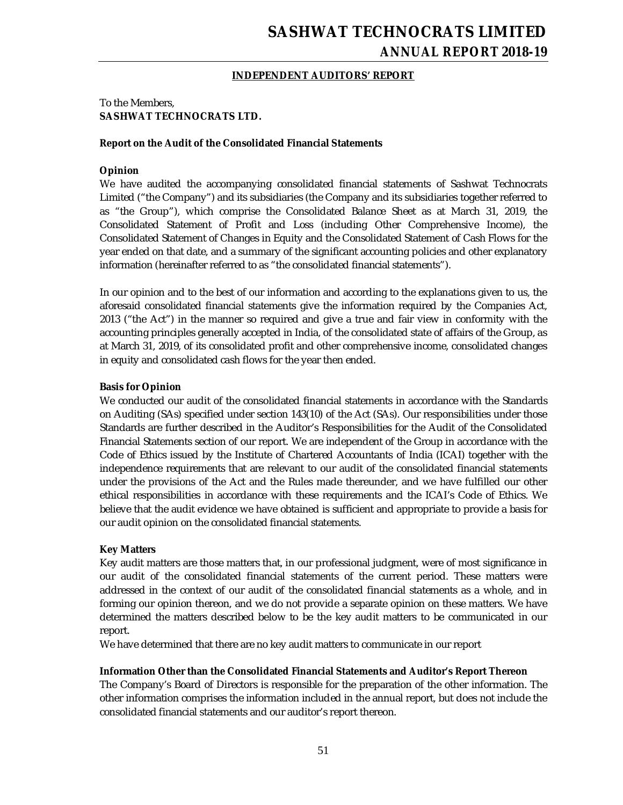### **INDEPENDENT AUDITORS' REPORT**

#### To the Members, **SASHWAT TECHNOCRATS LTD.**

### **Report on the Audit of the Consolidated Financial Statements**

### **Opinion**

We have audited the accompanying consolidated financial statements of Sashwat Technocrats Limited ("the Company") and its subsidiaries (the Company and its subsidiaries together referred to as "the Group"), which comprise the Consolidated Balance Sheet as at March 31, 2019, the Consolidated Statement of Profit and Loss (including Other Comprehensive Income), the Consolidated Statement of Changes in Equity and the Consolidated Statement of Cash Flows for the year ended on that date, and a summary of the significant accounting policies and other explanatory information (hereinafter referred to as "the consolidated financial statements").

In our opinion and to the best of our information and according to the explanations given to us, the aforesaid consolidated financial statements give the information required by the Companies Act, 2013 ("the Act") in the manner so required and give a true and fair view in conformity with the accounting principles generally accepted in India, of the consolidated state of affairs of the Group, as at March 31, 2019, of its consolidated profit and other comprehensive income, consolidated changes in equity and consolidated cash flows for the year then ended.

### **Basis for Opinion**

We conducted our audit of the consolidated financial statements in accordance with the Standards on Auditing (SAs) specified under section 143(10) of the Act (SAs). Our responsibilities under those Standards are further described in the Auditor's Responsibilities for the Audit of the Consolidated Financial Statements section of our report. We are independent of the Group in accordance with the Code of Ethics issued by the Institute of Chartered Accountants of India (ICAI) together with the independence requirements that are relevant to our audit of the consolidated financial statements under the provisions of the Act and the Rules made thereunder, and we have fulfilled our other ethical responsibilities in accordance with these requirements and the ICAI's Code of Ethics. We believe that the audit evidence we have obtained is sufficient and appropriate to provide a basis for our audit opinion on the consolidated financial statements.

### **Key Matters**

Key audit matters are those matters that, in our professional judgment, were of most significance in our audit of the consolidated financial statements of the current period. These matters were addressed in the context of our audit of the consolidated financial statements as a whole, and in forming our opinion thereon, and we do not provide a separate opinion on these matters. We have determined the matters described below to be the key audit matters to be communicated in our report.

We have determined that there are no key audit matters to communicate in our report

### **Information Other than the Consolidated Financial Statements and Auditor's Report Thereon**

The Company's Board of Directors is responsible for the preparation of the other information. The other information comprises the information included in the annual report, but does not include the consolidated financial statements and our auditor's report thereon.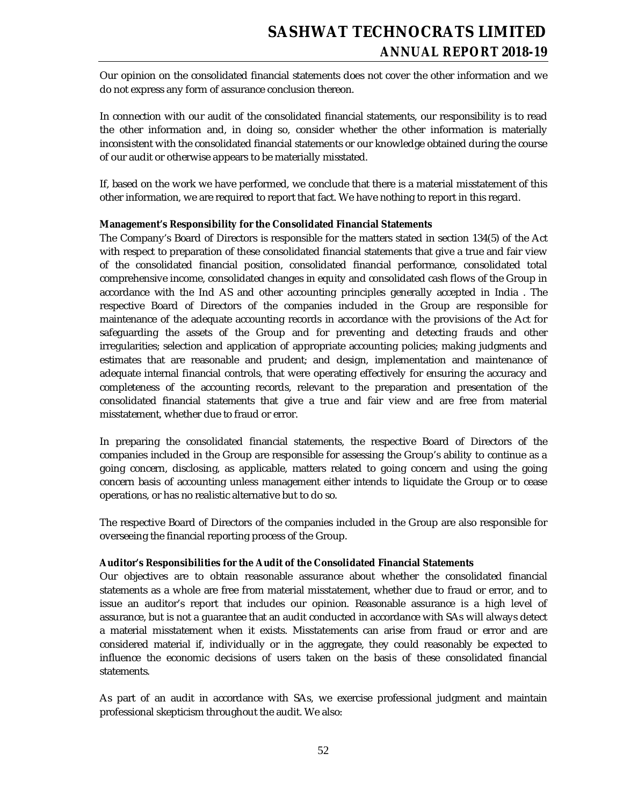Our opinion on the consolidated financial statements does not cover the other information and we do not express any form of assurance conclusion thereon.

In connection with our audit of the consolidated financial statements, our responsibility is to read the other information and, in doing so, consider whether the other information is materially inconsistent with the consolidated financial statements or our knowledge obtained during the course of our audit or otherwise appears to be materially misstated.

If, based on the work we have performed, we conclude that there is a material misstatement of this other information, we are required to report that fact. We have nothing to report in this regard.

#### **Management's Responsibility for the Consolidated Financial Statements**

The Company's Board of Directors is responsible for the matters stated in section 134(5) of the Act with respect to preparation of these consolidated financial statements that give a true and fair view of the consolidated financial position, consolidated financial performance, consolidated total comprehensive income, consolidated changes in equity and consolidated cash flows of the Group in accordance with the Ind AS and other accounting principles generally accepted in India . The respective Board of Directors of the companies included in the Group are responsible for maintenance of the adequate accounting records in accordance with the provisions of the Act for safeguarding the assets of the Group and for preventing and detecting frauds and other irregularities; selection and application of appropriate accounting policies; making judgments and estimates that are reasonable and prudent; and design, implementation and maintenance of adequate internal financial controls, that were operating effectively for ensuring the accuracy and completeness of the accounting records, relevant to the preparation and presentation of the consolidated financial statements that give a true and fair view and are free from material misstatement, whether due to fraud or error.

In preparing the consolidated financial statements, the respective Board of Directors of the companies included in the Group are responsible for assessing the Group's ability to continue as a going concern, disclosing, as applicable, matters related to going concern and using the going concern basis of accounting unless management either intends to liquidate the Group or to cease operations, or has no realistic alternative but to do so.

The respective Board of Directors of the companies included in the Group are also responsible for overseeing the financial reporting process of the Group.

#### **Auditor's Responsibilities for the Audit of the Consolidated Financial Statements**

Our objectives are to obtain reasonable assurance about whether the consolidated financial statements as a whole are free from material misstatement, whether due to fraud or error, and to issue an auditor's report that includes our opinion. Reasonable assurance is a high level of assurance, but is not a guarantee that an audit conducted in accordance with SAs will always detect a material misstatement when it exists. Misstatements can arise from fraud or error and are considered material if, individually or in the aggregate, they could reasonably be expected to influence the economic decisions of users taken on the basis of these consolidated financial statements.

As part of an audit in accordance with SAs, we exercise professional judgment and maintain professional skepticism throughout the audit. We also: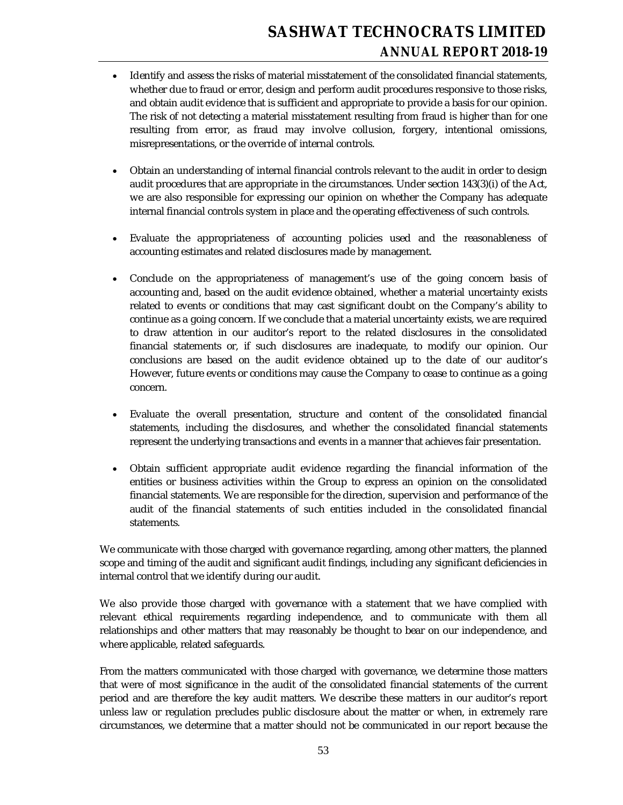- Identify and assess the risks of material misstatement of the consolidated financial statements, whether due to fraud or error, design and perform audit procedures responsive to those risks, and obtain audit evidence that is sufficient and appropriate to provide a basis for our opinion. The risk of not detecting a material misstatement resulting from fraud is higher than for one resulting from error, as fraud may involve collusion, forgery, intentional omissions, misrepresentations, or the override of internal controls.
- Obtain an understanding of internal financial controls relevant to the audit in order to design audit procedures that are appropriate in the circumstances. Under section 143(3)(i) of the Act, we are also responsible for expressing our opinion on whether the Company has adequate internal financial controls system in place and the operating effectiveness of such controls.
- Evaluate the appropriateness of accounting policies used and the reasonableness of accounting estimates and related disclosures made by management.
- Conclude on the appropriateness of management's use of the going concern basis of accounting and, based on the audit evidence obtained, whether a material uncertainty exists related to events or conditions that may cast significant doubt on the Company's ability to continue as a going concern. If we conclude that a material uncertainty exists, we are required to draw attention in our auditor's report to the related disclosures in the consolidated financial statements or, if such disclosures are inadequate, to modify our opinion. Our conclusions are based on the audit evidence obtained up to the date of our auditor's However, future events or conditions may cause the Company to cease to continue as a going concern.
- Evaluate the overall presentation, structure and content of the consolidated financial statements, including the disclosures, and whether the consolidated financial statements represent the underlying transactions and events in a manner that achieves fair presentation.
- Obtain sufficient appropriate audit evidence regarding the financial information of the entities or business activities within the Group to express an opinion on the consolidated financial statements. We are responsible for the direction, supervision and performance of the audit of the financial statements of such entities included in the consolidated financial statements.

We communicate with those charged with governance regarding, among other matters, the planned scope and timing of the audit and significant audit findings, including any significant deficiencies in internal control that we identify during our audit.

We also provide those charged with governance with a statement that we have complied with relevant ethical requirements regarding independence, and to communicate with them all relationships and other matters that may reasonably be thought to bear on our independence, and where applicable, related safeguards.

From the matters communicated with those charged with governance, we determine those matters that were of most significance in the audit of the consolidated financial statements of the current period and are therefore the key audit matters. We describe these matters in our auditor's report unless law or regulation precludes public disclosure about the matter or when, in extremely rare circumstances, we determine that a matter should not be communicated in our report because the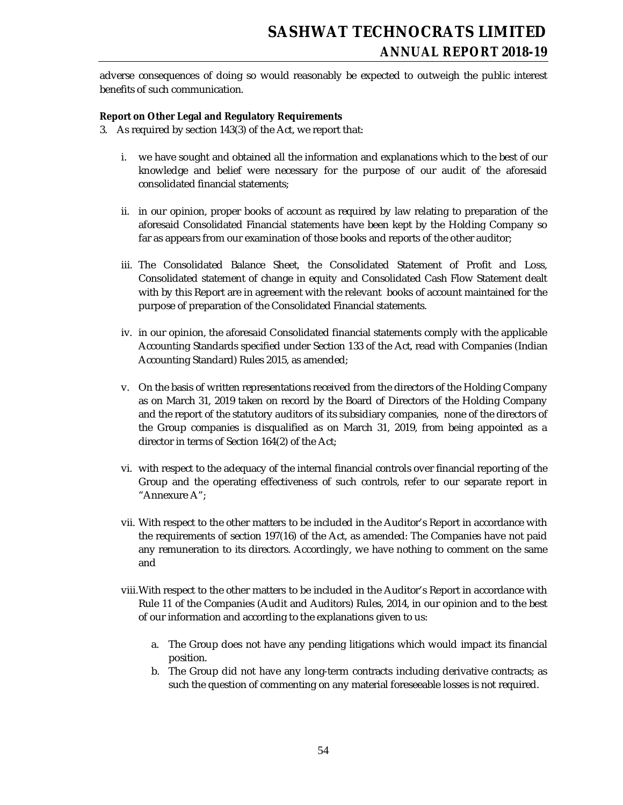adverse consequences of doing so would reasonably be expected to outweigh the public interest benefits of such communication.

### **Report on Other Legal and Regulatory Requirements**

- 3. As required by section 143(3) of the Act, we report that:
	- i. we have sought and obtained all the information and explanations which to the best of our knowledge and belief were necessary for the purpose of our audit of the aforesaid consolidated financial statements;
	- ii. in our opinion, proper books of account as required by law relating to preparation of the aforesaid Consolidated Financial statements have been kept by the Holding Company so far as appears from our examination of those books and reports of the other auditor;
	- iii. The Consolidated Balance Sheet, the Consolidated Statement of Profit and Loss, Consolidated statement of change in equity and Consolidated Cash Flow Statement dealt with by this Report are in agreement with the relevant books of account maintained for the purpose of preparation of the Consolidated Financial statements.
	- iv. in our opinion, the aforesaid Consolidated financial statements comply with the applicable Accounting Standards specified under Section 133 of the Act, read with Companies (Indian Accounting Standard) Rules 2015, as amended;
	- v. On the basis of written representations received from the directors of the Holding Company as on March 31, 2019 taken on record by the Board of Directors of the Holding Company and the report of the statutory auditors of its subsidiary companies, none of the directors of the Group companies is disqualified as on March 31, 2019, from being appointed as a director in terms of Section 164(2) of the Act;
	- vi. with respect to the adequacy of the internal financial controls over financial reporting of the Group and the operating effectiveness of such controls, refer to our separate report in "Annexure A";
	- vii. With respect to the other matters to be included in the Auditor's Report in accordance with the requirements of section 197(16) of the Act, as amended: The Companies have not paid any remuneration to its directors. Accordingly, we have nothing to comment on the same and
	- viii.With respect to the other matters to be included in the Auditor's Report in accordance with Rule 11 of the Companies (Audit and Auditors) Rules, 2014, in our opinion and to the best of our information and according to the explanations given to us:
		- a. The Group does not have any pending litigations which would impact its financial position.
		- b. The Group did not have any long-term contracts including derivative contracts; as such the question of commenting on any material foreseeable losses is not required.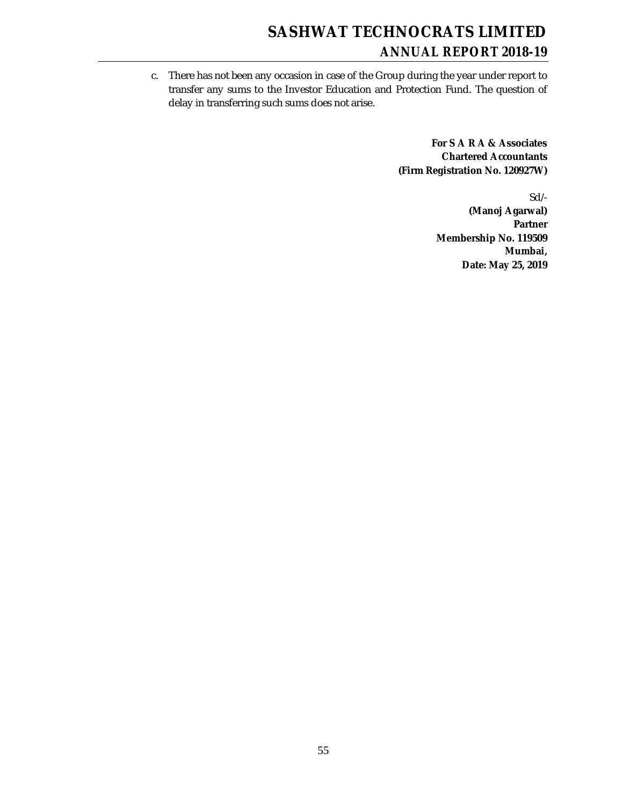c. There has not been any occasion in case of the Group during the year under report to transfer any sums to the Investor Education and Protection Fund. The question of delay in transferring such sums does not arise.

> **For S A R A & Associates Chartered Accountants (Firm Registration No. 120927W)**

> > Sd/- **(Manoj Agarwal) Partner Membership No. 119509 Mumbai, Date: May 25, 2019**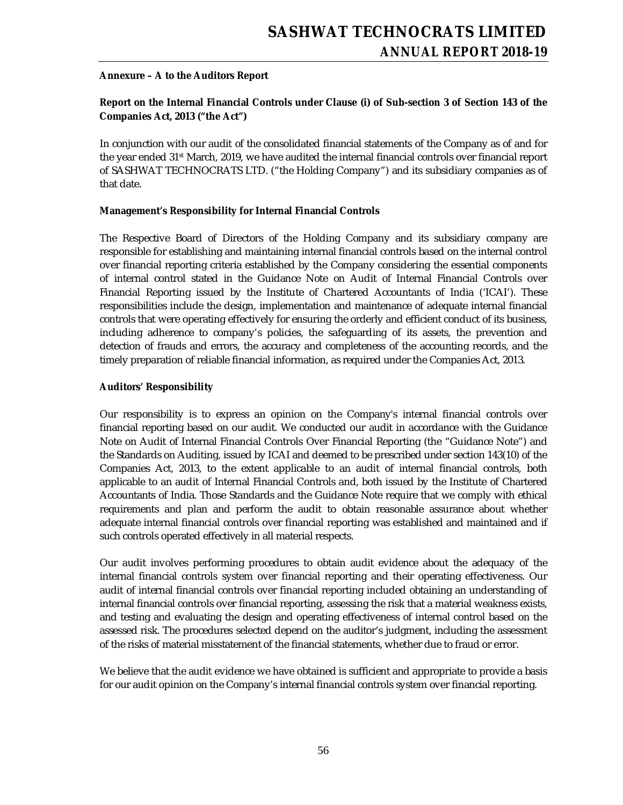### **Annexure – A to the Auditors Report**

### **Report on the Internal Financial Controls under Clause (i) of Sub-section 3 of Section 143 of the Companies Act, 2013 ("the Act")**

In conjunction with our audit of the consolidated financial statements of the Company as of and for the year ended 31st March, 2019, we have audited the internal financial controls over financial report of SASHWAT TECHNOCRATS LTD. ("the Holding Company") and its subsidiary companies as of that date.

### **Management's Responsibility for Internal Financial Controls**

The Respective Board of Directors of the Holding Company and its subsidiary company are responsible for establishing and maintaining internal financial controls based on the internal control over financial reporting criteria established by the Company considering the essential components of internal control stated in the Guidance Note on Audit of Internal Financial Controls over Financial Reporting issued by the Institute of Chartered Accountants of India ('ICAI'). These responsibilities include the design, implementation and maintenance of adequate internal financial controls that were operating effectively for ensuring the orderly and efficient conduct of its business, including adherence to company's policies, the safeguarding of its assets, the prevention and detection of frauds and errors, the accuracy and completeness of the accounting records, and the timely preparation of reliable financial information, as required under the Companies Act, 2013.

### **Auditors' Responsibility**

Our responsibility is to express an opinion on the Company's internal financial controls over financial reporting based on our audit. We conducted our audit in accordance with the Guidance Note on Audit of Internal Financial Controls Over Financial Reporting (the "Guidance Note") and the Standards on Auditing, issued by ICAI and deemed to be prescribed under section 143(10) of the Companies Act, 2013, to the extent applicable to an audit of internal financial controls, both applicable to an audit of Internal Financial Controls and, both issued by the Institute of Chartered Accountants of India. Those Standards and the Guidance Note require that we comply with ethical requirements and plan and perform the audit to obtain reasonable assurance about whether adequate internal financial controls over financial reporting was established and maintained and if such controls operated effectively in all material respects.

Our audit involves performing procedures to obtain audit evidence about the adequacy of the internal financial controls system over financial reporting and their operating effectiveness. Our audit of internal financial controls over financial reporting included obtaining an understanding of internal financial controls over financial reporting, assessing the risk that a material weakness exists, and testing and evaluating the design and operating effectiveness of internal control based on the assessed risk. The procedures selected depend on the auditor's judgment, including the assessment of the risks of material misstatement of the financial statements, whether due to fraud or error.

We believe that the audit evidence we have obtained is sufficient and appropriate to provide a basis for our audit opinion on the Company's internal financial controls system over financial reporting.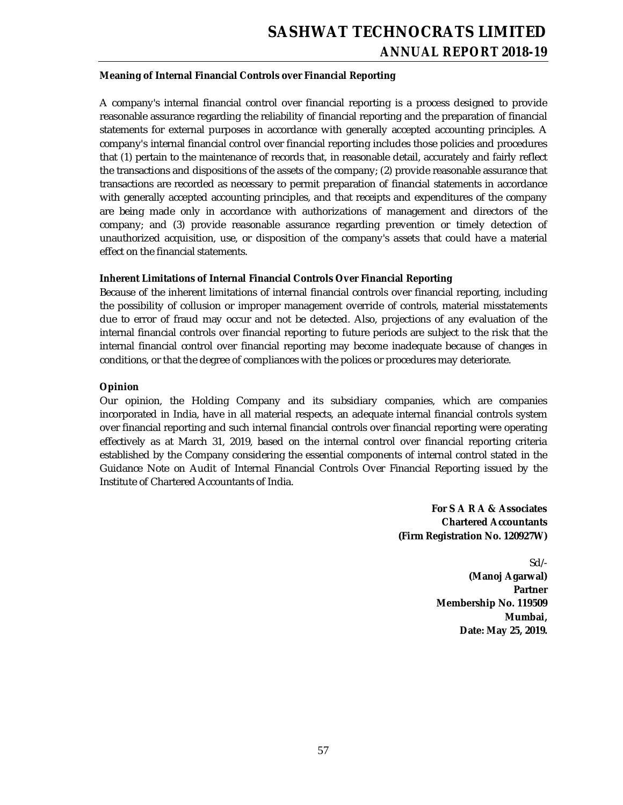### **Meaning of Internal Financial Controls over Financial Reporting**

A company's internal financial control over financial reporting is a process designed to provide reasonable assurance regarding the reliability of financial reporting and the preparation of financial statements for external purposes in accordance with generally accepted accounting principles. A company's internal financial control over financial reporting includes those policies and procedures that (1) pertain to the maintenance of records that, in reasonable detail, accurately and fairly reflect the transactions and dispositions of the assets of the company; (2) provide reasonable assurance that transactions are recorded as necessary to permit preparation of financial statements in accordance with generally accepted accounting principles, and that receipts and expenditures of the company are being made only in accordance with authorizations of management and directors of the company; and (3) provide reasonable assurance regarding prevention or timely detection of unauthorized acquisition, use, or disposition of the company's assets that could have a material effect on the financial statements.

### **Inherent Limitations of Internal Financial Controls Over Financial Reporting**

Because of the inherent limitations of internal financial controls over financial reporting, including the possibility of collusion or improper management override of controls, material misstatements due to error of fraud may occur and not be detected. Also, projections of any evaluation of the internal financial controls over financial reporting to future periods are subject to the risk that the internal financial control over financial reporting may become inadequate because of changes in conditions, or that the degree of compliances with the polices or procedures may deteriorate.

### **Opinion**

Our opinion, the Holding Company and its subsidiary companies, which are companies incorporated in India, have in all material respects, an adequate internal financial controls system over financial reporting and such internal financial controls over financial reporting were operating effectively as at March 31, 2019, based on the internal control over financial reporting criteria established by the Company considering the essential components of internal control stated in the Guidance Note on Audit of Internal Financial Controls Over Financial Reporting issued by the Institute of Chartered Accountants of India.

> **For S A R A & Associates Chartered Accountants (Firm Registration No. 120927W)**

> > Sd/-

**(Manoj Agarwal) Partner Membership No. 119509 Mumbai, Date: May 25, 2019.**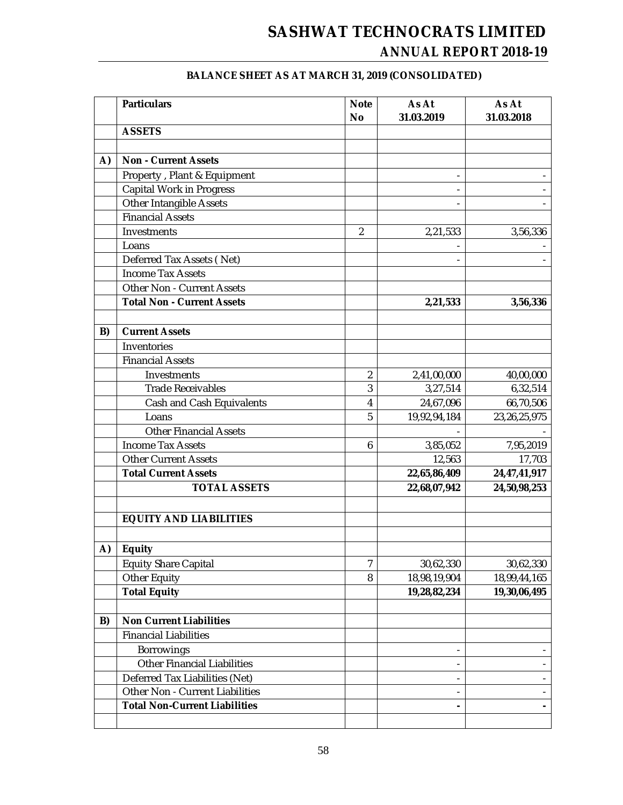### **BALANCE SHEET AS AT MARCH 31, 2019 (CONSOLIDATED)**

|    | <b>Particulars</b>                   | <b>Note</b>    | As At        | As At           |
|----|--------------------------------------|----------------|--------------|-----------------|
|    | <b>ASSETS</b>                        | <b>No</b>      | 31.03.2019   | 31.03.2018      |
|    |                                      |                |              |                 |
| A) | <b>Non - Current Assets</b>          |                |              |                 |
|    | Property, Plant & Equipment          |                |              |                 |
|    | <b>Capital Work in Progress</b>      |                |              |                 |
|    | Other Intangible Assets              |                |              |                 |
|    | <b>Financial Assets</b>              |                |              |                 |
|    | Investments                          | $\overline{2}$ | 2,21,533     | 3,56,336        |
|    | Loans                                |                |              |                 |
|    | Deferred Tax Assets (Net)            |                |              |                 |
|    | <b>Income Tax Assets</b>             |                |              |                 |
|    | Other Non - Current Assets           |                |              |                 |
|    | <b>Total Non - Current Assets</b>    |                | 2,21,533     | 3,56,336        |
|    |                                      |                |              |                 |
| B) | <b>Current Assets</b>                |                |              |                 |
|    | Inventories                          |                |              |                 |
|    | <b>Financial Assets</b>              |                |              |                 |
|    | Investments                          | $\overline{2}$ | 2,41,00,000  | 40,00,000       |
|    | <b>Trade Receivables</b>             | 3              | 3,27,514     | 6,32,514        |
|    | Cash and Cash Equivalents            | 4              | 24,67,096    | 66,70,506       |
|    | Loans                                | 5              | 19,92,94,184 | 23, 26, 25, 975 |
|    | <b>Other Financial Assets</b>        |                |              |                 |
|    | <b>Income Tax Assets</b>             | 6              | 3,85,052     | 7,95,2019       |
|    | <b>Other Current Assets</b>          |                | 12,563       | 17,703          |
|    | <b>Total Current Assets</b>          |                | 22,65,86,409 | 24,47,41,917    |
|    | <b>TOTAL ASSETS</b>                  |                | 22,68,07,942 | 24,50,98,253    |
|    |                                      |                |              |                 |
|    | <b>EQUITY AND LIABILITIES</b>        |                |              |                 |
|    |                                      |                |              |                 |
| A) | <b>Equity</b>                        |                |              |                 |
|    | <b>Equity Share Capital</b>          | 7              | 30,62,330    | 30,62,330       |
|    | Other Equity                         | 8              | 18,98,19,904 | 18,99,44,165    |
|    | <b>Total Equity</b>                  |                | 19,28,82,234 | 19,30,06,495    |
|    |                                      |                |              |                 |
| B) | <b>Non Current Liabilities</b>       |                |              |                 |
|    | <b>Financial Liabilities</b>         |                |              |                 |
|    | Borrowings                           |                |              |                 |
|    | <b>Other Financial Liabilities</b>   |                |              |                 |
|    | Deferred Tax Liabilities (Net)       |                |              |                 |
|    | Other Non - Current Liabilities      |                |              |                 |
|    | <b>Total Non-Current Liabilities</b> |                |              |                 |
|    |                                      |                |              |                 |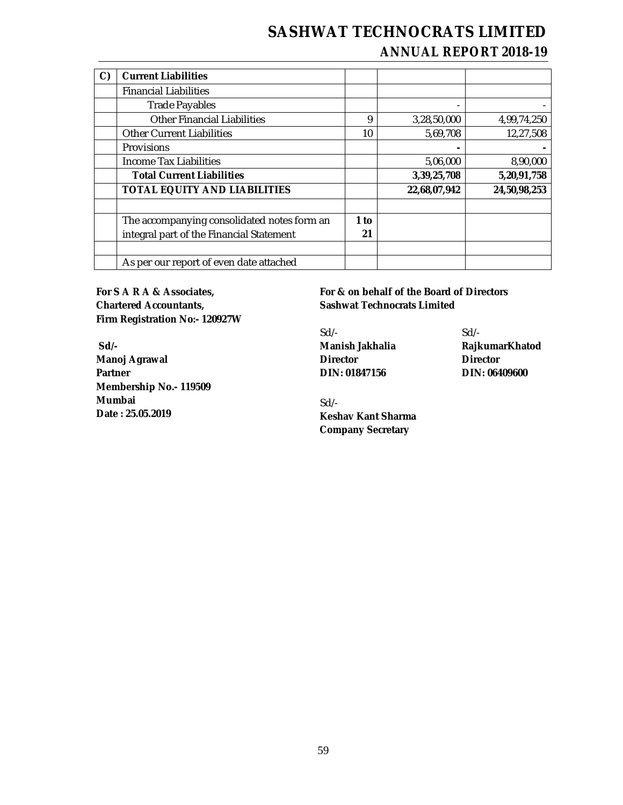| C) | <b>Current Liabilities</b>                  |      |              |              |
|----|---------------------------------------------|------|--------------|--------------|
|    | <b>Financial Liabilities</b>                |      |              |              |
|    | <b>Trade Payables</b>                       |      |              |              |
|    | <b>Other Financial Liabilities</b>          | 9    | 3,28,50,000  | 4,99,74,250  |
|    | <b>Other Current Liabilities</b>            | 10   | 5,69,708     | 12,27,508    |
|    | Provisions                                  |      |              |              |
|    | Income Tax Liabilities                      |      | 5,06,000     | 8,90,000     |
|    | <b>Total Current Liabilities</b>            |      | 3,39,25,708  | 5,20,91,758  |
|    | <b>TOTAL EQUITY AND LIABILITIES</b>         |      | 22,68,07,942 | 24,50,98,253 |
|    |                                             |      |              |              |
|    | The accompanying consolidated notes form an | 1 to |              |              |
|    | integral part of the Financial Statement    | 21   |              |              |
|    |                                             |      |              |              |
|    | As per our report of even date attached     |      |              |              |

**For S A R A & Associates, Chartered Accountants, Firm Registration No:- 120927W**

**Sd/- Manoj Agrawal Partner Membership No.- 119509 Mumbai Date : 25.05.2019**

### **For & on behalf of the Board of Directors Sashwat Technocrats Limited**

Sd/- **Manish Jakhalia Director DIN: 01847156**

Sd/- **RajkumarKhatod Director DIN: 06409600**

Sd/-

**Keshav Kant Sharma Company Secretary**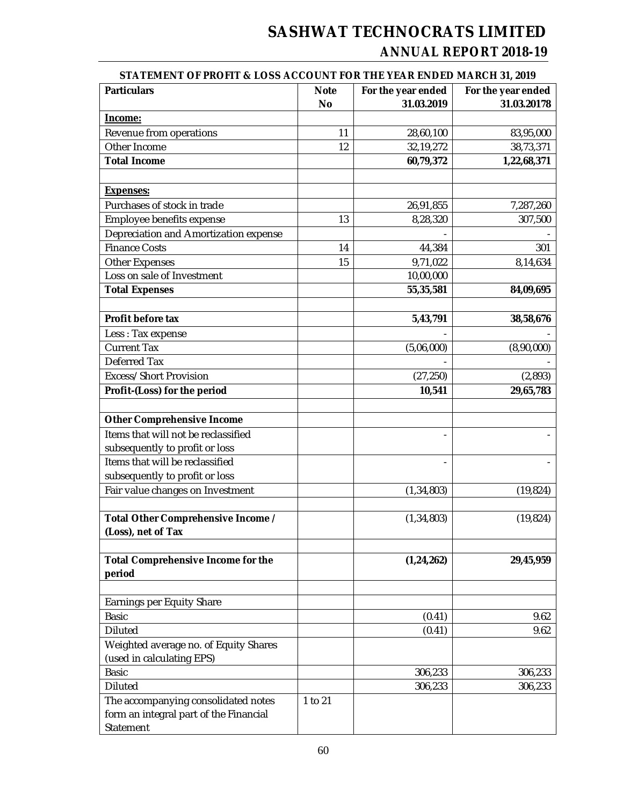| STATEMENT OF PROFIT & LOSS ACCOUNT FOR THE YEAR ENDED MARCH 31, 2019          |             |                    |                    |  |
|-------------------------------------------------------------------------------|-------------|--------------------|--------------------|--|
| <b>Particulars</b>                                                            | <b>Note</b> | For the year ended | For the year ended |  |
|                                                                               | <b>No</b>   | 31.03.2019         | 31.03.20178        |  |
| Income:                                                                       |             |                    |                    |  |
| Revenue from operations                                                       | 11          | 28,60,100          | 83,95,000          |  |
| Other Income                                                                  | 12          | 32, 19, 272        | 38,73,371          |  |
| <b>Total Income</b>                                                           |             | 60,79,372          | 1,22,68,371        |  |
| <b>Expenses:</b>                                                              |             |                    |                    |  |
| Purchases of stock in trade                                                   |             | 26,91,855          | 7,287,260          |  |
| Employee benefits expense                                                     | 13          | 8,28,320           | 307,500            |  |
| Depreciation and Amortization expense                                         |             |                    |                    |  |
| <b>Finance Costs</b>                                                          | 14          | 44,384             | 301                |  |
| <b>Other Expenses</b>                                                         | 15          | 9,71,022           | 8,14,634           |  |
| Loss on sale of Investment                                                    |             | 10,00,000          |                    |  |
| <b>Total Expenses</b>                                                         |             | 55,35,581          | 84,09,695          |  |
|                                                                               |             |                    |                    |  |
| Profit before tax                                                             |             | 5,43,791           | 38,58,676          |  |
| Less : Tax expense                                                            |             |                    |                    |  |
| <b>Current Tax</b>                                                            |             | (5,06,000)         | (8,90,000)         |  |
| Deferred Tax                                                                  |             |                    |                    |  |
| <b>Excess/ Short Provision</b>                                                |             | (27, 250)          | (2,893)            |  |
| Profit-(Loss) for the period                                                  |             | 10,541             | 29,65,783          |  |
| <b>Other Comprehensive Income</b>                                             |             |                    |                    |  |
| Items that will not be reclassified                                           |             |                    |                    |  |
| subsequently to profit or loss                                                |             |                    |                    |  |
| Items that will be reclassified                                               |             |                    |                    |  |
| subsequently to profit or loss                                                |             |                    |                    |  |
| Fair value changes on Investment                                              |             | (1, 34, 803)       | (19, 824)          |  |
|                                                                               |             |                    |                    |  |
| Total Other Comprehensive Income /<br>(Loss), net of Tax                      |             | (1, 34, 803)       | (19, 824)          |  |
|                                                                               |             |                    |                    |  |
| <b>Total Comprehensive Income for the</b>                                     |             | (1, 24, 262)       | 29,45,959          |  |
| period                                                                        |             |                    |                    |  |
| Earnings per Equity Share                                                     |             |                    |                    |  |
| <b>Basic</b>                                                                  |             | (0.41)             | 9.62               |  |
| <b>Diluted</b>                                                                |             | (0.41)             | 9.62               |  |
| Weighted average no. of Equity Shares                                         |             |                    |                    |  |
| (used in calculating EPS)                                                     |             |                    |                    |  |
| Basic                                                                         |             | 306,233            | 306,233            |  |
| <b>Diluted</b>                                                                |             | 306,233            | 306,233            |  |
| The accompanying consolidated notes<br>form an integral part of the Financial | 1 to 21     |                    |                    |  |
| Statement                                                                     |             |                    |                    |  |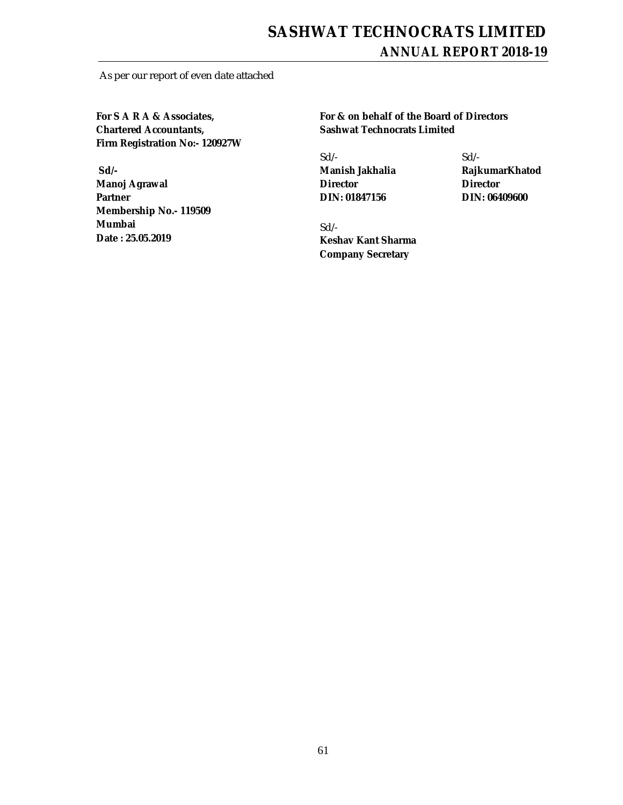As per our report of even date attached

**For S A R A & Associates, Chartered Accountants, Firm Registration No:- 120927W**

**Sd/- Manoj Agrawal Partner Membership No.- 119509 Mumbai Date : 25.05.2019**

**For & on behalf of the Board of Directors Sashwat Technocrats Limited**

Sd/- **Manish Jakhalia Director DIN: 01847156**

Sd/- **RajkumarKhatod Director DIN: 06409600**

Sd/- **Keshav Kant Sharma Company Secretary**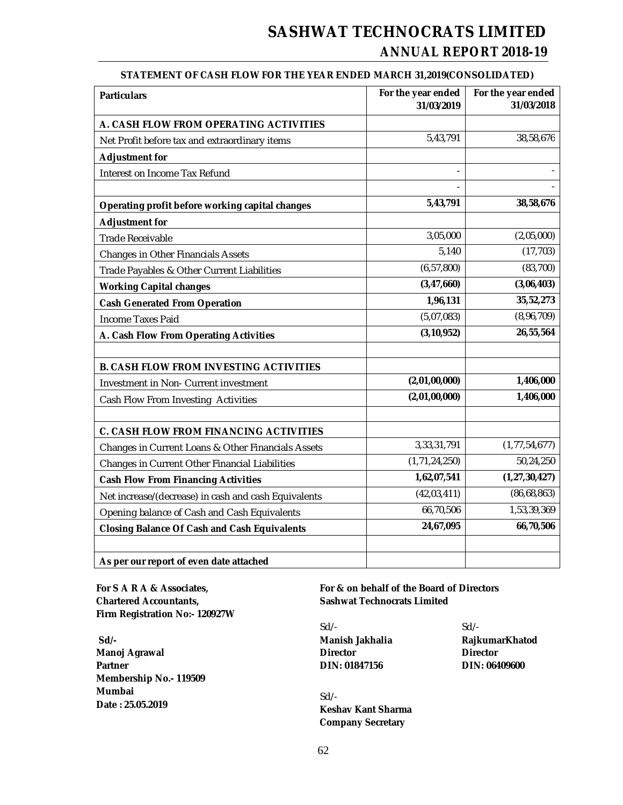| <b>Particulars</b>                                   | For the year ended<br>31/03/2019 | For the year ended<br>31/03/2018 |
|------------------------------------------------------|----------------------------------|----------------------------------|
| A. CASH FLOW FROM OPERATING ACTIVITIES               |                                  |                                  |
| Net Profit before tax and extraordinary items        | 5,43,791                         | 38,58,676                        |
| <b>Adjustment for</b>                                |                                  |                                  |
| Interest on Income Tax Refund                        |                                  |                                  |
|                                                      |                                  |                                  |
| Operating profit before working capital changes      | 5,43,791                         | 38,58,676                        |
| <b>Adjustment for</b>                                |                                  |                                  |
| <b>Trade Receivable</b>                              | 3,05,000                         | (2,05,000)                       |
| Changes in Other Financials Assets                   | 5,140                            | (17, 703)                        |
| Trade Payables & Other Current Liabilities           | (6, 57, 800)                     | (83,700)                         |
| <b>Working Capital changes</b>                       | (3, 47, 660)                     | (3,06,403)                       |
| <b>Cash Generated From Operation</b>                 | 1,96,131                         | 35,52,273                        |
| <b>Income Taxes Paid</b>                             | (5,07,083)                       | (8,96,709)                       |
| A. Cash Flow From Operating Activities               | (3, 10, 952)                     | 26,55,564                        |
|                                                      |                                  |                                  |
| <b>B. CASH FLOW FROM INVESTING ACTIVITIES</b>        |                                  |                                  |
| Investment in Non- Current investment                | (2,01,00,000)                    | 1,406,000                        |
| Cash Flow From Investing Activities                  | (2,01,00,000)                    | 1,406,000                        |
|                                                      |                                  |                                  |
| <b>C. CASH FLOW FROM FINANCING ACTIVITIES</b>        |                                  |                                  |
| Changes in Current Loans & Other Financials Assets   | 3, 33, 31, 791                   | (1, 77, 54, 677)                 |
| Changes in Current Other Financial Liabilities       | (1, 71, 24, 250)                 | 50,24,250                        |
| <b>Cash Flow From Financing Activities</b>           | 1,62,07,541                      | (1, 27, 30, 427)                 |
| Net increase/(decrease) in cash and cash Equivalents | (42,03,411)                      | (86, 68, 863)                    |
| Opening balance of Cash and Cash Equivalents         | 66,70,506                        | 1,53,39,369                      |
| <b>Closing Balance Of Cash and Cash Equivalents</b>  | 24,67,095                        | 66,70,506                        |
| As per our report of even date attached              |                                  |                                  |

### **STATEMENT OF CASH FLOW FOR THE YEAR ENDED MARCH 31,2019(CONSOLIDATED)**

**For S A R A & Associates, Chartered Accountants, Firm Registration No:- 120927W**

**Sd/- Manoj Agrawal Partner Membership No.- 119509 Mumbai Date : 25.05.2019**

**For & on behalf of the Board of Directors Sashwat Technocrats Limited**

Sd/- **Manish Jakhalia Director DIN: 01847156**

Sd/- **RajkumarKhatod Director DIN: 06409600**

Sd/- **Keshav Kant Sharma Company Secretary**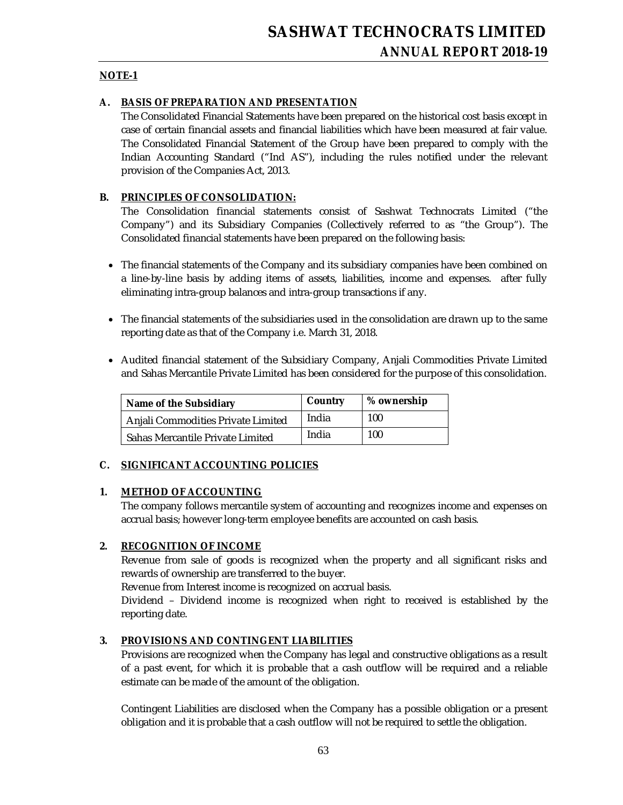### **NOTE-1**

### **A. BASIS OF PREPARATION AND PRESENTATION**

The Consolidated Financial Statements have been prepared on the historical cost basis except in case of certain financial assets and financial liabilities which have been measured at fair value. The Consolidated Financial Statement of the Group have been prepared to comply with the Indian Accounting Standard ("Ind AS"), including the rules notified under the relevant provision of the Companies Act, 2013.

### **B. PRINCIPLES OF CONSOLIDATION:**

The Consolidation financial statements consist of Sashwat Technocrats Limited ("the Company") and its Subsidiary Companies (Collectively referred to as "the Group"). The Consolidated financial statements have been prepared on the following basis:

- The financial statements of the Company and its subsidiary companies have been combined on a line-by-line basis by adding items of assets, liabilities, income and expenses. after fully eliminating intra-group balances and intra-group transactions if any.
- The financial statements of the subsidiaries used in the consolidation are drawn up to the same reporting date as that of the Company i.e. March 31, 2018.
- Audited financial statement of the Subsidiary Company, Anjali Commodities Private Limited and Sahas Mercantile Private Limited has been considered for the purpose of this consolidation.

| <b>Name of the Subsidiary</b>      | Country | % ownership |
|------------------------------------|---------|-------------|
| Anjali Commodities Private Limited | India   | 100         |
| Sahas Mercantile Private Limited   | India   | 100         |

### **C. SIGNIFICANT ACCOUNTING POLICIES**

### **1. METHOD OF ACCOUNTING**

The company follows mercantile system of accounting and recognizes income and expenses on accrual basis; however long-term employee benefits are accounted on cash basis.

### **2. RECOGNITION OF INCOME**

Revenue from sale of goods is recognized when the property and all significant risks and rewards of ownership are transferred to the buyer.

Revenue from Interest income is recognized on accrual basis.

Dividend – Dividend income is recognized when right to received is established by the reporting date.

### **3. PROVISIONS AND CONTINGENT LIABILITIES**

Provisions are recognized when the Company has legal and constructive obligations as a result of a past event, for which it is probable that a cash outflow will be required and a reliable estimate can be made of the amount of the obligation.

Contingent Liabilities are disclosed when the Company has a possible obligation or a present obligation and it is probable that a cash outflow will not be required to settle the obligation.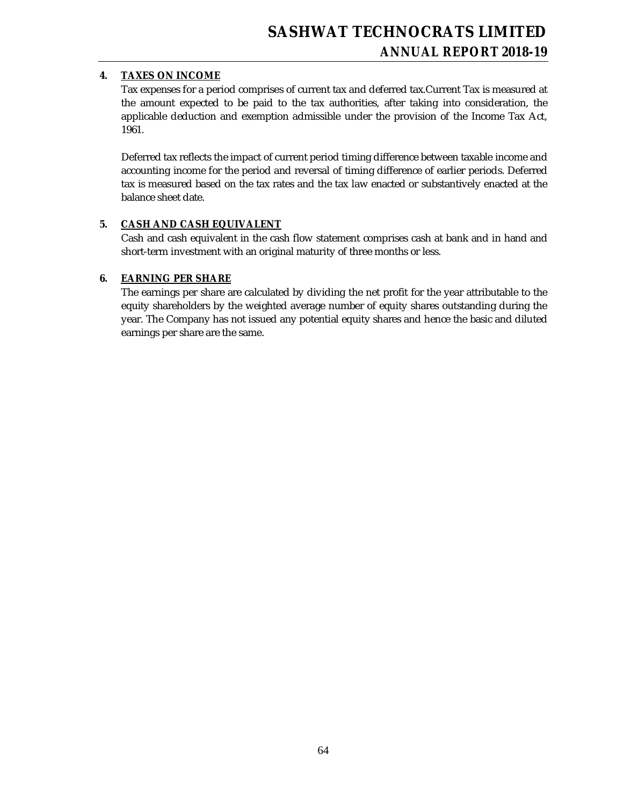### **4. TAXES ON INCOME**

Tax expenses for a period comprises of current tax and deferred tax.Current Tax is measured at the amount expected to be paid to the tax authorities, after taking into consideration, the applicable deduction and exemption admissible under the provision of the Income Tax Act, 1961.

Deferred tax reflects the impact of current period timing difference between taxable income and accounting income for the period and reversal of timing difference of earlier periods. Deferred tax is measured based on the tax rates and the tax law enacted or substantively enacted at the balance sheet date.

### **5. CASH AND CASH EQUIVALENT**

Cash and cash equivalent in the cash flow statement comprises cash at bank and in hand and short-term investment with an original maturity of three months or less.

### **6. EARNING PER SHARE**

The earnings per share are calculated by dividing the net profit for the year attributable to the equity shareholders by the weighted average number of equity shares outstanding during the year. The Company has not issued any potential equity shares and hence the basic and diluted earnings per share are the same.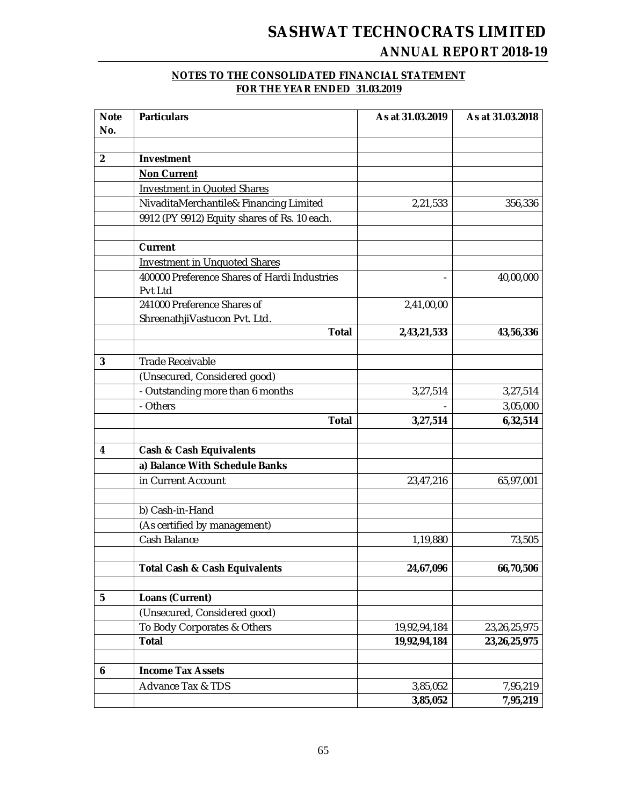### **NOTES TO THE CONSOLIDATED FINANCIAL STATEMENT FOR THE YEAR ENDED 31.03.2019**

| <b>Note</b><br>No. | <b>Particulars</b>                           | As at 31.03.2019 | As at 31.03.2018 |
|--------------------|----------------------------------------------|------------------|------------------|
|                    |                                              |                  |                  |
| $\overline{2}$     | Investment                                   |                  |                  |
|                    | <b>Non Current</b>                           |                  |                  |
|                    | <b>Investment in Quoted Shares</b>           |                  |                  |
|                    | NivaditaMerchantile& Financing Limited       | 2,21,533         | 356,336          |
|                    | 9912 (PY 9912) Equity shares of Rs. 10 each. |                  |                  |
|                    | <b>Current</b>                               |                  |                  |
|                    | <b>Investment in Unquoted Shares</b>         |                  |                  |
|                    | 400000 Preference Shares of Hardi Industries |                  | 40,00,000        |
|                    | Pvt Ltd                                      |                  |                  |
|                    | 241000 Preference Shares of                  | 2,41,00,00       |                  |
|                    | ShreenathjiVastucon Pvt. Ltd.                |                  |                  |
|                    | <b>Total</b>                                 | 2,43,21,533      | 43,56,336        |
|                    |                                              |                  |                  |
| $\mathbf{3}$       | <b>Trade Receivable</b>                      |                  |                  |
|                    | (Unsecured, Considered good)                 |                  |                  |
|                    | - Outstanding more than 6 months             | 3,27,514         | 3,27,514         |
|                    | - Others                                     |                  | 3,05,000         |
|                    | <b>Total</b>                                 | 3,27,514         | 6,32,514         |
| 4                  | <b>Cash &amp; Cash Equivalents</b>           |                  |                  |
|                    | a) Balance With Schedule Banks               |                  |                  |
|                    | in Current Account                           | 23,47,216        | 65,97,001        |
|                    |                                              |                  |                  |
|                    | b) Cash-in-Hand                              |                  |                  |
|                    | (As certified by management)                 |                  |                  |
|                    | Cash Balance                                 | 1,19,880         | 73,505           |
|                    |                                              |                  |                  |
|                    | <b>Total Cash &amp; Cash Equivalents</b>     | 24,67,096        | 66,70,506        |
| 5                  | Loans (Current)                              |                  |                  |
|                    | (Unsecured, Considered good)                 |                  |                  |
|                    | To Body Corporates & Others                  | 19,92,94,184     | 23,26,25,975     |
|                    | <b>Total</b>                                 | 19,92,94,184     | 23, 26, 25, 975  |
| 6                  | <b>Income Tax Assets</b>                     |                  |                  |
|                    | <b>Advance Tax &amp; TDS</b>                 | 3,85,052         | 7,95,219         |
|                    |                                              | 3,85,052         | 7,95,219         |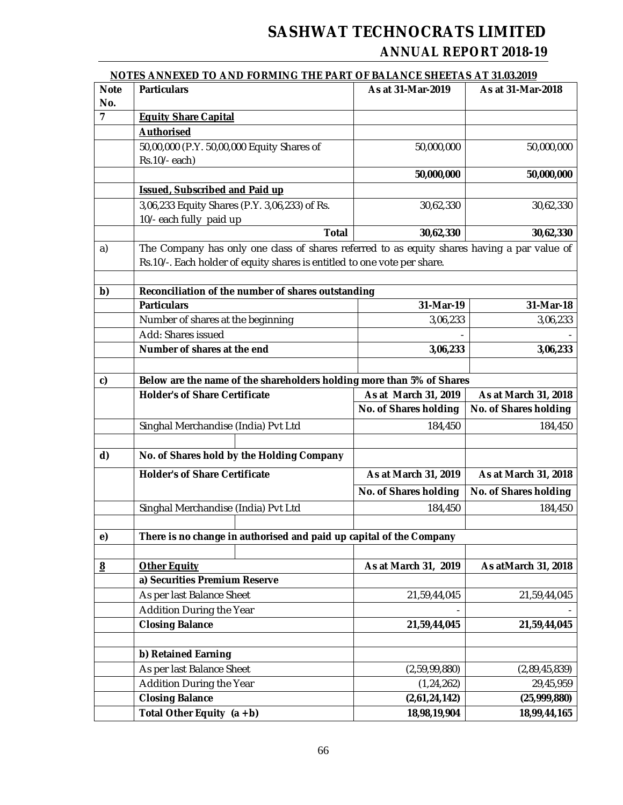|                 | NOTES ANNEXED TO AND FORMING THE PART OF BALANCE SHEETAS AT 31.03.2019                      |                       |                       |  |
|-----------------|---------------------------------------------------------------------------------------------|-----------------------|-----------------------|--|
| <b>Note</b>     | <b>Particulars</b>                                                                          | As at 31-Mar-2019     | As at 31-Mar-2018     |  |
| No.             |                                                                                             |                       |                       |  |
| $\overline{7}$  | <b>Equity Share Capital</b>                                                                 |                       |                       |  |
|                 | <b>Authorised</b>                                                                           |                       |                       |  |
|                 | 50,00,000 (P.Y. 50,00,000 Equity Shares of                                                  | 50,000,000            | 50,000,000            |  |
|                 | Rs.10/- each)                                                                               |                       |                       |  |
|                 |                                                                                             | 50,000,000            | 50,000,000            |  |
|                 | <b>Issued, Subscribed and Paid up</b>                                                       |                       |                       |  |
|                 | 3,06,233 Equity Shares (P.Y. 3,06,233) of Rs.                                               | 30,62,330             | 30,62,330             |  |
|                 | 10/- each fully paid up                                                                     |                       |                       |  |
|                 | <b>Total</b>                                                                                | 30,62,330             | 30,62,330             |  |
| a)              | The Company has only one class of shares referred to as equity shares having a par value of |                       |                       |  |
|                 | Rs.10/-. Each holder of equity shares is entitled to one vote per share.                    |                       |                       |  |
|                 |                                                                                             |                       |                       |  |
| b)              | Reconciliation of the number of shares outstanding                                          |                       |                       |  |
|                 | <b>Particulars</b>                                                                          | 31-Mar-19             | 31-Mar-18             |  |
|                 | Number of shares at the beginning                                                           | 3,06,233              | 3,06,233              |  |
|                 | Add: Shares issued                                                                          |                       |                       |  |
|                 | Number of shares at the end                                                                 | 3,06,233              | 3,06,233              |  |
|                 |                                                                                             |                       |                       |  |
| c)              | Below are the name of the shareholders holding more than 5% of Shares                       |                       |                       |  |
|                 | <b>Holder's of Share Certificate</b>                                                        | As at March 31, 2019  | As at March 31, 2018  |  |
|                 |                                                                                             | No. of Shares holding | No. of Shares holding |  |
|                 | Singhal Merchandise (India) Pvt Ltd                                                         | 184,450               | 184,450               |  |
|                 |                                                                                             |                       |                       |  |
| d)              | No. of Shares hold by the Holding Company                                                   |                       |                       |  |
|                 | <b>Holder's of Share Certificate</b>                                                        | As at March 31, 2019  | As at March 31, 2018  |  |
|                 |                                                                                             | No. of Shares holding | No. of Shares holding |  |
|                 | Singhal Merchandise (India) Pvt Ltd                                                         | 184,450               | 184,450               |  |
|                 |                                                                                             |                       |                       |  |
| e)              | There is no change in authorised and paid up capital of the Company                         |                       |                       |  |
|                 |                                                                                             |                       |                       |  |
| $\underline{8}$ | <b>Other Equity</b>                                                                         | As at March 31, 2019  | As at March 31, 2018  |  |
|                 | a) Securities Premium Reserve                                                               |                       |                       |  |
|                 | As per last Balance Sheet                                                                   | 21,59,44,045          | 21,59,44,045          |  |
|                 | Addition During the Year                                                                    |                       |                       |  |
|                 | <b>Closing Balance</b>                                                                      | 21,59,44,045          | 21,59,44,045          |  |
|                 |                                                                                             |                       |                       |  |
|                 | b) Retained Earning                                                                         |                       |                       |  |
|                 | As per last Balance Sheet                                                                   | (2,59,99,880)         | (2,89,45,839)         |  |
|                 | Addition During the Year                                                                    | (1, 24, 262)          | 29,45,959             |  |
|                 | <b>Closing Balance</b>                                                                      | (2,61,24,142)         | (25,999,880)          |  |
|                 | Total Other Equity $(a + b)$                                                                | 18,98,19,904          | 18,99,44,165          |  |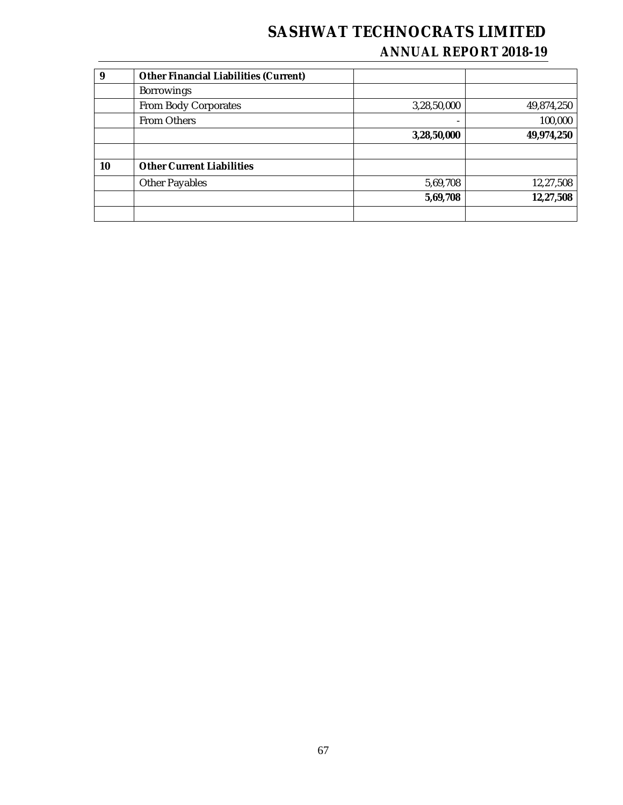| 9  | <b>Other Financial Liabilities (Current)</b> |                          |            |
|----|----------------------------------------------|--------------------------|------------|
|    | Borrowings                                   |                          |            |
|    | From Body Corporates                         | 3,28,50,000              | 49,874,250 |
|    | From Others                                  | $\overline{\phantom{0}}$ | 100,000    |
|    |                                              | 3,28,50,000              | 49,974,250 |
|    |                                              |                          |            |
| 10 | <b>Other Current Liabilities</b>             |                          |            |
|    | <b>Other Payables</b>                        | 5,69,708                 | 12,27,508  |
|    |                                              | 5,69,708                 | 12,27,508  |
|    |                                              |                          |            |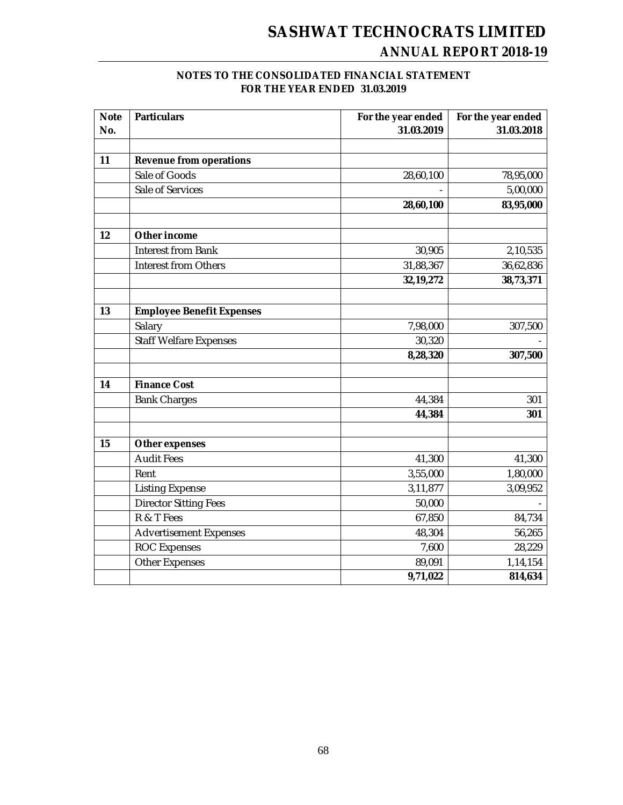### **NOTES TO THE CONSOLIDATED FINANCIAL STATEMENT FOR THE YEAR ENDED 31.03.2019**

| <b>Note</b> | <b>Particulars</b>               | For the year ended | For the year ended |
|-------------|----------------------------------|--------------------|--------------------|
| No.         |                                  | 31.03.2019         | 31.03.2018         |
|             |                                  |                    |                    |
| 11          | <b>Revenue from operations</b>   |                    |                    |
|             | Sale of Goods                    | 28,60,100          | 78,95,000          |
|             | Sale of Services                 |                    | 5,00,000           |
|             |                                  | 28,60,100          | 83,95,000          |
|             |                                  |                    |                    |
| 12          | Other income                     |                    |                    |
|             | <b>Interest from Bank</b>        | 30,905             | 2,10,535           |
|             | <b>Interest from Others</b>      | 31,88,367          | 36,62,836          |
|             |                                  | 32, 19, 272        | 38,73,371          |
|             |                                  |                    |                    |
| 13          | <b>Employee Benefit Expenses</b> |                    |                    |
|             | Salary                           | 7,98,000           | 307,500            |
|             | <b>Staff Welfare Expenses</b>    | 30,320             |                    |
|             |                                  | 8,28,320           | 307,500            |
|             |                                  |                    |                    |
| 14          | <b>Finance Cost</b>              |                    |                    |
|             | <b>Bank Charges</b>              | 44,384             | 301                |
|             |                                  | 44,384             | 301                |
|             |                                  |                    |                    |
| 15          | <b>Other expenses</b>            |                    |                    |
|             | <b>Audit Fees</b>                | 41,300             | 41,300             |
|             | Rent                             | 3,55,000           | 1,80,000           |
|             | <b>Listing Expense</b>           | 3,11,877           | 3,09,952           |
|             | <b>Director Sitting Fees</b>     | 50,000             |                    |
|             | R & T Fees                       | 67,850             | 84,734             |
|             | <b>Advertisement Expenses</b>    | 48,304             | 56,265             |
|             | <b>ROC Expenses</b>              | 7,600              | 28,229             |
|             | <b>Other Expenses</b>            | 89,091             | 1,14,154           |
|             |                                  | 9,71,022           | 814,634            |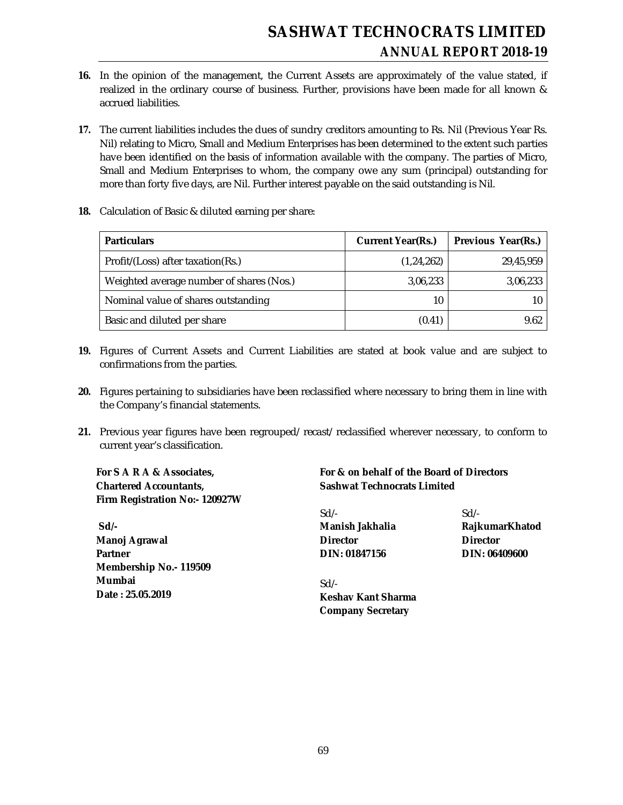- **16.** In the opinion of the management, the Current Assets are approximately of the value stated, if realized in the ordinary course of business. Further, provisions have been made for all known & accrued liabilities.
- **17.** The current liabilities includes the dues of sundry creditors amounting to Rs. Nil (Previous Year Rs. Nil) relating to Micro, Small and Medium Enterprises has been determined to the extent such parties have been identified on the basis of information available with the company. The parties of Micro, Small and Medium Enterprises to whom, the company owe any sum (principal) outstanding for more than forty five days, are Nil. Further interest payable on the said outstanding is Nil.
- **18.** Calculation of Basic & diluted earning per share:

| <b>Particulars</b>                       | <b>Current Year(Rs.)</b> | Previous Year(Rs.) |
|------------------------------------------|--------------------------|--------------------|
| Profit/(Loss) after taxation(Rs.)        | (1, 24, 262)             | 29,45,959          |
| Weighted average number of shares (Nos.) | 3,06,233                 | 3,06,233           |
| Nominal value of shares outstanding      | 10                       |                    |
| Basic and diluted per share              | (0.41)                   | 9.62               |

- **19.** Figures of Current Assets and Current Liabilities are stated at book value and are subject to confirmations from the parties.
- **20.** Figures pertaining to subsidiaries have been reclassified where necessary to bring them in line with the Company's financial statements.
- **21.** Previous year figures have been regrouped/ recast/ reclassified wherever necessary, to conform to current year's classification.

**For S A R A & Associates, Chartered Accountants, Firm Registration No:- 120927W**

**Sd/- Manoj Agrawal Partner Membership No.- 119509 Mumbai Date : 25.05.2019**

**For & on behalf of the Board of Directors Sashwat Technocrats Limited**

Sd/- **Manish Jakhalia Director DIN: 01847156**

Sd/- **RajkumarKhatod Director DIN: 06409600**

Sd/- **Keshav Kant Sharma Company Secretary**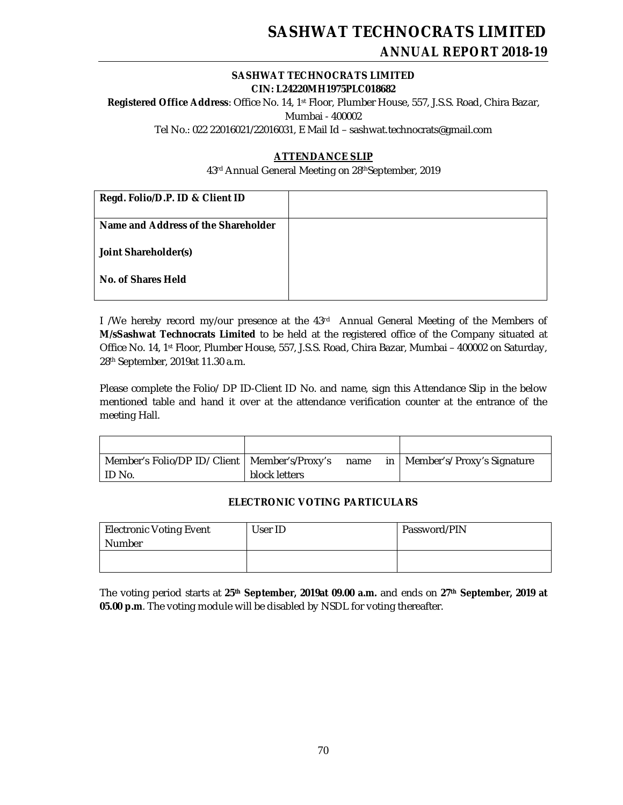### **SASHWAT TECHNOCRATS LIMITED CIN: L24220MH1975PLC018682**

**Registered Office Address**: Office No. 14, 1st Floor, Plumber House, 557, J.S.S. Road, Chira Bazar, Mumbai - 400002

Tel No.: 022 22016021/22016031, E Mail Id – [sashwat.technocrats@gmail.com](mailto:sashwat.technocrats@gmail.com)

### **ATTENDANCE SLIP**

43rd Annual General Meeting on 28 thSeptember, 2019

| Regd. Folio/D.P. ID & Client ID     |  |
|-------------------------------------|--|
| Name and Address of the Shareholder |  |
| Joint Shareholder(s)                |  |
| No. of Shares Held                  |  |

I /We hereby record my/our presence at the 43<sup>rd</sup> Annual General Meeting of the Members of **M/sSashwat Technocrats Limited** to be held at the registered office of the Company situated at Office No. 14, 1st Floor, Plumber House, 557, J.S.S. Road, Chira Bazar, Mumbai – 400002 on Saturday, 28th September, 2019at 11.30 a.m.

Please complete the Folio/ DP ID-Client ID No. and name, sign this Attendance Slip in the below mentioned table and hand it over at the attendance verification counter at the entrance of the meeting Hall.

| Member's Folio/DP ID/ Client   Member's/Proxy's |               | name | in   Member's/ Proxy's Signature |
|-------------------------------------------------|---------------|------|----------------------------------|
| ID No.                                          | block letters |      |                                  |

### **ELECTRONIC VOTING PARTICULARS**

| <b>Electronic Voting Event</b><br><b>Number</b> | User ID | Password/PIN |
|-------------------------------------------------|---------|--------------|
|                                                 |         |              |

The voting period starts at **25th September, 2019at 09.00 a.m.** and ends on **27th September, 2019 at 05.00 p.m**. The voting module will be disabled by NSDL for voting thereafter.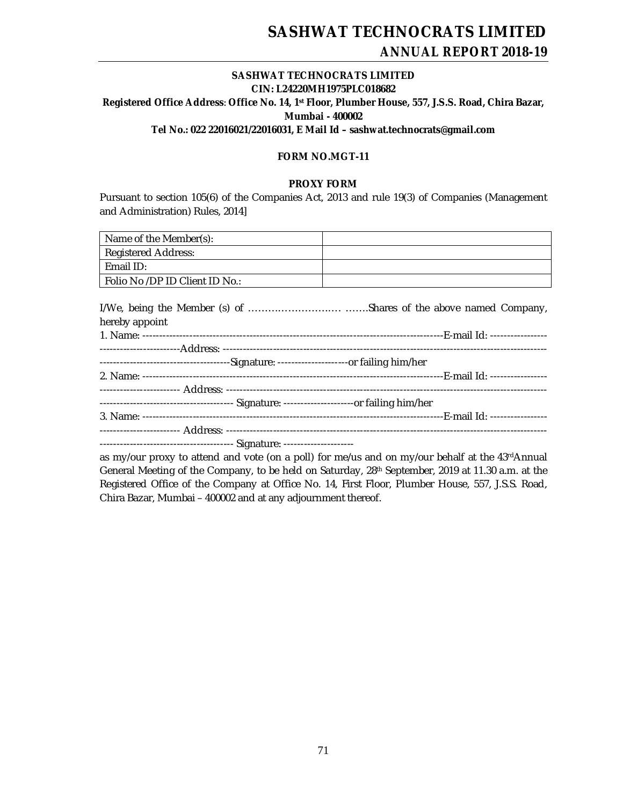## **SASHWAT TECHNOCRATS LIMITED**

**CIN: L24220MH1975PLC018682**

**Registered Office Address**: **Office No. 14, 1st Floor, Plumber House, 557, J.S.S. Road, Chira Bazar,** 

**Mumbai - 400002**

**Tel No.: 022 22016021/22016031, E Mail Id – [sashwat.technocrats@gmail.com](mailto:sashwat.technocrats@gmail.com)**

#### **FORM NO.MGT-11**

#### **PROXY FORM**

Pursuant to section 105(6) of the Companies Act, 2013 and rule 19(3) of Companies (Management and Administration) Rules, 2014]

| Name of the Member(s):         |  |
|--------------------------------|--|
| <b>Registered Address:</b>     |  |
| Email ID:                      |  |
| Folio No /DP ID Client ID No.: |  |

| hereby appoint |  |
|----------------|--|
|                |  |
|                |  |
|                |  |
|                |  |
|                |  |
|                |  |
|                |  |
|                |  |
|                |  |

as my/our proxy to attend and vote (on a poll) for me/us and on my/our behalf at the 43rdAnnual General Meeting of the Company, to be held on Saturday, 28th September, 2019 at 11.30 a.m. at the Registered Office of the Company at Office No. 14, First Floor, Plumber House, 557, J.S.S. Road, Chira Bazar, Mumbai – 400002 and at any adjournment thereof.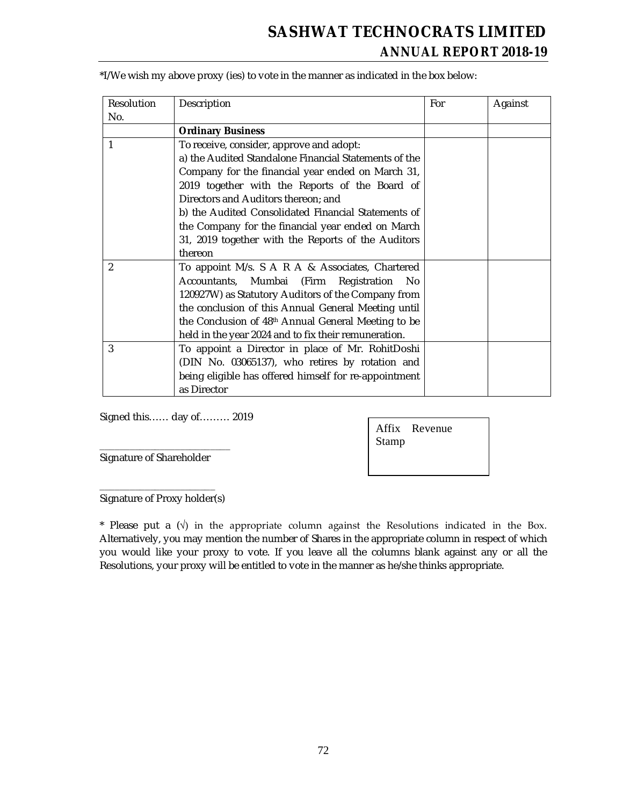\*I/We wish my above proxy (ies) to vote in the manner as indicated in the box below:

| Resolution     | Description                                                     | For | Against |
|----------------|-----------------------------------------------------------------|-----|---------|
| No.            |                                                                 |     |         |
|                | <b>Ordinary Business</b>                                        |     |         |
| 1              | To receive, consider, approve and adopt:                        |     |         |
|                | a) the Audited Standalone Financial Statements of the           |     |         |
|                | Company for the financial year ended on March 31,               |     |         |
|                | 2019 together with the Reports of the Board of                  |     |         |
|                | Directors and Auditors thereon; and                             |     |         |
|                | b) the Audited Consolidated Financial Statements of             |     |         |
|                | the Company for the financial year ended on March               |     |         |
|                | 31, 2019 together with the Reports of the Auditors              |     |         |
|                | thereon                                                         |     |         |
| $\overline{2}$ | To appoint M/s. S A R A & Associates, Chartered                 |     |         |
|                | Accountants, Mumbai (Firm Registration<br>No.                   |     |         |
|                | 120927W) as Statutory Auditors of the Company from              |     |         |
|                | the conclusion of this Annual General Meeting until             |     |         |
|                | the Conclusion of 48 <sup>th</sup> Annual General Meeting to be |     |         |
|                | held in the year 2024 and to fix their remuneration.            |     |         |
| 3              | To appoint a Director in place of Mr. RohitDoshi                |     |         |
|                | (DIN No. 03065137), who retires by rotation and                 |     |         |
|                | being eligible has offered himself for re-appointment           |     |         |
|                | as Director                                                     |     |         |

Signed this…… day of……… 2019

Affix Revenue Stamp

\_\_\_\_\_\_\_\_\_\_\_\_\_\_\_\_\_\_\_\_\_\_\_\_\_\_ Signature of Shareholder

\_\_\_\_\_\_\_\_\_\_\_\_\_\_\_\_\_\_\_\_\_\_\_ Signature of Proxy holder(s)

\* Please put a  $(\sqrt{2})$  in the appropriate column against the Resolutions indicated in the Box. Alternatively, you may mention the number of Shares in the appropriate column in respect of which you would like your proxy to vote. If you leave all the columns blank against any or all the Resolutions, your proxy will be entitled to vote in the manner as he/she thinks appropriate.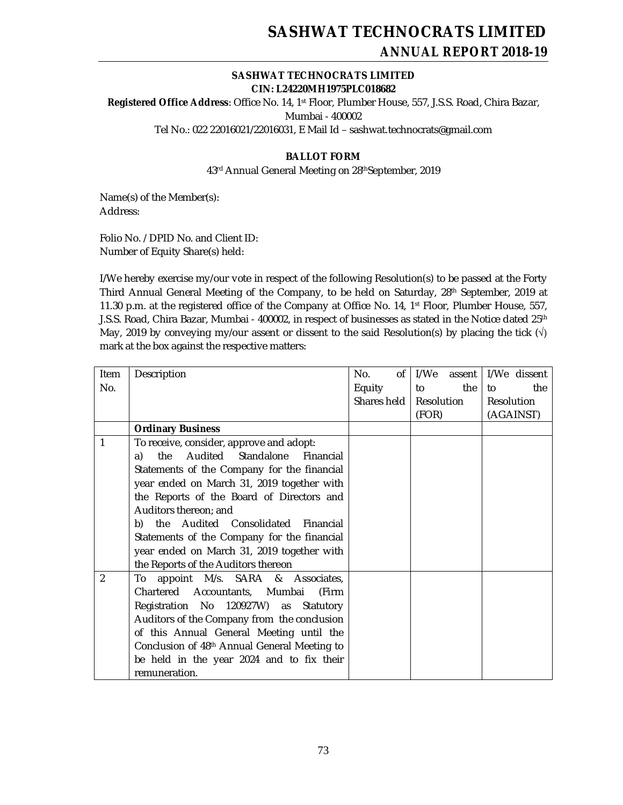#### **SASHWAT TECHNOCRATS LIMITED CIN: L24220MH1975PLC018682**

**Registered Office Address**: Office No. 14, 1st Floor, Plumber House, 557, J.S.S. Road, Chira Bazar, Mumbai - 400002

Tel No.: 022 22016021/22016031, E Mail Id – [sashwat.technocrats@gmail.com](mailto:sashwat.technocrats@gmail.com)

## **BALLOT FORM**

43rd Annual General Meeting on 28thSeptember, 2019

Name(s) of the Member(s): Address:

Folio No. / DPID No. and Client ID: Number of Equity Share(s) held:

I/We hereby exercise my/our vote in respect of the following Resolution(s) to be passed at the Forty Third Annual General Meeting of the Company, to be held on Saturday, 28<sup>th</sup> September, 2019 at 11.30 p.m. at the registered office of the Company at Office No. 14, 1<sup>st</sup> Floor, Plumber House, 557, J.S.S. Road, Chira Bazar, Mumbai - 400002, in respect of businesses as stated in the Notice dated 25th May, 2019 by conveying my/our assent or dissent to the said Resolution(s) by placing the tick  $(\sqrt{)}$ mark at the box against the respective matters:

| Item           | Description                                              | No.         | <sub>of</sub> | I/We       | assent |    | I/We dissent |
|----------------|----------------------------------------------------------|-------------|---------------|------------|--------|----|--------------|
| No.            |                                                          | Equity      |               | to         | the    | to | the          |
|                |                                                          | Shares held |               | Resolution |        |    | Resolution   |
|                |                                                          |             |               | (FOR)      |        |    | (AGAINST)    |
|                | <b>Ordinary Business</b>                                 |             |               |            |        |    |              |
| 1              | To receive, consider, approve and adopt:                 |             |               |            |        |    |              |
|                | Audited Standalone<br>the<br>Financial<br>a)             |             |               |            |        |    |              |
|                | Statements of the Company for the financial              |             |               |            |        |    |              |
|                | year ended on March 31, 2019 together with               |             |               |            |        |    |              |
|                | the Reports of the Board of Directors and                |             |               |            |        |    |              |
|                | Auditors thereon; and                                    |             |               |            |        |    |              |
|                | Audited Consolidated<br>b) the<br>Financial              |             |               |            |        |    |              |
|                | Statements of the Company for the financial              |             |               |            |        |    |              |
|                | year ended on March 31, 2019 together with               |             |               |            |        |    |              |
|                | the Reports of the Auditors thereon                      |             |               |            |        |    |              |
| $\overline{2}$ | To appoint M/s. SARA & Associates,                       |             |               |            |        |    |              |
|                | Chartered Accountants, Mumbai<br>(Firm                   |             |               |            |        |    |              |
|                | Registration No 120927W) as Statutory                    |             |               |            |        |    |              |
|                | Auditors of the Company from the conclusion              |             |               |            |        |    |              |
|                | of this Annual General Meeting until the                 |             |               |            |        |    |              |
|                | Conclusion of 48 <sup>th</sup> Annual General Meeting to |             |               |            |        |    |              |
|                | be held in the year 2024 and to fix their                |             |               |            |        |    |              |
|                | remuneration.                                            |             |               |            |        |    |              |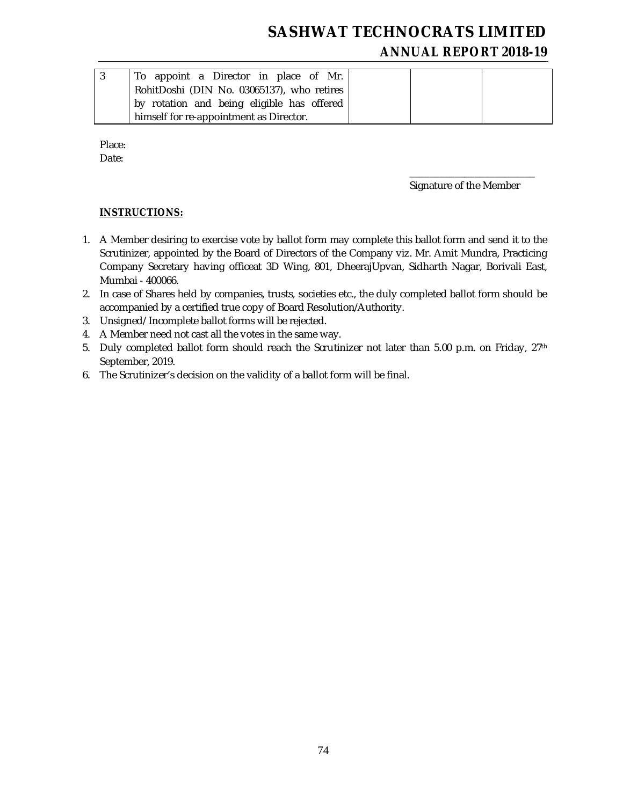| To appoint a Director in place of Mr.      |  |
|--------------------------------------------|--|
| RohitDoshi (DIN No. 03065137), who retires |  |
| by rotation and being eligible has offered |  |
| himself for re-appointment as Director.    |  |

Place: Date:

> \_\_\_\_\_\_\_\_\_\_\_\_\_\_\_\_\_\_\_\_\_\_\_\_\_ Signature of the Member

## **INSTRUCTIONS:**

- 1. A Member desiring to exercise vote by ballot form may complete this ballot form and send it to the Scrutinizer, appointed by the Board of Directors of the Company viz. Mr. Amit Mundra, Practicing Company Secretary having officeat 3D Wing, 801, DheerajUpvan, Sidharth Nagar, Borivali East, Mumbai - 400066.
- 2. In case of Shares held by companies, trusts, societies etc., the duly completed ballot form should be accompanied by a certified true copy of Board Resolution/Authority.
- 3. Unsigned/ Incomplete ballot forms will be rejected.
- 4. A Member need not cast all the votes in the same way.
- 5. Duly completed ballot form should reach the Scrutinizer not later than 5.00 p.m. on Friday, 27<sup>th</sup> September, 2019.
- 6. The Scrutinizer's decision on the validity of a ballot form will be final.